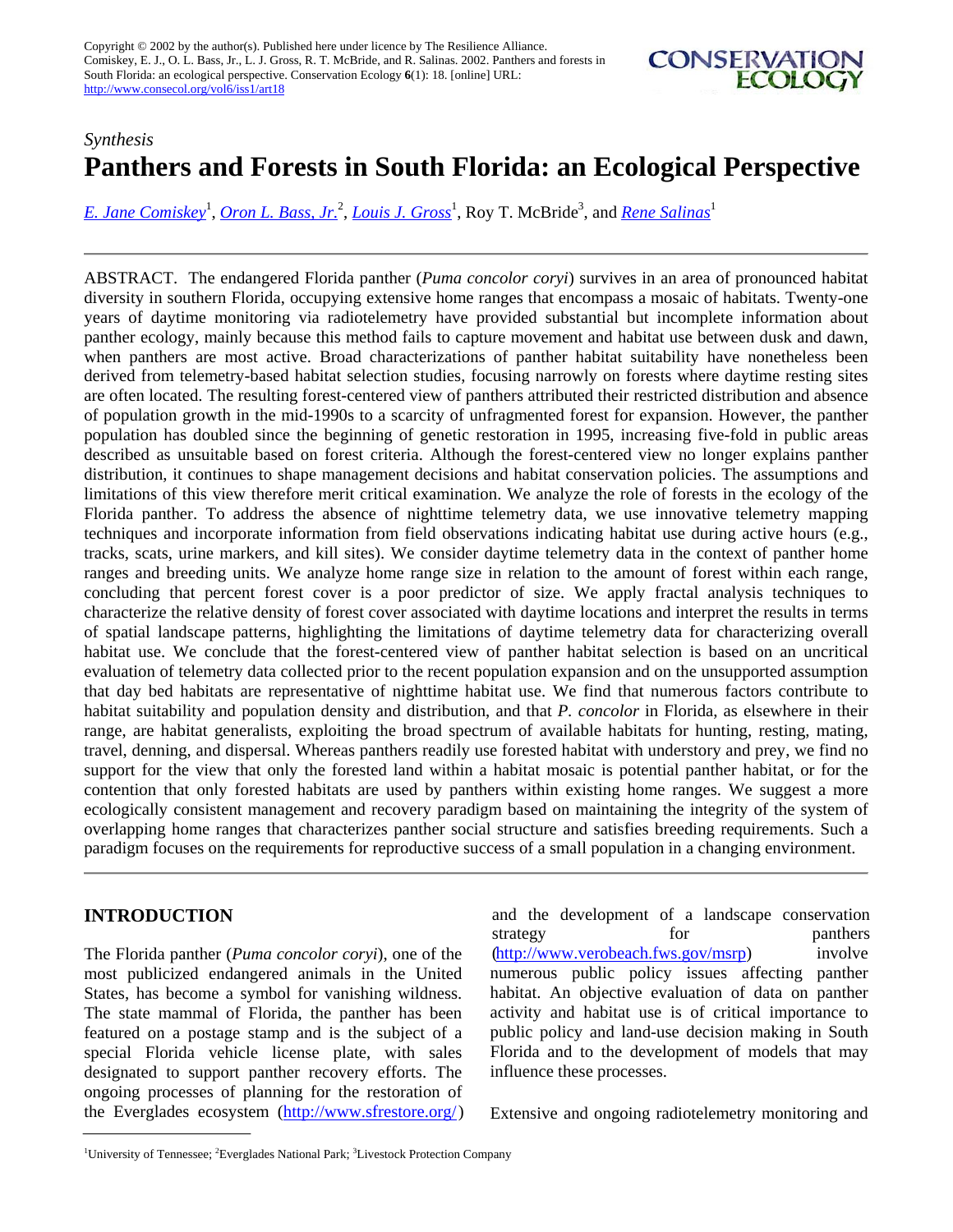Copyright © 2002 by the author(s). Published here under licence by The Resilience Alliance. Comiskey, E. J., O. L. Bass, Jr., L. J. Gross, R. T. McBride, and R. Salinas. 2002. Panthers and forests in South Florida: an ecological perspective. Conservation Ecology **6**(1): 18. [online] URL: <http://www.consecol.org/vol6/iss1/art18>



# *Synthesis* **Panthers and Forests in South Florida: an Ecological Perspective**

[E. Jane Comiskey](mailto:ecomiske@tiem.utk.edu)<sup>1</sup>, [Oron L. Bass, Jr.](mailto:Sonny_Bass@nps.gov)<sup>2</sup>, [Louis J. Gross](mailto:gross@tiem.utk.edu)<sup>1</sup>, Roy T. McBride<sup>3</sup>, and <u>[Rene Salinas](mailto:salinas@tiem.utk.edu)</u><sup>1</sup>

ABSTRACT. The endangered Florida panther (*Puma concolor coryi*) survives in an area of pronounced habitat diversity in southern Florida, occupying extensive home ranges that encompass a mosaic of habitats. Twenty-one years of daytime monitoring via radiotelemetry have provided substantial but incomplete information about panther ecology, mainly because this method fails to capture movement and habitat use between dusk and dawn, when panthers are most active. Broad characterizations of panther habitat suitability have nonetheless been derived from telemetry-based habitat selection studies, focusing narrowly on forests where daytime resting sites are often located. The resulting forest-centered view of panthers attributed their restricted distribution and absence of population growth in the mid-1990s to a scarcity of unfragmented forest for expansion. However, the panther population has doubled since the beginning of genetic restoration in 1995, increasing five-fold in public areas described as unsuitable based on forest criteria. Although the forest-centered view no longer explains panther distribution, it continues to shape management decisions and habitat conservation policies. The assumptions and limitations of this view therefore merit critical examination. We analyze the role of forests in the ecology of the Florida panther. To address the absence of nighttime telemetry data, we use innovative telemetry mapping techniques and incorporate information from field observations indicating habitat use during active hours (e.g., tracks, scats, urine markers, and kill sites). We consider daytime telemetry data in the context of panther home ranges and breeding units. We analyze home range size in relation to the amount of forest within each range, concluding that percent forest cover is a poor predictor of size. We apply fractal analysis techniques to characterize the relative density of forest cover associated with daytime locations and interpret the results in terms of spatial landscape patterns, highlighting the limitations of daytime telemetry data for characterizing overall habitat use. We conclude that the forest-centered view of panther habitat selection is based on an uncritical evaluation of telemetry data collected prior to the recent population expansion and on the unsupported assumption that day bed habitats are representative of nighttime habitat use. We find that numerous factors contribute to habitat suitability and population density and distribution, and that *P. concolor* in Florida, as elsewhere in their range, are habitat generalists, exploiting the broad spectrum of available habitats for hunting, resting, mating, travel, denning, and dispersal. Whereas panthers readily use forested habitat with understory and prey, we find no support for the view that only the forested land within a habitat mosaic is potential panther habitat, or for the contention that only forested habitats are used by panthers within existing home ranges. We suggest a more ecologically consistent management and recovery paradigm based on maintaining the integrity of the system of overlapping home ranges that characterizes panther social structure and satisfies breeding requirements. Such a paradigm focuses on the requirements for reproductive success of a small population in a changing environment.

# **INTRODUCTION**

The Florida panther (*Puma concolor coryi*), one of the most publicized endangered animals in the United States, has become a symbol for vanishing wildness. The state mammal of Florida, the panther has been featured on a postage stamp and is the subject of a special Florida vehicle license plate, with sales designated to support panther recovery efforts. The ongoing processes of planning for the restoration of the Everglades ecosystem [\(http://www.sfrestore.org/](http://www.sfrestore.org/))

and the development of a landscape conservation strategy for panthers [\(http://www.verobeach.fws.gov/msrp\)](http://www.verobeach.fws.gov/msrp) involve numerous public policy issues affecting panther habitat. An objective evaluation of data on panther activity and habitat use is of critical importance to public policy and land-use decision making in South Florida and to the development of models that may influence these processes.

Extensive and ongoing radiotelemetry monitoring and

<sup>&</sup>lt;sup>1</sup>University of Tennessee; <sup>2</sup>Everglades National Park; <sup>3</sup>Livestock Protection Company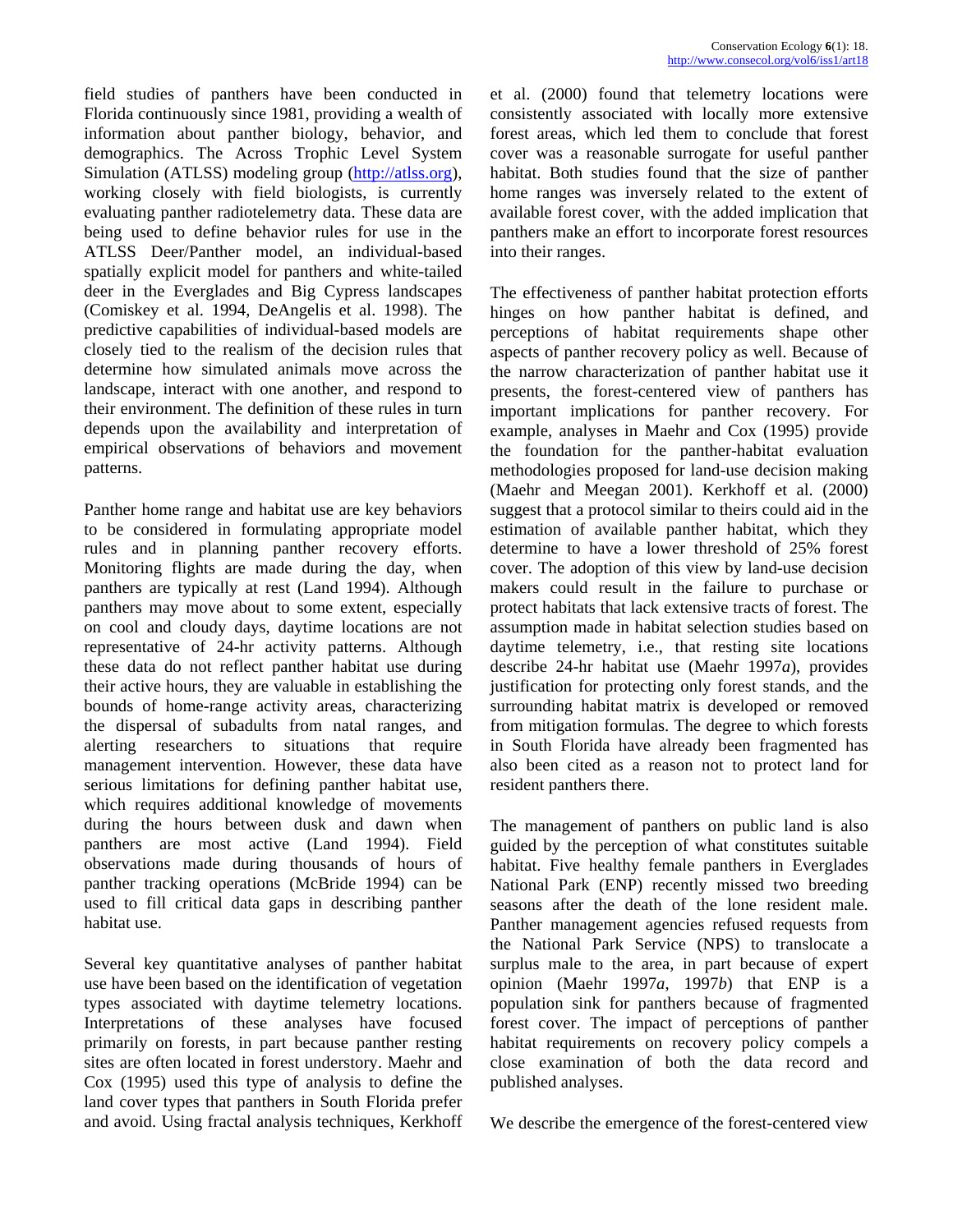field studies of panthers have been conducted in Florida continuously since 1981, providing a wealth of information about panther biology, behavior, and demographics. The Across Trophic Level System Simulation (ATLSS) modeling group [\(http://atlss.org\)](http://atlss.org/), working closely with field biologists, is currently evaluating panther radiotelemetry data. These data are being used to define behavior rules for use in the ATLSS Deer/Panther model, an individual-based spatially explicit model for panthers and white-tailed deer in the Everglades and Big Cypress landscapes (Comiskey et al. 1994, DeAngelis et al. 1998). The predictive capabilities of individual-based models are closely tied to the realism of the decision rules that determine how simulated animals move across the landscape, interact with one another, and respond to their environment. The definition of these rules in turn depends upon the availability and interpretation of empirical observations of behaviors and movement patterns.

Panther home range and habitat use are key behaviors to be considered in formulating appropriate model rules and in planning panther recovery efforts. Monitoring flights are made during the day, when panthers are typically at rest (Land 1994). Although panthers may move about to some extent, especially on cool and cloudy days, daytime locations are not representative of 24-hr activity patterns. Although these data do not reflect panther habitat use during their active hours, they are valuable in establishing the bounds of home-range activity areas, characterizing the dispersal of subadults from natal ranges, and alerting researchers to situations that require management intervention. However, these data have serious limitations for defining panther habitat use, which requires additional knowledge of movements during the hours between dusk and dawn when panthers are most active (Land 1994). Field observations made during thousands of hours of panther tracking operations (McBride 1994) can be used to fill critical data gaps in describing panther habitat use.

Several key quantitative analyses of panther habitat use have been based on the identification of vegetation types associated with daytime telemetry locations. Interpretations of these analyses have focused primarily on forests, in part because panther resting sites are often located in forest understory. Maehr and Cox (1995) used this type of analysis to define the land cover types that panthers in South Florida prefer and avoid. Using fractal analysis techniques, Kerkhoff et al. (2000) found that telemetry locations were consistently associated with locally more extensive forest areas, which led them to conclude that forest cover was a reasonable surrogate for useful panther habitat. Both studies found that the size of panther home ranges was inversely related to the extent of available forest cover, with the added implication that panthers make an effort to incorporate forest resources into their ranges.

The effectiveness of panther habitat protection efforts hinges on how panther habitat is defined, and perceptions of habitat requirements shape other aspects of panther recovery policy as well. Because of the narrow characterization of panther habitat use it presents, the forest-centered view of panthers has important implications for panther recovery. For example, analyses in Maehr and Cox (1995) provide the foundation for the panther-habitat evaluation methodologies proposed for land-use decision making (Maehr and Meegan 2001). Kerkhoff et al. (2000) suggest that a protocol similar to theirs could aid in the estimation of available panther habitat, which they determine to have a lower threshold of 25% forest cover. The adoption of this view by land-use decision makers could result in the failure to purchase or protect habitats that lack extensive tracts of forest. The assumption made in habitat selection studies based on daytime telemetry, i.e., that resting site locations describe 24-hr habitat use (Maehr 1997*a*), provides justification for protecting only forest stands, and the surrounding habitat matrix is developed or removed from mitigation formulas. The degree to which forests in South Florida have already been fragmented has also been cited as a reason not to protect land for resident panthers there.

The management of panthers on public land is also guided by the perception of what constitutes suitable habitat. Five healthy female panthers in Everglades National Park (ENP) recently missed two breeding seasons after the death of the lone resident male. Panther management agencies refused requests from the National Park Service (NPS) to translocate a surplus male to the area, in part because of expert opinion (Maehr 1997*a*, 1997*b*) that ENP is a population sink for panthers because of fragmented forest cover. The impact of perceptions of panther habitat requirements on recovery policy compels a close examination of both the data record and published analyses.

We describe the emergence of the forest-centered view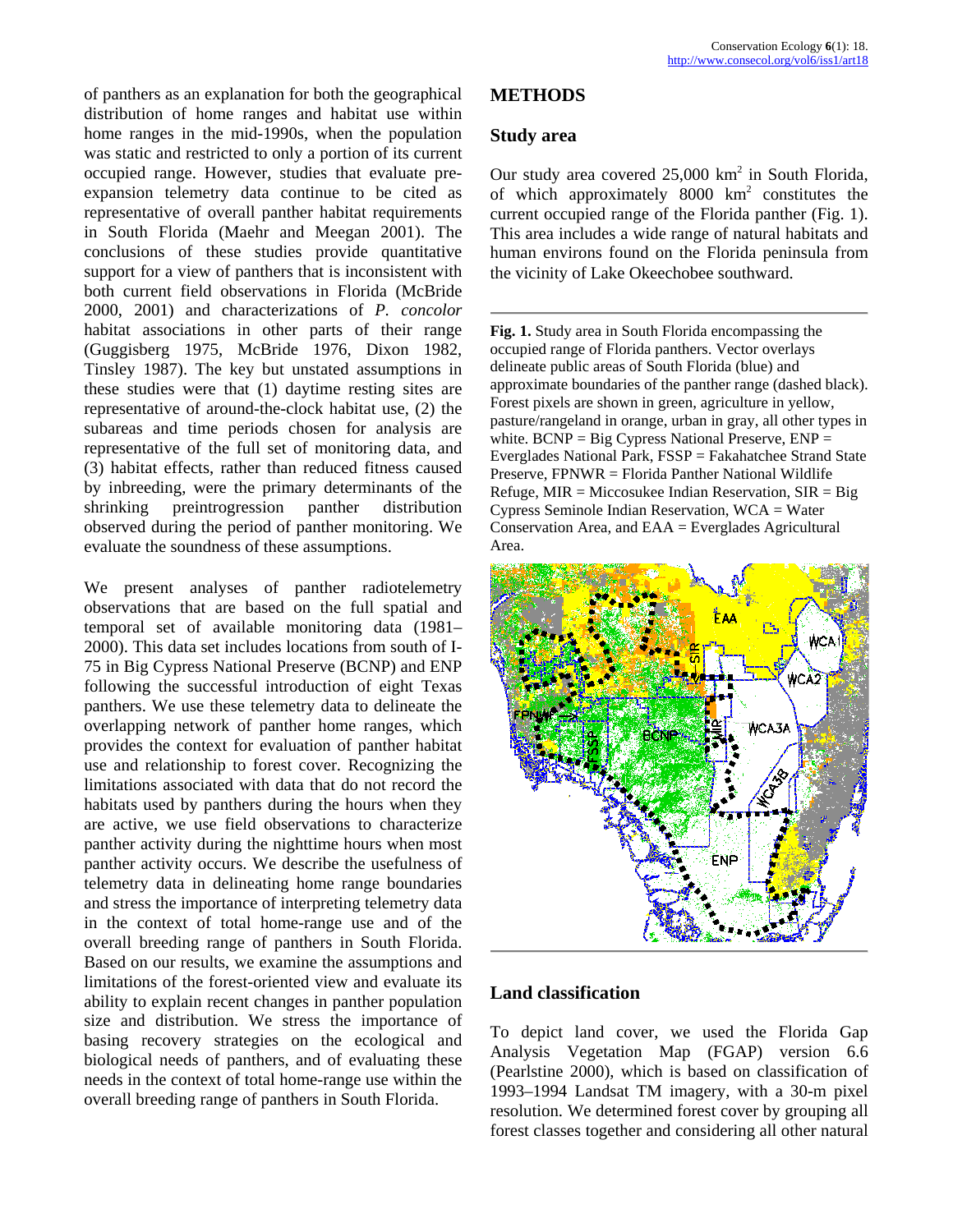of panthers as an explanation for both the geographical **METHODS**  distribution of home ranges and habitat use within home ranges in the mid-1990s, when the population was static and restricted to only a portion of its current occupied range. However, studies that evaluate preexpansion telemetry data continue to be cited as representative of overall panther habitat requirements in South Florida (Maehr and Meegan 2001). The conclusions of these studies provide quantitative support for a view of panthers that is inconsistent with both current field observations in Florida (McBride 2000, 2001) and characterizations of *P. concolor* habitat associations in other parts of their range (Guggisberg 1975, McBride 1976, Dixon 1982, Tinsley 1987). The key but unstated assumptions in these studies were that (1) daytime resting sites are representative of around-the-clock habitat use, (2) the subareas and time periods chosen for analysis are representative of the full set of monitoring data, and (3) habitat effects, rather than reduced fitness caused by inbreeding, were the primary determinants of the shrinking preintrogression panther distribution observed during the period of panther monitoring. We evaluate the soundness of these assumptions.

We present analyses of panther radiotelemetry observations that are based on the full spatial and temporal set of available monitoring data (1981– 2000). This data set includes locations from south of I-75 in Big Cypress National Preserve (BCNP) and ENP following the successful introduction of eight Texas panthers. We use these telemetry data to delineate the overlapping network of panther home ranges, which provides the context for evaluation of panther habitat use and relationship to forest cover. Recognizing the limitations associated with data that do not record the habitats used by panthers during the hours when they are active, we use field observations to characterize panther activity during the nighttime hours when most panther activity occurs. We describe the usefulness of telemetry data in delineating home range boundaries and stress the importance of interpreting telemetry data in the context of total home-range use and of the overall breeding range of panthers in South Florida. Based on our results, we examine the assumptions and limitations of the forest-oriented view and evaluate its ability to explain recent changes in panther population size and distribution. We stress the importance of basing recovery strategies on the ecological and biological needs of panthers, and of evaluating these needs in the context of total home-range use within the overall breeding range of panthers in South Florida.

#### **Study area**

Our study area covered  $25,000 \text{ km}^2$  in South Florida, of which approximately  $8000 \text{ km}^2$  constitutes the current occupied range of the Florida panther (Fig. 1). This area includes a wide range of natural habitats and human environs found on the Florida peninsula from the vicinity of Lake Okeechobee southward.

**Fig. 1.** Study area in South Florida encompassing the occupied range of Florida panthers. Vector overlays delineate public areas of South Florida (blue) and approximate boundaries of the panther range (dashed black). Forest pixels are shown in green, agriculture in yellow, pasture/rangeland in orange, urban in gray, all other types in white.  $BCNP = Big Cypress$  National Preserve,  $ENP =$ Everglades National Park, FSSP = Fakahatchee Strand State Preserve, FPNWR = Florida Panther National Wildlife Refuge, MIR = Miccosukee Indian Reservation,  $SIR = Big$ Cypress Seminole Indian Reservation, WCA = Water Conservation Area, and EAA = Everglades Agricultural Area.



### **Land classification**

To depict land cover, we used the Florida Gap Analysis Vegetation Map (FGAP) version 6.6 (Pearlstine 2000), which is based on classification of 1993–1994 Landsat TM imagery, with a 30-m pixel resolution. We determined forest cover by grouping all forest classes together and considering all other natural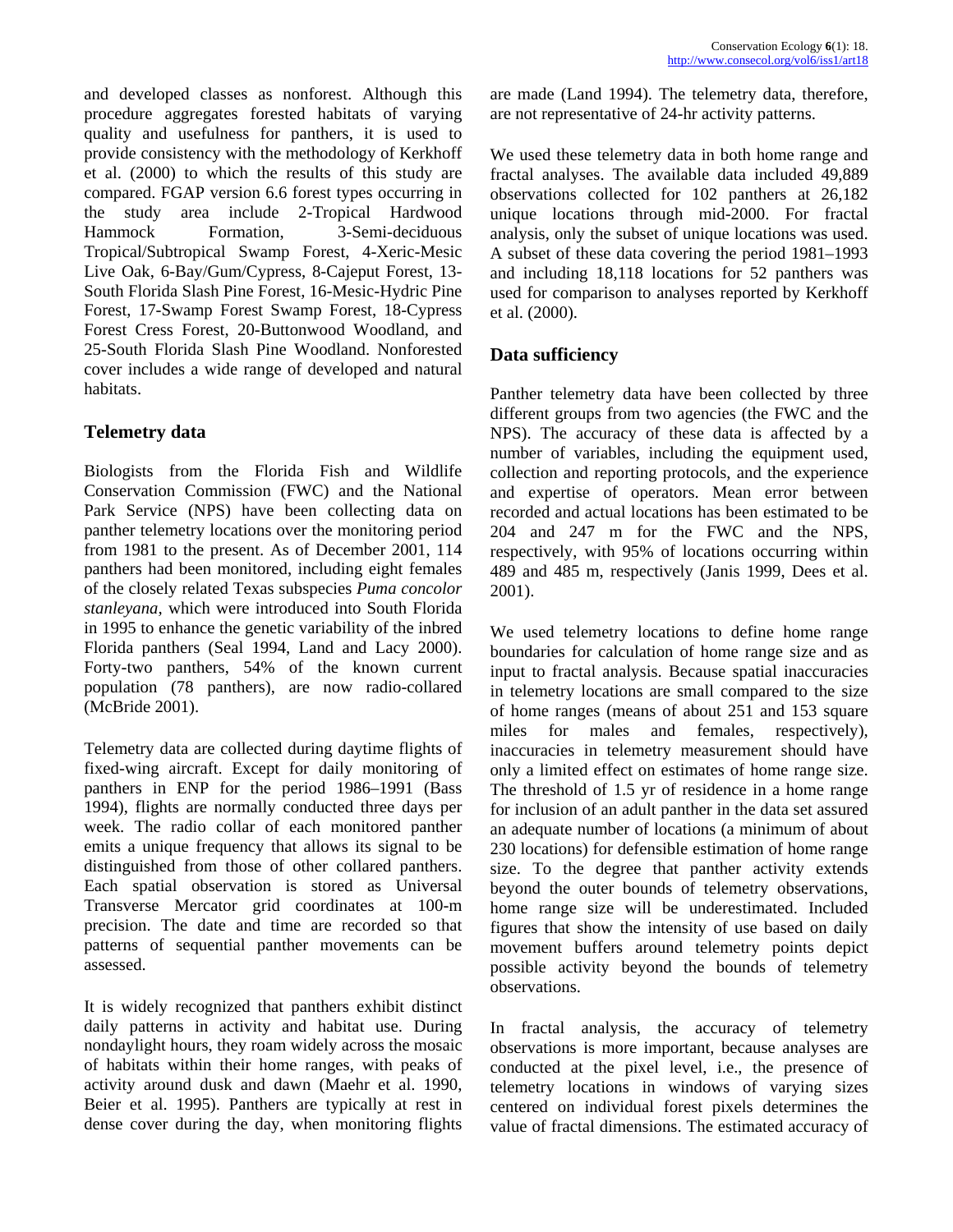and developed classes as nonforest. Although this procedure aggregates forested habitats of varying quality and usefulness for panthers, it is used to provide consistency with the methodology of Kerkhoff et al. (2000) to which the results of this study are compared. FGAP version 6.6 forest types occurring in the study area include 2-Tropical Hardwood Hammock Formation, 3-Semi-deciduous Tropical/Subtropical Swamp Forest, 4-Xeric-Mesic Live Oak, 6-Bay/Gum/Cypress, 8-Cajeput Forest, 13- South Florida Slash Pine Forest, 16-Mesic-Hydric Pine Forest, 17-Swamp Forest Swamp Forest, 18-Cypress Forest Cress Forest, 20-Buttonwood Woodland, and 25-South Florida Slash Pine Woodland. Nonforested cover includes a wide range of developed and natural habitats.

# **Telemetry data**

Biologists from the Florida Fish and Wildlife Conservation Commission (FWC) and the National Park Service (NPS) have been collecting data on panther telemetry locations over the monitoring period from 1981 to the present. As of December 2001, 114 panthers had been monitored, including eight females of the closely related Texas subspecies *Puma concolor stanleyana,* which were introduced into South Florida in 1995 to enhance the genetic variability of the inbred Florida panthers (Seal 1994, Land and Lacy 2000). Forty-two panthers, 54% of the known current population (78 panthers), are now radio-collared (McBride 2001).

Telemetry data are collected during daytime flights of fixed-wing aircraft. Except for daily monitoring of panthers in ENP for the period 1986–1991 (Bass 1994), flights are normally conducted three days per week. The radio collar of each monitored panther emits a unique frequency that allows its signal to be distinguished from those of other collared panthers. Each spatial observation is stored as Universal Transverse Mercator grid coordinates at 100-m precision. The date and time are recorded so that patterns of sequential panther movements can be assessed.

It is widely recognized that panthers exhibit distinct daily patterns in activity and habitat use. During nondaylight hours, they roam widely across the mosaic of habitats within their home ranges, with peaks of activity around dusk and dawn (Maehr et al. 1990, Beier et al. 1995). Panthers are typically at rest in dense cover during the day, when monitoring flights

are made (Land 1994). The telemetry data, therefore, are not representative of 24-hr activity patterns.

We used these telemetry data in both home range and fractal analyses. The available data included 49,889 observations collected for 102 panthers at 26,182 unique locations through mid-2000. For fractal analysis, only the subset of unique locations was used. A subset of these data covering the period 1981–1993 and including 18,118 locations for 52 panthers was used for comparison to analyses reported by Kerkhoff et al. (2000).

# **Data sufficiency**

Panther telemetry data have been collected by three different groups from two agencies (the FWC and the NPS). The accuracy of these data is affected by a number of variables, including the equipment used, collection and reporting protocols, and the experience and expertise of operators. Mean error between recorded and actual locations has been estimated to be 204 and 247 m for the FWC and the NPS, respectively, with 95% of locations occurring within 489 and 485 m, respectively (Janis 1999, Dees et al. 2001).

We used telemetry locations to define home range boundaries for calculation of home range size and as input to fractal analysis. Because spatial inaccuracies in telemetry locations are small compared to the size of home ranges (means of about 251 and 153 square miles for males and females, respectively), inaccuracies in telemetry measurement should have only a limited effect on estimates of home range size. The threshold of 1.5 yr of residence in a home range for inclusion of an adult panther in the data set assured an adequate number of locations (a minimum of about 230 locations) for defensible estimation of home range size. To the degree that panther activity extends beyond the outer bounds of telemetry observations, home range size will be underestimated. Included figures that show the intensity of use based on daily movement buffers around telemetry points depict possible activity beyond the bounds of telemetry observations.

In fractal analysis, the accuracy of telemetry observations is more important, because analyses are conducted at the pixel level, i.e., the presence of telemetry locations in windows of varying sizes centered on individual forest pixels determines the value of fractal dimensions. The estimated accuracy of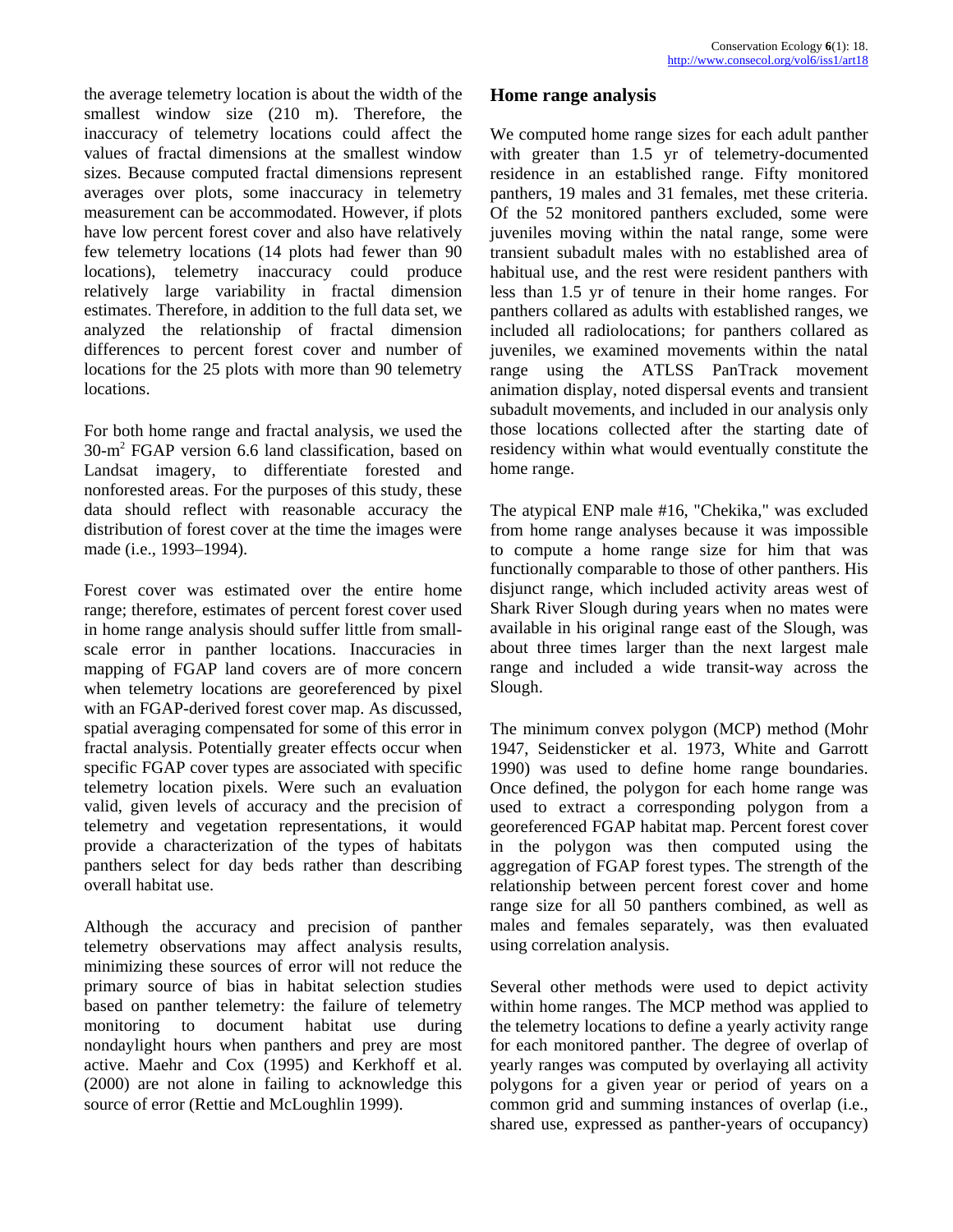the average telemetry location is about the width of the **Home range analysis**  smallest window size (210 m). Therefore, the inaccuracy of telemetry locations could affect the values of fractal dimensions at the smallest window sizes. Because computed fractal dimensions represent averages over plots, some inaccuracy in telemetry measurement can be accommodated. However, if plots have low percent forest cover and also have relatively few telemetry locations (14 plots had fewer than 90 locations), telemetry inaccuracy could produce relatively large variability in fractal dimension estimates. Therefore, in addition to the full data set, we analyzed the relationship of fractal dimension differences to percent forest cover and number of locations for the 25 plots with more than 90 telemetry locations.

For both home range and fractal analysis, we used the 30-m2 FGAP version 6.6 land classification, based on Landsat imagery, to differentiate forested and nonforested areas. For the purposes of this study, these data should reflect with reasonable accuracy the distribution of forest cover at the time the images were made (i.e., 1993–1994).

Forest cover was estimated over the entire home range; therefore, estimates of percent forest cover used in home range analysis should suffer little from smallscale error in panther locations. Inaccuracies in mapping of FGAP land covers are of more concern when telemetry locations are georeferenced by pixel with an FGAP-derived forest cover map. As discussed, spatial averaging compensated for some of this error in fractal analysis. Potentially greater effects occur when specific FGAP cover types are associated with specific telemetry location pixels. Were such an evaluation valid, given levels of accuracy and the precision of telemetry and vegetation representations, it would provide a characterization of the types of habitats panthers select for day beds rather than describing overall habitat use.

Although the accuracy and precision of panther telemetry observations may affect analysis results, minimizing these sources of error will not reduce the primary source of bias in habitat selection studies based on panther telemetry: the failure of telemetry monitoring to document habitat use during nondaylight hours when panthers and prey are most active. Maehr and Cox (1995) and Kerkhoff et al. (2000) are not alone in failing to acknowledge this source of error (Rettie and McLoughlin 1999).

We computed home range sizes for each adult panther with greater than 1.5 yr of telemetry-documented residence in an established range. Fifty monitored panthers, 19 males and 31 females, met these criteria. Of the 52 monitored panthers excluded, some were juveniles moving within the natal range, some were transient subadult males with no established area of habitual use, and the rest were resident panthers with less than 1.5 yr of tenure in their home ranges. For panthers collared as adults with established ranges, we included all radiolocations; for panthers collared as juveniles, we examined movements within the natal range using the ATLSS PanTrack movement animation display, noted dispersal events and transient subadult movements, and included in our analysis only those locations collected after the starting date of residency within what would eventually constitute the home range.

The atypical ENP male #16, "Chekika," was excluded from home range analyses because it was impossible to compute a home range size for him that was functionally comparable to those of other panthers. His disjunct range, which included activity areas west of Shark River Slough during years when no mates were available in his original range east of the Slough, was about three times larger than the next largest male range and included a wide transit-way across the Slough.

The minimum convex polygon (MCP) method (Mohr 1947, Seidensticker et al. 1973, White and Garrott 1990) was used to define home range boundaries. Once defined, the polygon for each home range was used to extract a corresponding polygon from a georeferenced FGAP habitat map. Percent forest cover in the polygon was then computed using the aggregation of FGAP forest types. The strength of the relationship between percent forest cover and home range size for all 50 panthers combined, as well as males and females separately, was then evaluated using correlation analysis.

Several other methods were used to depict activity within home ranges. The MCP method was applied to the telemetry locations to define a yearly activity range for each monitored panther. The degree of overlap of yearly ranges was computed by overlaying all activity polygons for a given year or period of years on a common grid and summing instances of overlap (i.e., shared use, expressed as panther-years of occupancy)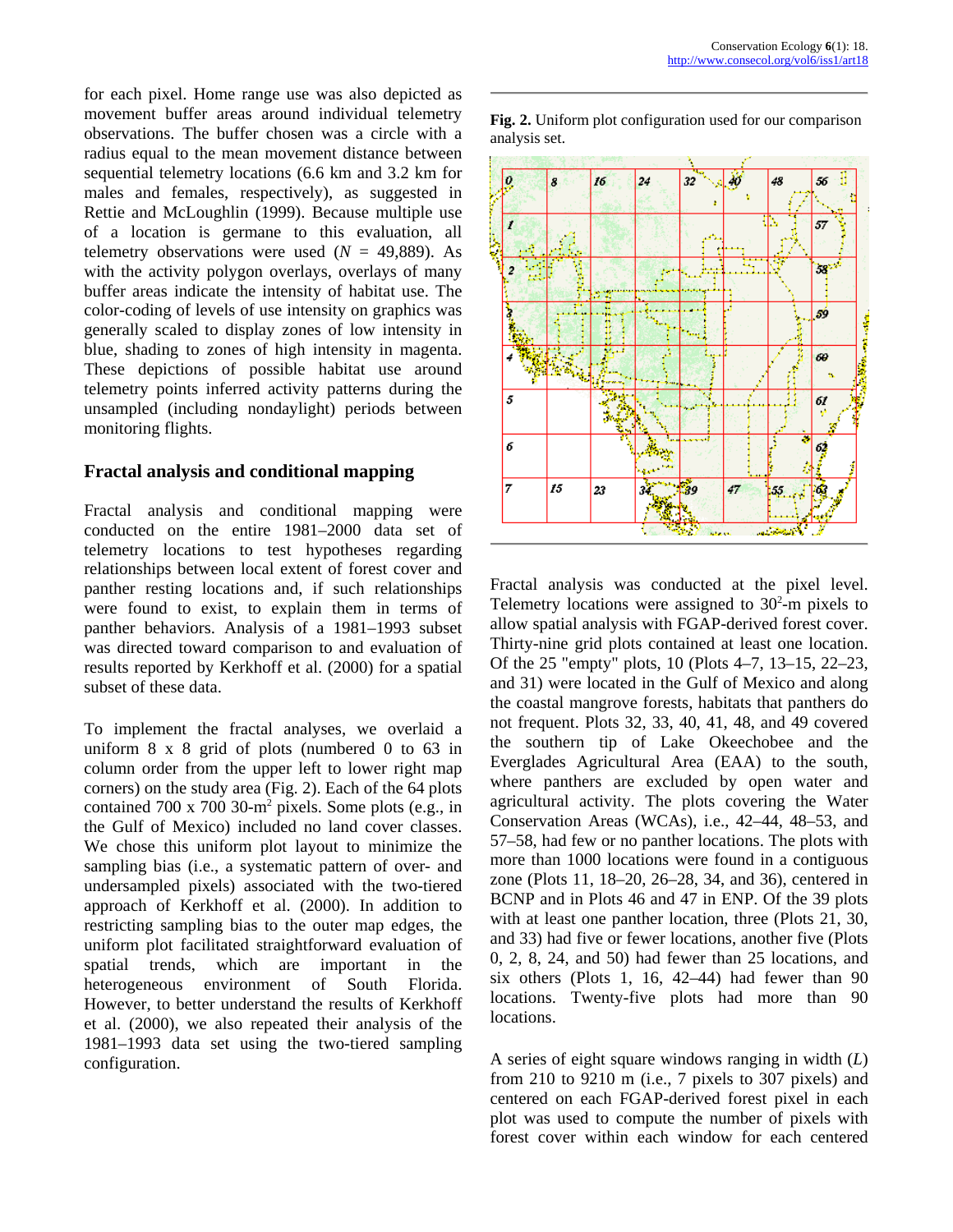for each pixel. Home range use was also depicted as movement buffer areas around individual telemetry observations. The buffer chosen was a circle with a radius equal to the mean movement distance between sequential telemetry locations (6.6 km and 3.2 km for males and females, respectively), as suggested in Rettie and McLoughlin (1999). Because multiple use of a location is germane to this evaluation, all telemetry observations were used  $(N = 49,889)$ . As with the activity polygon overlays, overlays of many buffer areas indicate the intensity of habitat use. The color-coding of levels of use intensity on graphics was generally scaled to display zones of low intensity in blue, shading to zones of high intensity in magenta. These depictions of possible habitat use around telemetry points inferred activity patterns during the unsampled (including nondaylight) periods between monitoring flights.

# **Fractal analysis and conditional mapping**

Fractal analysis and conditional mapping were conducted on the entire 1981–2000 data set of telemetry locations to test hypotheses regarding relationships between local extent of forest cover and panther resting locations and, if such relationships were found to exist, to explain them in terms of panther behaviors. Analysis of a 1981–1993 subset was directed toward comparison to and evaluation of results reported by Kerkhoff et al. (2000) for a spatial subset of these data.

To implement the fractal analyses, we overlaid a uniform 8 x 8 grid of plots (numbered 0 to 63 in column order from the upper left to lower right map corners) on the study area (Fig. 2). Each of the 64 plots contained  $700 \times 700$  30-m<sup>2</sup> pixels. Some plots (e.g., in the Gulf of Mexico) included no land cover classes. We chose this uniform plot layout to minimize the sampling bias (i.e., a systematic pattern of over- and undersampled pixels) associated with the two-tiered approach of Kerkhoff et al. (2000). In addition to restricting sampling bias to the outer map edges, the uniform plot facilitated straightforward evaluation of spatial trends, which are important in the heterogeneous environment of South Florida. However, to better understand the results of Kerkhoff et al. (2000), we also repeated their analysis of the 1981–1993 data set using the two-tiered sampling configuration. **A** series of eight square windows ranging in width (*L*)



Fractal analysis was conducted at the pixel level. Telemetry locations were assigned to  $30<sup>2</sup>$ -m pixels to allow spatial analysis with FGAP-derived forest cover. Thirty-nine grid plots contained at least one location. Of the 25 "empty" plots, 10 (Plots 4–7, 13–15, 22–23, and 31) were located in the Gulf of Mexico and along the coastal mangrove forests, habitats that panthers do not frequent. Plots 32, 33, 40, 41, 48, and 49 covered the southern tip of Lake Okeechobee and the Everglades Agricultural Area (EAA) to the south, where panthers are excluded by open water and agricultural activity. The plots covering the Water Conservation Areas (WCAs), i.e., 42–44, 48–53, and 57–58, had few or no panther locations. The plots with more than 1000 locations were found in a contiguous zone (Plots 11, 18–20, 26–28, 34, and 36), centered in BCNP and in Plots 46 and 47 in ENP. Of the 39 plots with at least one panther location, three (Plots 21, 30, and 33) had five or fewer locations, another five (Plots 0, 2, 8, 24, and 50) had fewer than 25 locations, and six others (Plots 1, 16, 42–44) had fewer than 90 locations. Twenty-five plots had more than 90 locations.

from 210 to 9210 m (i.e., 7 pixels to 307 pixels) and centered on each FGAP-derived forest pixel in each plot was used to compute the number of pixels with forest cover within each window for each centered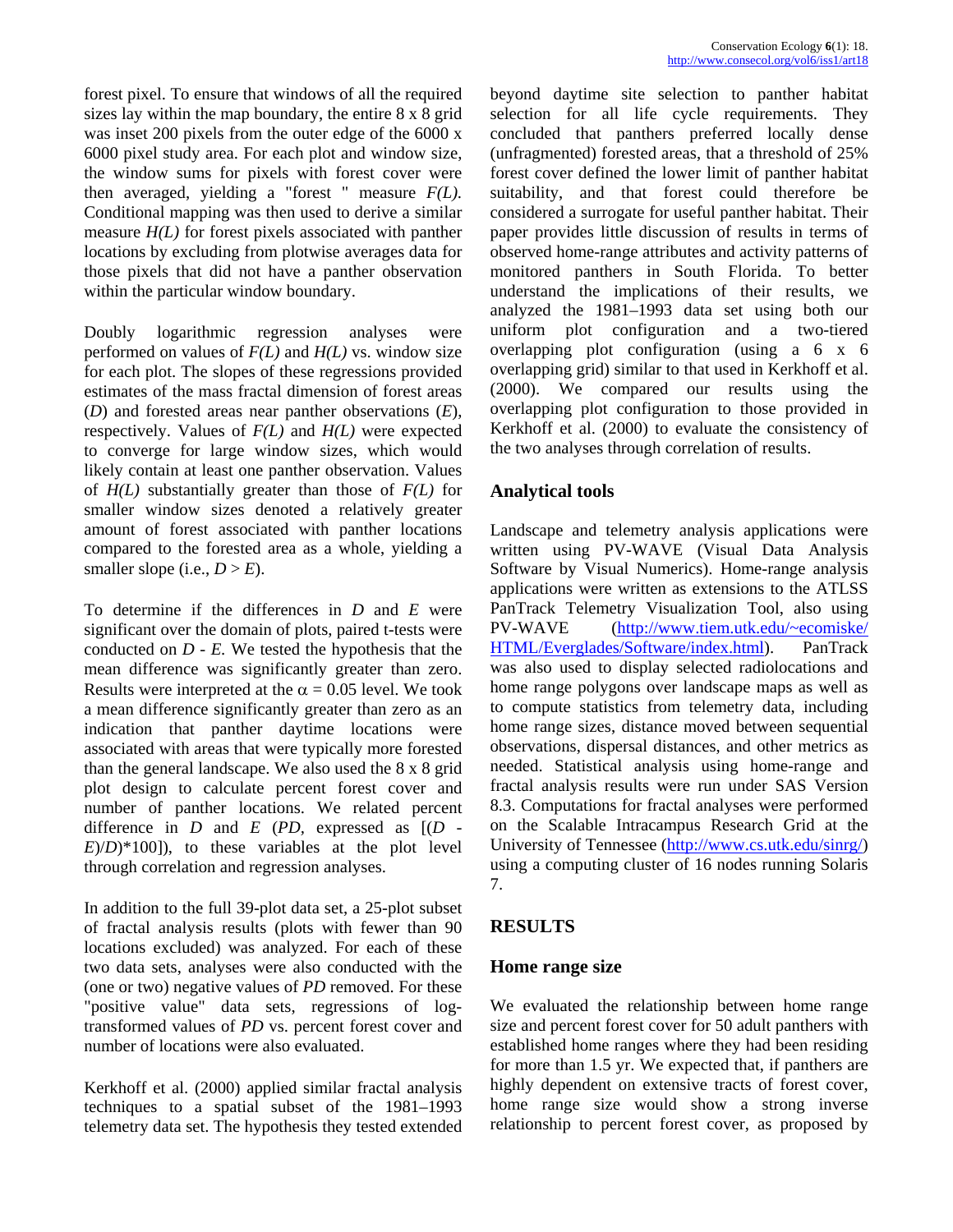forest pixel. To ensure that windows of all the required sizes lay within the map boundary, the entire 8 x 8 grid was inset 200 pixels from the outer edge of the 6000 x 6000 pixel study area. For each plot and window size, the window sums for pixels with forest cover were then averaged, yielding a "forest " measure *F(L).* Conditional mapping was then used to derive a similar measure *H(L)* for forest pixels associated with panther locations by excluding from plotwise averages data for those pixels that did not have a panther observation within the particular window boundary.

Doubly logarithmic regression analyses were performed on values of *F(L)* and *H(L)* vs. window size for each plot. The slopes of these regressions provided estimates of the mass fractal dimension of forest areas (*D*) and forested areas near panther observations (*E*), respectively. Values of *F(L)* and *H(L)* were expected to converge for large window sizes, which would likely contain at least one panther observation. Values of *H(L)* substantially greater than those of *F(L)* for smaller window sizes denoted a relatively greater amount of forest associated with panther locations compared to the forested area as a whole, yielding a smaller slope (i.e.,  $D > E$ ).

To determine if the differences in *D* and *E* were significant over the domain of plots, paired t-tests were conducted on  $D - E$ . We tested the hypothesis that the mean difference was significantly greater than zero. Results were interpreted at the  $\alpha = 0.05$  level. We took a mean difference significantly greater than zero as an indication that panther daytime locations were associated with areas that were typically more forested than the general landscape. We also used the 8 x 8 grid plot design to calculate percent forest cover and number of panther locations. We related percent difference in  $D$  and  $E$  ( $PD$ , expressed as  $[(D E(D)*100$ ]), to these variables at the plot level through correlation and regression analyses.

In addition to the full 39-plot data set, a 25-plot subset of fractal analysis results (plots with fewer than 90 locations excluded) was analyzed. For each of these two data sets, analyses were also conducted with the (one or two) negative values of *PD* removed. For these "positive value" data sets, regressions of logtransformed values of *PD* vs. percent forest cover and number of locations were also evaluated.

Kerkhoff et al. (2000) applied similar fractal analysis techniques to a spatial subset of the 1981–1993 telemetry data set. The hypothesis they tested extended

beyond daytime site selection to panther habitat selection for all life cycle requirements. They concluded that panthers preferred locally dense (unfragmented) forested areas, that a threshold of 25% forest cover defined the lower limit of panther habitat suitability, and that forest could therefore be considered a surrogate for useful panther habitat. Their paper provides little discussion of results in terms of observed home-range attributes and activity patterns of monitored panthers in South Florida. To better understand the implications of their results, we analyzed the 1981–1993 data set using both our uniform plot configuration and a two-tiered overlapping plot configuration (using a 6 x 6 overlapping grid) similar to that used in Kerkhoff et al. (2000). We compared our results using the overlapping plot configuration to those provided in Kerkhoff et al. (2000) to evaluate the consistency of the two analyses through correlation of results.

# **Analytical tools**

Landscape and telemetry analysis applications were written using PV-WAVE (Visual Data Analysis Software by Visual Numerics). Home-range analysis applications were written as extensions to the ATLSS PanTrack Telemetry Visualization Tool, also using PV-WAVE ([http://www.tiem.utk.edu/~ecomiske/](http://www.tiem.utk.edu/~ecomiske/HTML/Everglades/Software/index.html)  [HTML/Everglades/Software/index.html](http://www.tiem.utk.edu/~ecomiske/HTML/Everglades/Software/index.html)). PanTrack was also used to display selected radiolocations and home range polygons over landscape maps as well as to compute statistics from telemetry data, including home range sizes, distance moved between sequential observations, dispersal distances, and other metrics as needed. Statistical analysis using home-range and fractal analysis results were run under SAS Version 8.3. Computations for fractal analyses were performed on the Scalable Intracampus Research Grid at the University of Tennessee (<http://www.cs.utk.edu/sinrg/>) using a computing cluster of 16 nodes running Solaris 7.

# **RESULTS**

# **Home range size**

We evaluated the relationship between home range size and percent forest cover for 50 adult panthers with established home ranges where they had been residing for more than 1.5 yr. We expected that, if panthers are highly dependent on extensive tracts of forest cover, home range size would show a strong inverse relationship to percent forest cover, as proposed by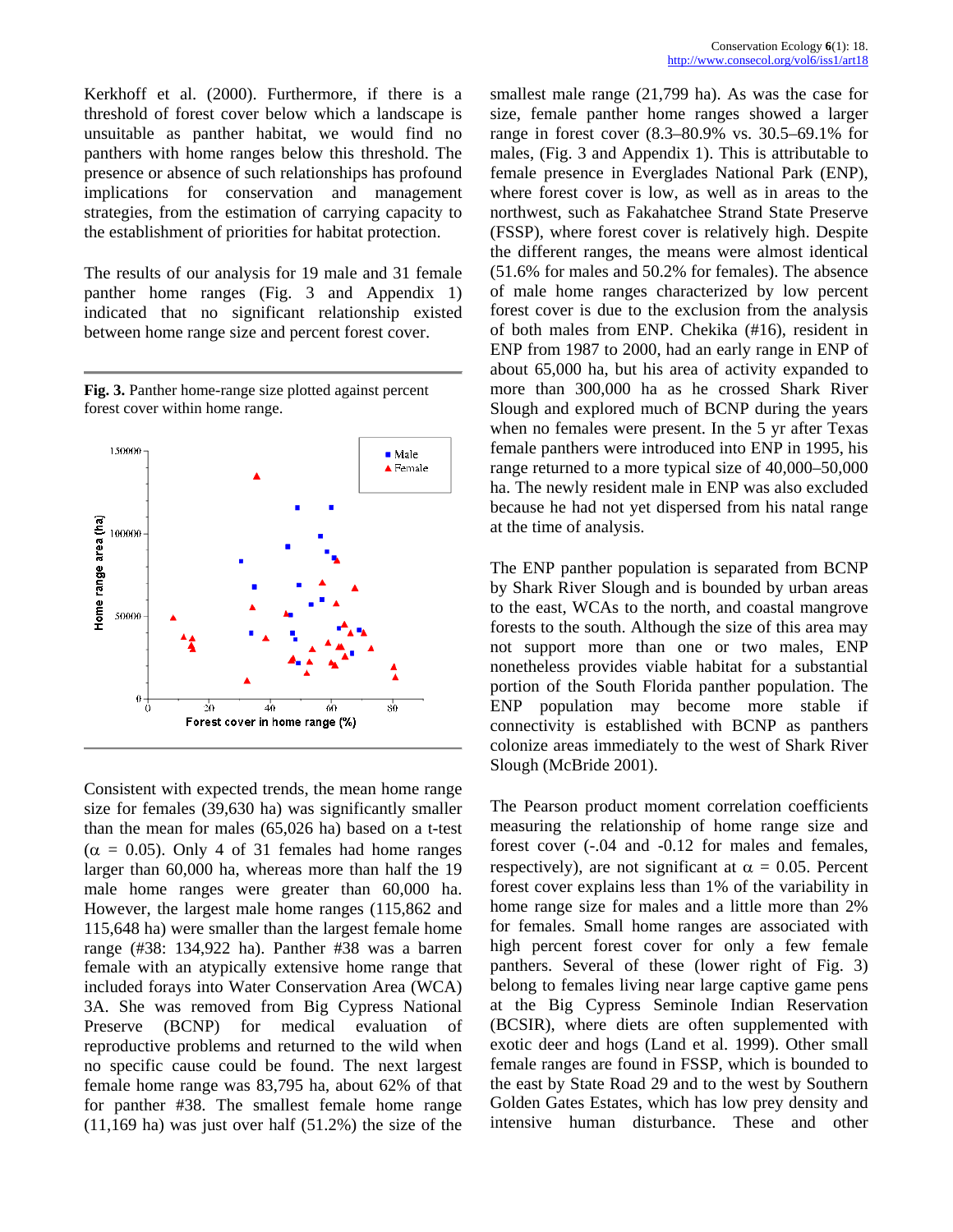Kerkhoff et al. (2000). Furthermore, if there is a threshold of forest cover below which a landscape is unsuitable as panther habitat, we would find no panthers with home ranges below this threshold. The presence or absence of such relationships has profound implications for conservation and management strategies, from the estimation of carrying capacity to the establishment of priorities for habitat protection.

The results of our analysis for 19 male and 31 female panther home ranges (Fig. 3 and Appendix 1) indicated that no significant relationship existed between home range size and percent forest cover.

**Fig. 3.** Panther home-range size plotted against percent forest cover within home range.



Consistent with expected trends, the mean home range size for females (39,630 ha) was significantly smaller than the mean for males (65,026 ha) based on a t-test  $(\alpha = 0.05)$ . Only 4 of 31 females had home ranges larger than 60,000 ha, whereas more than half the 19 male home ranges were greater than 60,000 ha. However, the largest male home ranges (115,862 and 115,648 ha) were smaller than the largest female home range (#38: 134,922 ha). Panther #38 was a barren female with an atypically extensive home range that included forays into Water Conservation Area (WCA) 3A. She was removed from Big Cypress National Preserve (BCNP) for medical evaluation of reproductive problems and returned to the wild when no specific cause could be found. The next largest female home range was 83,795 ha, about 62% of that for panther #38. The smallest female home range  $(11,169$  ha) was just over half  $(51.2%)$  the size of the

smallest male range (21,799 ha). As was the case for size, female panther home ranges showed a larger range in forest cover (8.3–80.9% vs. 30.5–69.1% for males, (Fig. 3 and Appendix 1). This is attributable to female presence in Everglades National Park (ENP), where forest cover is low, as well as in areas to the northwest, such as Fakahatchee Strand State Preserve (FSSP), where forest cover is relatively high. Despite the different ranges, the means were almost identical (51.6% for males and 50.2% for females). The absence of male home ranges characterized by low percent forest cover is due to the exclusion from the analysis of both males from ENP. Chekika (#16), resident in ENP from 1987 to 2000, had an early range in ENP of about 65,000 ha, but his area of activity expanded to more than 300,000 ha as he crossed Shark River Slough and explored much of BCNP during the years when no females were present. In the 5 yr after Texas female panthers were introduced into ENP in 1995, his range returned to a more typical size of 40,000–50,000 ha. The newly resident male in ENP was also excluded because he had not yet dispersed from his natal range at the time of analysis.

The ENP panther population is separated from BCNP by Shark River Slough and is bounded by urban areas to the east, WCAs to the north, and coastal mangrove forests to the south. Although the size of this area may not support more than one or two males, ENP nonetheless provides viable habitat for a substantial portion of the South Florida panther population. The ENP population may become more stable if connectivity is established with BCNP as panthers colonize areas immediately to the west of Shark River Slough (McBride 2001).

The Pearson product moment correlation coefficients measuring the relationship of home range size and forest cover (-.04 and -0.12 for males and females, respectively), are not significant at  $\alpha = 0.05$ . Percent forest cover explains less than 1% of the variability in home range size for males and a little more than 2% for females. Small home ranges are associated with high percent forest cover for only a few female panthers. Several of these (lower right of Fig. 3) belong to females living near large captive game pens at the Big Cypress Seminole Indian Reservation (BCSIR), where diets are often supplemented with exotic deer and hogs (Land et al. 1999). Other small female ranges are found in FSSP, which is bounded to the east by State Road 29 and to the west by Southern Golden Gates Estates, which has low prey density and intensive human disturbance. These and other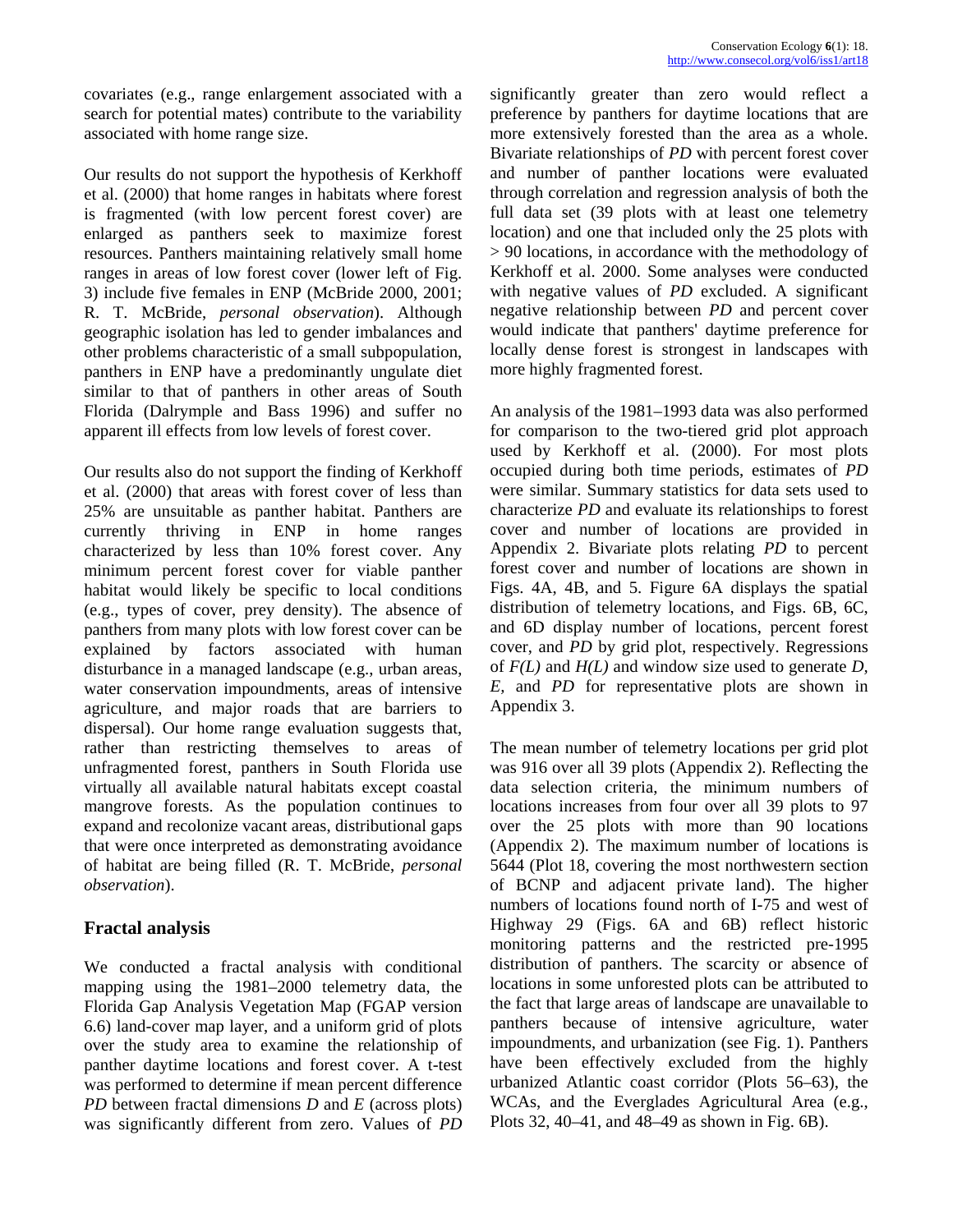covariates (e.g., range enlargement associated with a search for potential mates) contribute to the variability associated with home range size.

Our results do not support the hypothesis of Kerkhoff et al. (2000) that home ranges in habitats where forest is fragmented (with low percent forest cover) are enlarged as panthers seek to maximize forest resources. Panthers maintaining relatively small home ranges in areas of low forest cover (lower left of Fig. 3) include five females in ENP (McBride 2000, 2001; R. T. McBride, *personal observation*). Although geographic isolation has led to gender imbalances and other problems characteristic of a small subpopulation, panthers in ENP have a predominantly ungulate diet similar to that of panthers in other areas of South Florida (Dalrymple and Bass 1996) and suffer no apparent ill effects from low levels of forest cover.

Our results also do not support the finding of Kerkhoff et al. (2000) that areas with forest cover of less than 25% are unsuitable as panther habitat. Panthers are currently thriving in ENP in home ranges characterized by less than 10% forest cover. Any minimum percent forest cover for viable panther habitat would likely be specific to local conditions (e.g., types of cover, prey density). The absence of panthers from many plots with low forest cover can be explained by factors associated with human disturbance in a managed landscape (e.g., urban areas, water conservation impoundments, areas of intensive agriculture, and major roads that are barriers to dispersal). Our home range evaluation suggests that, rather than restricting themselves to areas of unfragmented forest, panthers in South Florida use virtually all available natural habitats except coastal mangrove forests. As the population continues to expand and recolonize vacant areas, distributional gaps that were once interpreted as demonstrating avoidance of habitat are being filled (R. T. McBride, *personal observation*).

# **Fractal analysis**

We conducted a fractal analysis with conditional mapping using the 1981–2000 telemetry data, the Florida Gap Analysis Vegetation Map (FGAP version 6.6) land-cover map layer, and a uniform grid of plots over the study area to examine the relationship of panther daytime locations and forest cover. A t-test was performed to determine if mean percent difference *PD* between fractal dimensions *D* and *E* (across plots) was significantly different from zero. Values of *PD*

significantly greater than zero would reflect a preference by panthers for daytime locations that are more extensively forested than the area as a whole. Bivariate relationships of *PD* with percent forest cover and number of panther locations were evaluated through correlation and regression analysis of both the full data set (39 plots with at least one telemetry location) and one that included only the 25 plots with > 90 locations, in accordance with the methodology of Kerkhoff et al. 2000. Some analyses were conducted with negative values of *PD* excluded. A significant negative relationship between *PD* and percent cover would indicate that panthers' daytime preference for locally dense forest is strongest in landscapes with more highly fragmented forest.

An analysis of the 1981–1993 data was also performed for comparison to the two-tiered grid plot approach used by Kerkhoff et al. (2000). For most plots occupied during both time periods, estimates of *PD* were similar. Summary statistics for data sets used to characterize *PD* and evaluate its relationships to forest cover and number of locations are provided in Appendix 2. Bivariate plots relating *PD* to percent forest cover and number of locations are shown in Figs. 4A, 4B, and 5. Figure 6A displays the spatial distribution of telemetry locations, and Figs. 6B, 6C, and 6D display number of locations, percent forest cover, and *PD* by grid plot, respectively. Regressions of *F(L)* and *H(L)* and window size used to generate *D, E,* and *PD* for representative plots are shown in Appendix 3.

The mean number of telemetry locations per grid plot was 916 over all 39 plots (Appendix 2). Reflecting the data selection criteria, the minimum numbers of locations increases from four over all 39 plots to 97 over the 25 plots with more than 90 locations (Appendix 2). The maximum number of locations is 5644 (Plot 18, covering the most northwestern section of BCNP and adjacent private land). The higher numbers of locations found north of I-75 and west of Highway 29 (Figs. 6A and 6B) reflect historic monitoring patterns and the restricted pre-1995 distribution of panthers. The scarcity or absence of locations in some unforested plots can be attributed to the fact that large areas of landscape are unavailable to panthers because of intensive agriculture, water impoundments, and urbanization (see Fig. 1). Panthers have been effectively excluded from the highly urbanized Atlantic coast corridor (Plots 56–63), the WCAs, and the Everglades Agricultural Area (e.g., Plots 32, 40–41, and 48–49 as shown in Fig. 6B).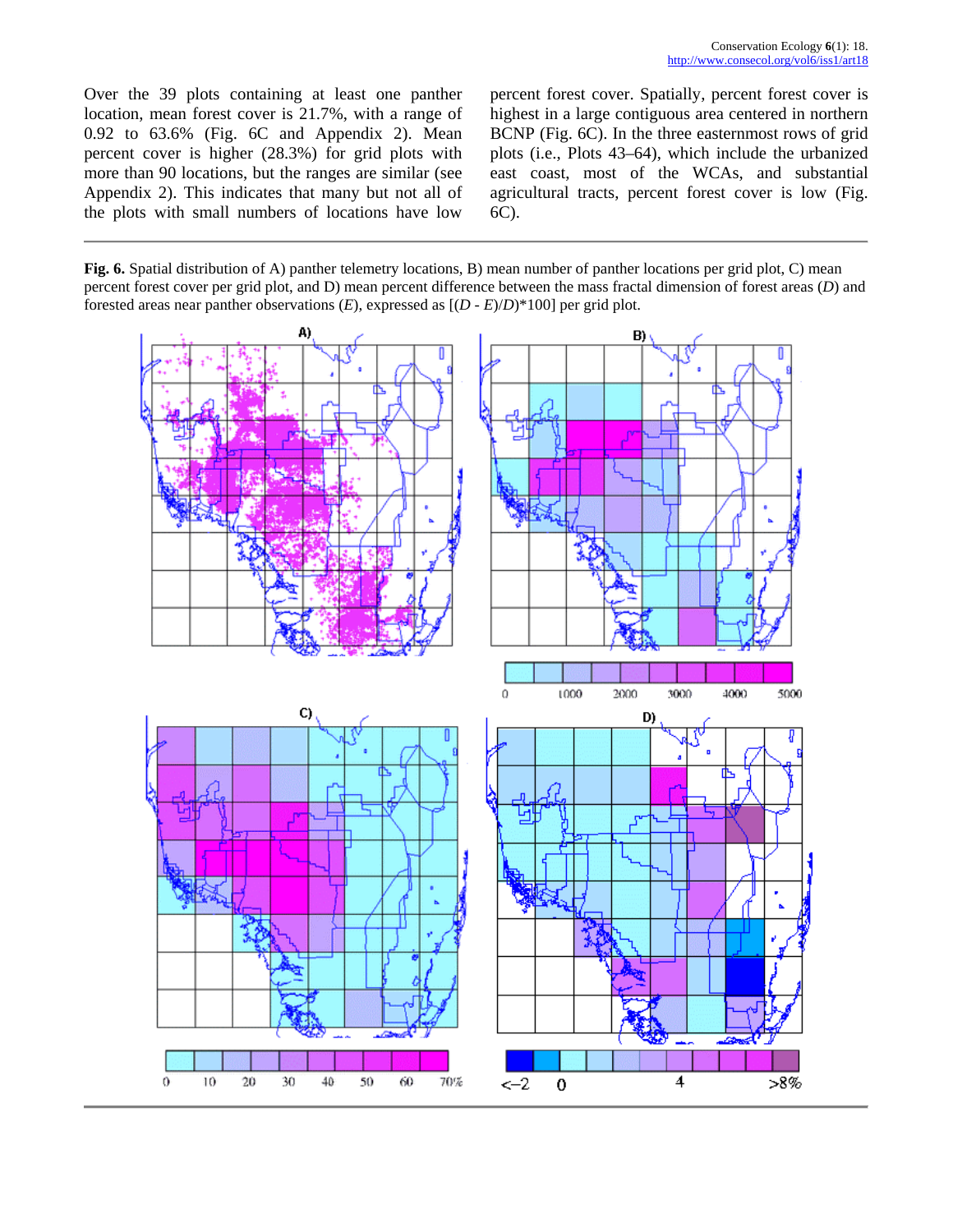Over the 39 plots containing at least one panther location, mean forest cover is 21.7%, with a range of 0.92 to 63.6% (Fig. 6C and Appendix 2). Mean percent cover is higher (28.3%) for grid plots with more than 90 locations, but the ranges are similar (see Appendix 2). This indicates that many but not all of the plots with small numbers of locations have low percent forest cover. Spatially, percent forest cover is highest in a large contiguous area centered in northern BCNP (Fig. 6C). In the three easternmost rows of grid plots (i.e., Plots 43–64), which include the urbanized east coast, most of the WCAs, and substantial agricultural tracts, percent forest cover is low (Fig. 6C).

**Fig. 6.** Spatial distribution of A) panther telemetry locations, B) mean number of panther locations per grid plot, C) mean percent forest cover per grid plot, and D) mean percent difference between the mass fractal dimension of forest areas (*D*) and forested areas near panther observations (*E*), expressed as [(*D* - *E*)/*D*)\*100] per grid plot.

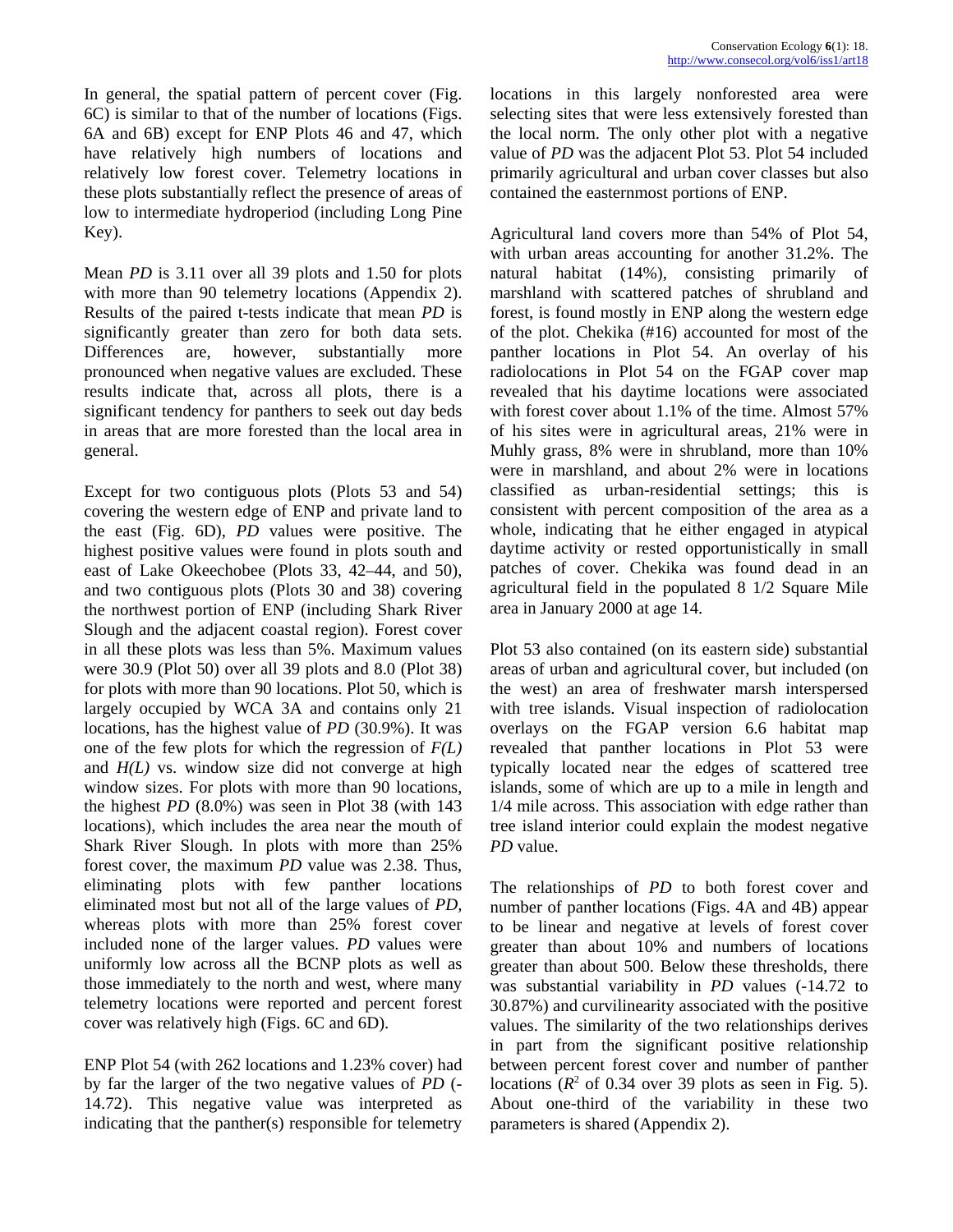In general, the spatial pattern of percent cover (Fig. 6C) is similar to that of the number of locations (Figs. 6A and 6B) except for ENP Plots 46 and 47, which have relatively high numbers of locations and relatively low forest cover. Telemetry locations in these plots substantially reflect the presence of areas of low to intermediate hydroperiod (including Long Pine Key).

Mean *PD* is 3.11 over all 39 plots and 1.50 for plots with more than 90 telemetry locations (Appendix 2). Results of the paired t-tests indicate that mean *PD* is significantly greater than zero for both data sets. Differences are, however, substantially more pronounced when negative values are excluded. These results indicate that, across all plots, there is a significant tendency for panthers to seek out day beds in areas that are more forested than the local area in general.

Except for two contiguous plots (Plots 53 and 54) covering the western edge of ENP and private land to the east (Fig. 6D), *PD* values were positive. The highest positive values were found in plots south and east of Lake Okeechobee (Plots 33, 42–44, and 50), and two contiguous plots (Plots 30 and 38) covering the northwest portion of ENP (including Shark River Slough and the adjacent coastal region). Forest cover in all these plots was less than 5%. Maximum values were 30.9 (Plot 50) over all 39 plots and 8.0 (Plot 38) for plots with more than 90 locations. Plot 50, which is largely occupied by WCA 3A and contains only 21 locations, has the highest value of *PD* (30.9%). It was one of the few plots for which the regression of *F(L)* and *H(L)* vs. window size did not converge at high window sizes. For plots with more than 90 locations, the highest *PD* (8.0%) was seen in Plot 38 (with 143 locations), which includes the area near the mouth of Shark River Slough. In plots with more than 25% forest cover, the maximum *PD* value was 2.38. Thus, eliminating plots with few panther locations eliminated most but not all of the large values of *PD,* whereas plots with more than 25% forest cover included none of the larger values. *PD* values were uniformly low across all the BCNP plots as well as those immediately to the north and west, where many telemetry locations were reported and percent forest cover was relatively high (Figs. 6C and 6D).

ENP Plot 54 (with 262 locations and 1.23% cover) had by far the larger of the two negative values of *PD* (- 14.72). This negative value was interpreted as indicating that the panther(s) responsible for telemetry locations in this largely nonforested area were selecting sites that were less extensively forested than the local norm. The only other plot with a negative value of *PD* was the adjacent Plot 53. Plot 54 included primarily agricultural and urban cover classes but also contained the easternmost portions of ENP.

Agricultural land covers more than 54% of Plot 54, with urban areas accounting for another 31.2%. The natural habitat (14%), consisting primarily of marshland with scattered patches of shrubland and forest, is found mostly in ENP along the western edge of the plot. Chekika (#16) accounted for most of the panther locations in Plot 54. An overlay of his radiolocations in Plot 54 on the FGAP cover map revealed that his daytime locations were associated with forest cover about 1.1% of the time. Almost 57% of his sites were in agricultural areas, 21% were in Muhly grass, 8% were in shrubland, more than 10% were in marshland, and about 2% were in locations classified as urban-residential settings; this is consistent with percent composition of the area as a whole, indicating that he either engaged in atypical daytime activity or rested opportunistically in small patches of cover. Chekika was found dead in an agricultural field in the populated 8 1/2 Square Mile area in January 2000 at age 14.

Plot 53 also contained (on its eastern side) substantial areas of urban and agricultural cover, but included (on the west) an area of freshwater marsh interspersed with tree islands. Visual inspection of radiolocation overlays on the FGAP version 6.6 habitat map revealed that panther locations in Plot 53 were typically located near the edges of scattered tree islands, some of which are up to a mile in length and 1/4 mile across. This association with edge rather than tree island interior could explain the modest negative *PD* value.

The relationships of *PD* to both forest cover and number of panther locations (Figs. 4A and 4B) appear to be linear and negative at levels of forest cover greater than about 10% and numbers of locations greater than about 500. Below these thresholds, there was substantial variability in *PD* values (-14.72 to 30.87%) and curvilinearity associated with the positive values. The similarity of the two relationships derives in part from the significant positive relationship between percent forest cover and number of panther locations  $(R^2 \text{ of } 0.34 \text{ over } 39 \text{ plots as seen in Fig. 5}).$ About one-third of the variability in these two parameters is shared (Appendix 2).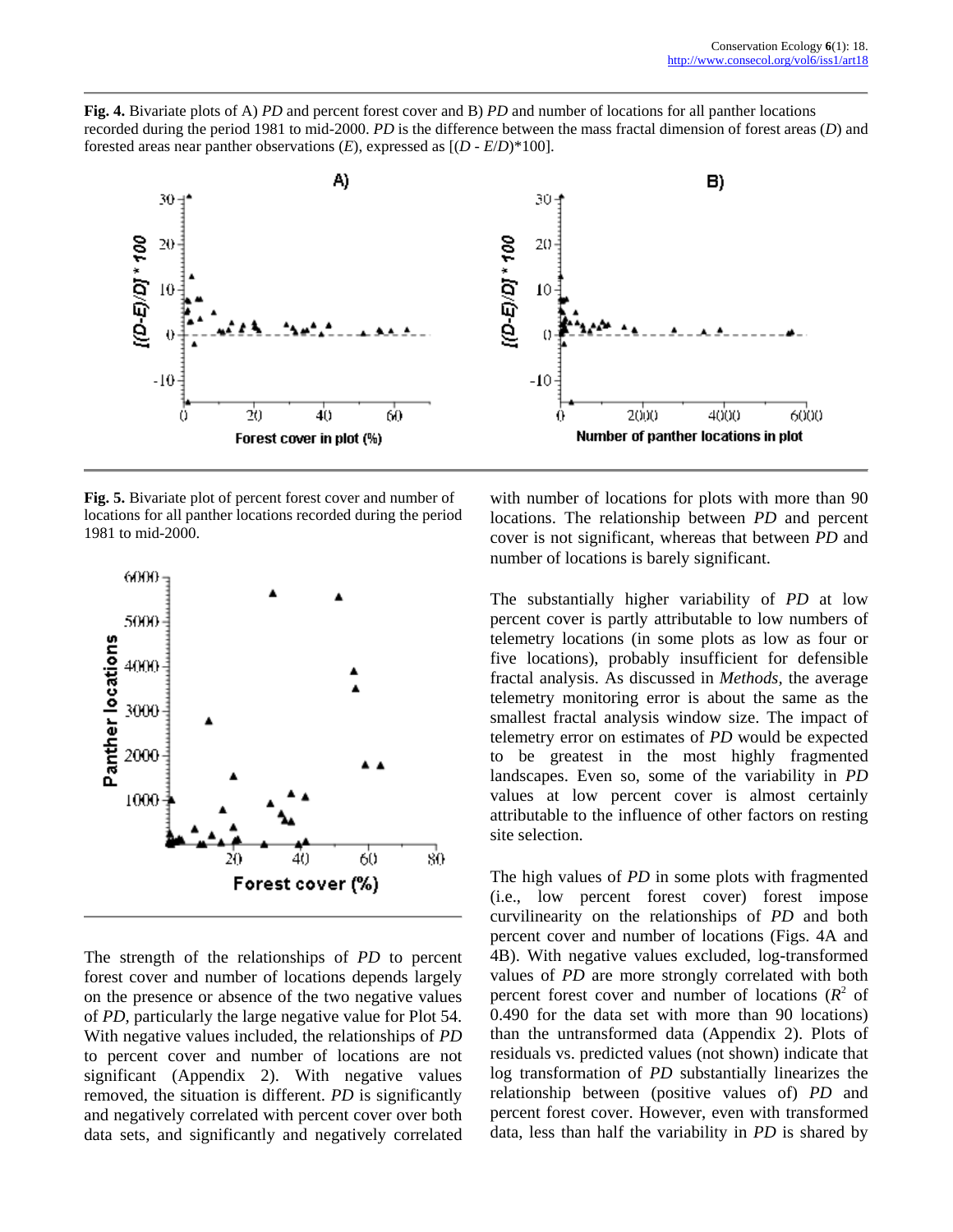**Fig. 4.** Bivariate plots of A) *PD* and percent forest cover and B) *PD* and number of locations for all panther locations recorded during the period 1981 to mid-2000. *PD* is the difference between the mass fractal dimension of forest areas (*D*) and forested areas near panther observations (*E*), expressed as [(*D* - *E*/*D*)\*100].



**Fig. 5.** Bivariate plot of percent forest cover and number of locations for all panther locations recorded during the period 1981 to mid-2000.



The strength of the relationships of *PD* to percent forest cover and number of locations depends largely on the presence or absence of the two negative values of *PD,* particularly the large negative value for Plot 54. With negative values included, the relationships of *PD* to percent cover and number of locations are not significant (Appendix 2). With negative values removed, the situation is different. *PD* is significantly and negatively correlated with percent cover over both data sets, and significantly and negatively correlated with number of locations for plots with more than 90 locations. The relationship between *PD* and percent cover is not significant, whereas that between *PD* and number of locations is barely significant.

The substantially higher variability of *PD* at low percent cover is partly attributable to low numbers of telemetry locations (in some plots as low as four or five locations), probably insufficient for defensible fractal analysis. As discussed in *Methods,* the average telemetry monitoring error is about the same as the smallest fractal analysis window size. The impact of telemetry error on estimates of *PD* would be expected to be greatest in the most highly fragmented landscapes. Even so, some of the variability in *PD* values at low percent cover is almost certainly attributable to the influence of other factors on resting site selection.

The high values of *PD* in some plots with fragmented (i.e., low percent forest cover) forest impose curvilinearity on the relationships of *PD* and both percent cover and number of locations (Figs. 4A and 4B). With negative values excluded, log-transformed values of *PD* are more strongly correlated with both percent forest cover and number of locations  $(R^2 \text{ of }$ 0.490 for the data set with more than 90 locations) than the untransformed data (Appendix 2). Plots of residuals vs. predicted values (not shown) indicate that log transformation of *PD* substantially linearizes the relationship between (positive values of) *PD* and percent forest cover. However, even with transformed data, less than half the variability in *PD* is shared by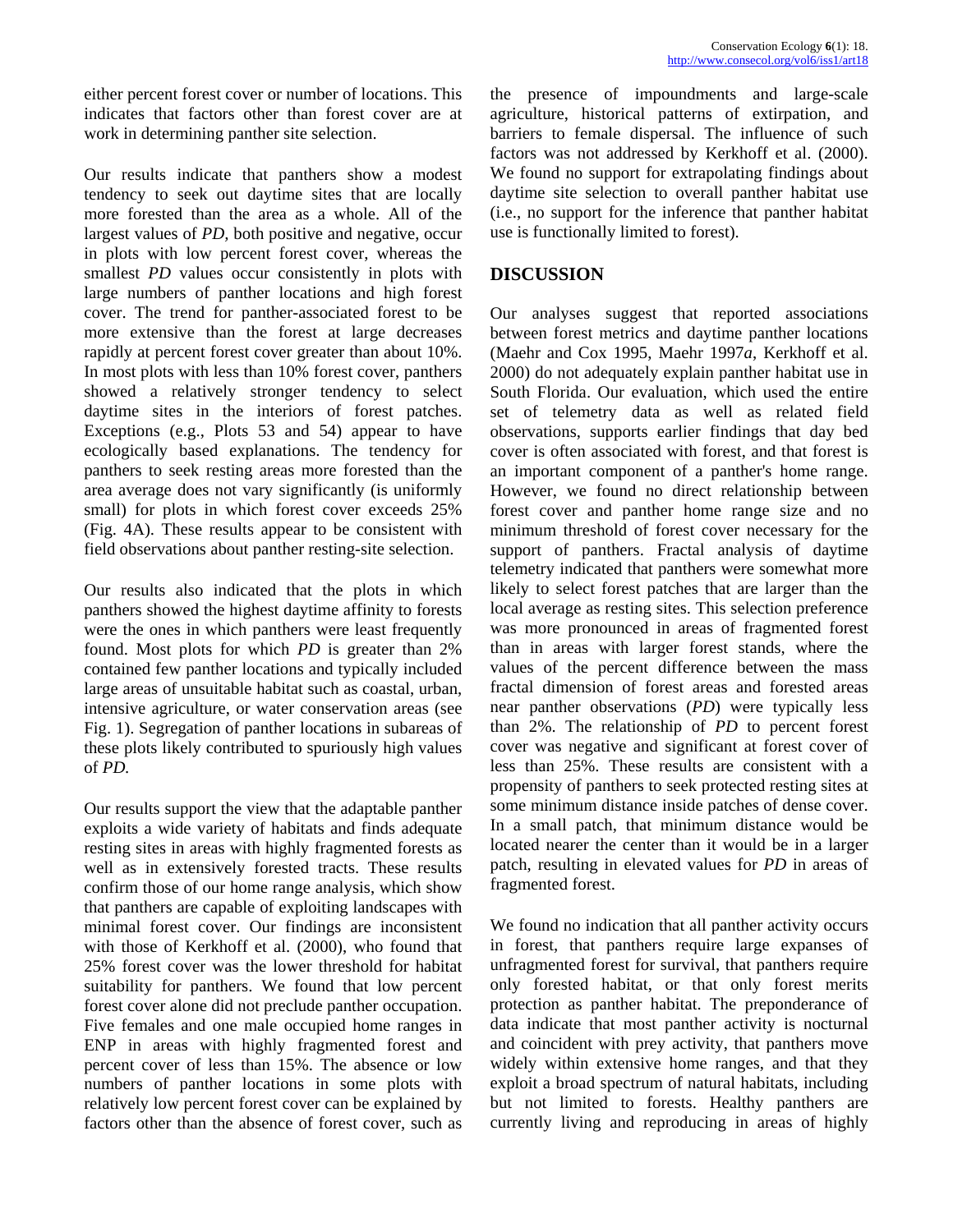either percent forest cover or number of locations. This indicates that factors other than forest cover are at work in determining panther site selection.

Our results indicate that panthers show a modest tendency to seek out daytime sites that are locally more forested than the area as a whole. All of the largest values of *PD,* both positive and negative, occur in plots with low percent forest cover, whereas the smallest *PD* values occur consistently in plots with large numbers of panther locations and high forest cover. The trend for panther-associated forest to be more extensive than the forest at large decreases rapidly at percent forest cover greater than about 10%. In most plots with less than 10% forest cover, panthers showed a relatively stronger tendency to select daytime sites in the interiors of forest patches. Exceptions (e.g., Plots 53 and 54) appear to have ecologically based explanations. The tendency for panthers to seek resting areas more forested than the area average does not vary significantly (is uniformly small) for plots in which forest cover exceeds 25% (Fig. 4A). These results appear to be consistent with field observations about panther resting-site selection.

Our results also indicated that the plots in which panthers showed the highest daytime affinity to forests were the ones in which panthers were least frequently found. Most plots for which *PD* is greater than 2% contained few panther locations and typically included large areas of unsuitable habitat such as coastal, urban, intensive agriculture, or water conservation areas (see Fig. 1). Segregation of panther locations in subareas of these plots likely contributed to spuriously high values of *PD.*

Our results support the view that the adaptable panther exploits a wide variety of habitats and finds adequate resting sites in areas with highly fragmented forests as well as in extensively forested tracts. These results confirm those of our home range analysis, which show that panthers are capable of exploiting landscapes with minimal forest cover. Our findings are inconsistent with those of Kerkhoff et al. (2000), who found that 25% forest cover was the lower threshold for habitat suitability for panthers. We found that low percent forest cover alone did not preclude panther occupation. Five females and one male occupied home ranges in ENP in areas with highly fragmented forest and percent cover of less than 15%. The absence or low numbers of panther locations in some plots with relatively low percent forest cover can be explained by factors other than the absence of forest cover, such as

the presence of impoundments and large-scale agriculture, historical patterns of extirpation, and barriers to female dispersal. The influence of such factors was not addressed by Kerkhoff et al. (2000). We found no support for extrapolating findings about daytime site selection to overall panther habitat use (i.e., no support for the inference that panther habitat use is functionally limited to forest).

# **DISCUSSION**

Our analyses suggest that reported associations between forest metrics and daytime panther locations (Maehr and Cox 1995, Maehr 1997*a*, Kerkhoff et al. 2000) do not adequately explain panther habitat use in South Florida. Our evaluation, which used the entire set of telemetry data as well as related field observations, supports earlier findings that day bed cover is often associated with forest, and that forest is an important component of a panther's home range. However, we found no direct relationship between forest cover and panther home range size and no minimum threshold of forest cover necessary for the support of panthers. Fractal analysis of daytime telemetry indicated that panthers were somewhat more likely to select forest patches that are larger than the local average as resting sites. This selection preference was more pronounced in areas of fragmented forest than in areas with larger forest stands, where the values of the percent difference between the mass fractal dimension of forest areas and forested areas near panther observations (*PD*) were typically less than 2%. The relationship of *PD* to percent forest cover was negative and significant at forest cover of less than 25%. These results are consistent with a propensity of panthers to seek protected resting sites at some minimum distance inside patches of dense cover. In a small patch, that minimum distance would be located nearer the center than it would be in a larger patch, resulting in elevated values for *PD* in areas of fragmented forest.

We found no indication that all panther activity occurs in forest, that panthers require large expanses of unfragmented forest for survival, that panthers require only forested habitat, or that only forest merits protection as panther habitat. The preponderance of data indicate that most panther activity is nocturnal and coincident with prey activity, that panthers move widely within extensive home ranges, and that they exploit a broad spectrum of natural habitats, including but not limited to forests. Healthy panthers are currently living and reproducing in areas of highly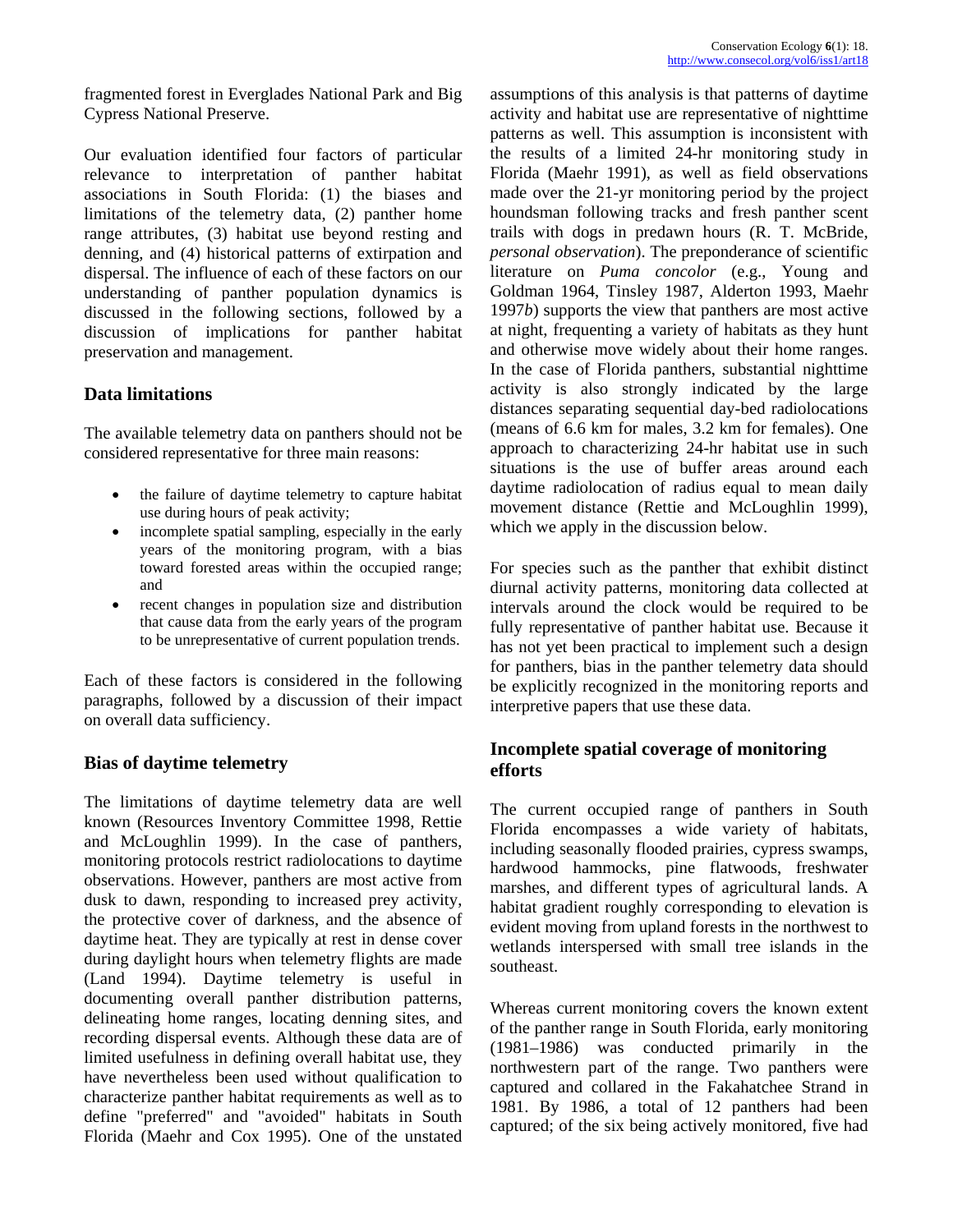fragmented forest in Everglades National Park and Big Cypress National Preserve.

Our evaluation identified four factors of particular relevance to interpretation of panther habitat associations in South Florida: (1) the biases and limitations of the telemetry data, (2) panther home range attributes, (3) habitat use beyond resting and denning, and (4) historical patterns of extirpation and dispersal. The influence of each of these factors on our understanding of panther population dynamics is discussed in the following sections, followed by a discussion of implications for panther habitat preservation and management.

# **Data limitations**

The available telemetry data on panthers should not be considered representative for three main reasons:

- the failure of daytime telemetry to capture habitat use during hours of peak activity;
- incomplete spatial sampling, especially in the early years of the monitoring program, with a bias toward forested areas within the occupied range; and
- recent changes in population size and distribution that cause data from the early years of the program to be unrepresentative of current population trends.

Each of these factors is considered in the following paragraphs, followed by a discussion of their impact on overall data sufficiency.

### **Bias of daytime telemetry**

The limitations of daytime telemetry data are well known (Resources Inventory Committee 1998, Rettie and McLoughlin 1999). In the case of panthers, monitoring protocols restrict radiolocations to daytime observations. However, panthers are most active from dusk to dawn, responding to increased prey activity, the protective cover of darkness, and the absence of daytime heat. They are typically at rest in dense cover during daylight hours when telemetry flights are made (Land 1994). Daytime telemetry is useful in documenting overall panther distribution patterns, delineating home ranges, locating denning sites, and recording dispersal events. Although these data are of limited usefulness in defining overall habitat use, they have nevertheless been used without qualification to characterize panther habitat requirements as well as to define "preferred" and "avoided" habitats in South Florida (Maehr and Cox 1995). One of the unstated

assumptions of this analysis is that patterns of daytime activity and habitat use are representative of nighttime patterns as well. This assumption is inconsistent with the results of a limited 24-hr monitoring study in Florida (Maehr 1991), as well as field observations made over the 21-yr monitoring period by the project houndsman following tracks and fresh panther scent trails with dogs in predawn hours (R. T. McBride, *personal observation*). The preponderance of scientific literature on *Puma concolor* (e.g., Young and Goldman 1964, Tinsley 1987, Alderton 1993, Maehr 1997*b*) supports the view that panthers are most active at night, frequenting a variety of habitats as they hunt and otherwise move widely about their home ranges. In the case of Florida panthers, substantial nighttime activity is also strongly indicated by the large distances separating sequential day-bed radiolocations (means of 6.6 km for males, 3.2 km for females). One approach to characterizing 24-hr habitat use in such situations is the use of buffer areas around each daytime radiolocation of radius equal to mean daily movement distance (Rettie and McLoughlin 1999), which we apply in the discussion below.

For species such as the panther that exhibit distinct diurnal activity patterns, monitoring data collected at intervals around the clock would be required to be fully representative of panther habitat use. Because it has not yet been practical to implement such a design for panthers, bias in the panther telemetry data should be explicitly recognized in the monitoring reports and interpretive papers that use these data.

# **Incomplete spatial coverage of monitoring efforts**

The current occupied range of panthers in South Florida encompasses a wide variety of habitats, including seasonally flooded prairies, cypress swamps, hardwood hammocks, pine flatwoods, freshwater marshes, and different types of agricultural lands. A habitat gradient roughly corresponding to elevation is evident moving from upland forests in the northwest to wetlands interspersed with small tree islands in the southeast.

Whereas current monitoring covers the known extent of the panther range in South Florida, early monitoring (1981–1986) was conducted primarily in the northwestern part of the range. Two panthers were captured and collared in the Fakahatchee Strand in 1981. By 1986, a total of 12 panthers had been captured; of the six being actively monitored, five had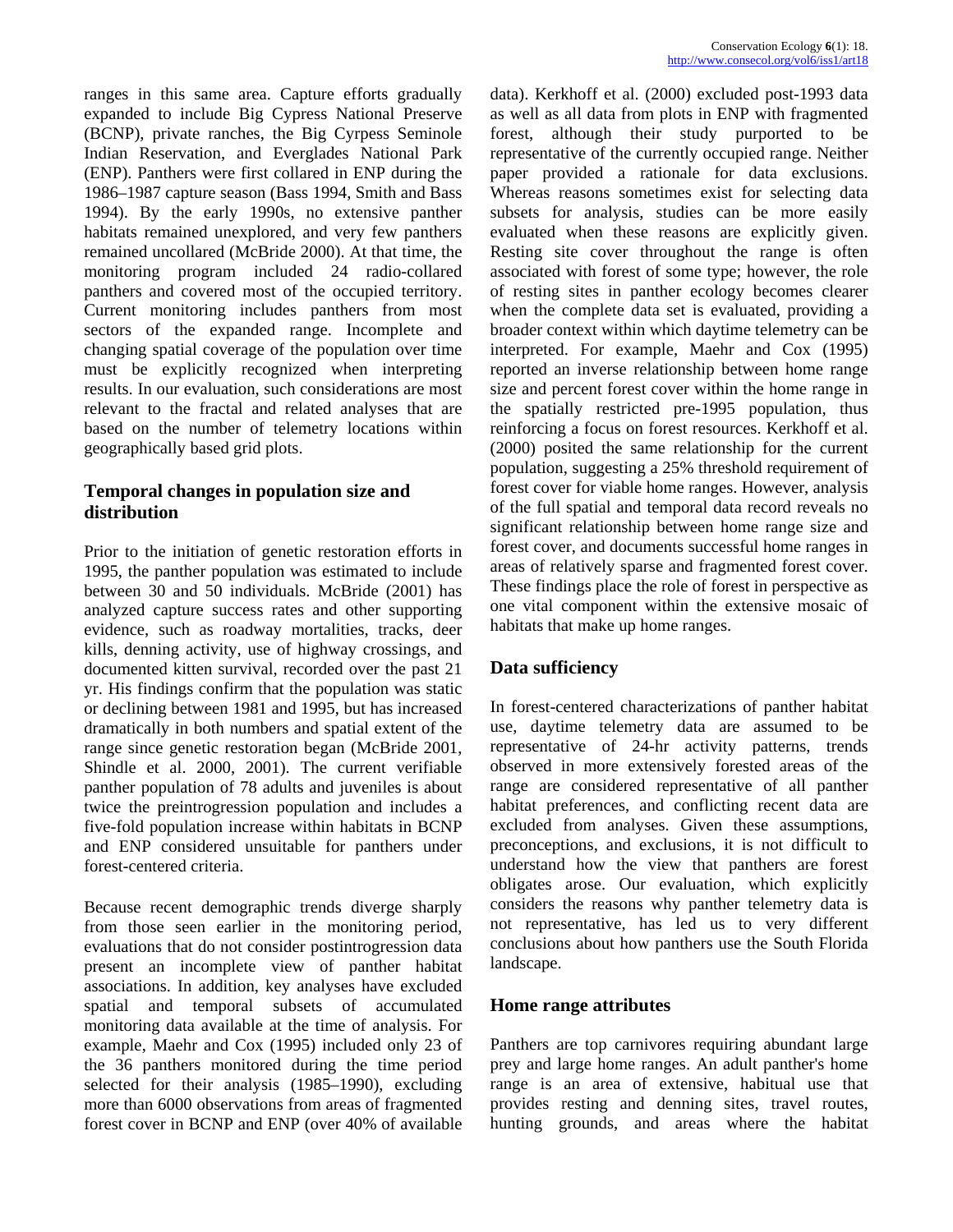ranges in this same area. Capture efforts gradually expanded to include Big Cypress National Preserve (BCNP), private ranches, the Big Cyrpess Seminole Indian Reservation, and Everglades National Park (ENP). Panthers were first collared in ENP during the 1986–1987 capture season (Bass 1994, Smith and Bass 1994). By the early 1990s, no extensive panther habitats remained unexplored, and very few panthers remained uncollared (McBride 2000). At that time, the monitoring program included 24 radio-collared panthers and covered most of the occupied territory. Current monitoring includes panthers from most sectors of the expanded range. Incomplete and changing spatial coverage of the population over time must be explicitly recognized when interpreting results. In our evaluation, such considerations are most relevant to the fractal and related analyses that are based on the number of telemetry locations within geographically based grid plots.

# **Temporal changes in population size and distribution**

Prior to the initiation of genetic restoration efforts in 1995, the panther population was estimated to include between 30 and 50 individuals. McBride (2001) has analyzed capture success rates and other supporting evidence, such as roadway mortalities, tracks, deer kills, denning activity, use of highway crossings, and documented kitten survival, recorded over the past 21 yr. His findings confirm that the population was static or declining between 1981 and 1995, but has increased dramatically in both numbers and spatial extent of the range since genetic restoration began (McBride 2001, Shindle et al. 2000, 2001). The current verifiable panther population of 78 adults and juveniles is about twice the preintrogression population and includes a five-fold population increase within habitats in BCNP and ENP considered unsuitable for panthers under forest-centered criteria.

Because recent demographic trends diverge sharply from those seen earlier in the monitoring period, evaluations that do not consider postintrogression data present an incomplete view of panther habitat associations. In addition, key analyses have excluded spatial and temporal subsets of accumulated monitoring data available at the time of analysis. For example, Maehr and Cox (1995) included only 23 of the 36 panthers monitored during the time period selected for their analysis (1985–1990), excluding more than 6000 observations from areas of fragmented forest cover in BCNP and ENP (over 40% of available

data). Kerkhoff et al. (2000) excluded post-1993 data as well as all data from plots in ENP with fragmented forest, although their study purported to be representative of the currently occupied range. Neither paper provided a rationale for data exclusions. Whereas reasons sometimes exist for selecting data subsets for analysis, studies can be more easily evaluated when these reasons are explicitly given. Resting site cover throughout the range is often associated with forest of some type; however, the role of resting sites in panther ecology becomes clearer when the complete data set is evaluated, providing a broader context within which daytime telemetry can be interpreted. For example, Maehr and Cox (1995) reported an inverse relationship between home range size and percent forest cover within the home range in the spatially restricted pre-1995 population, thus reinforcing a focus on forest resources. Kerkhoff et al. (2000) posited the same relationship for the current population, suggesting a 25% threshold requirement of forest cover for viable home ranges. However, analysis of the full spatial and temporal data record reveals no significant relationship between home range size and forest cover, and documents successful home ranges in areas of relatively sparse and fragmented forest cover. These findings place the role of forest in perspective as one vital component within the extensive mosaic of habitats that make up home ranges.

# **Data sufficiency**

In forest-centered characterizations of panther habitat use, daytime telemetry data are assumed to be representative of 24-hr activity patterns, trends observed in more extensively forested areas of the range are considered representative of all panther habitat preferences, and conflicting recent data are excluded from analyses. Given these assumptions, preconceptions, and exclusions, it is not difficult to understand how the view that panthers are forest obligates arose. Our evaluation, which explicitly considers the reasons why panther telemetry data is not representative, has led us to very different conclusions about how panthers use the South Florida landscape.

# **Home range attributes**

Panthers are top carnivores requiring abundant large prey and large home ranges. An adult panther's home range is an area of extensive, habitual use that provides resting and denning sites, travel routes, hunting grounds, and areas where the habitat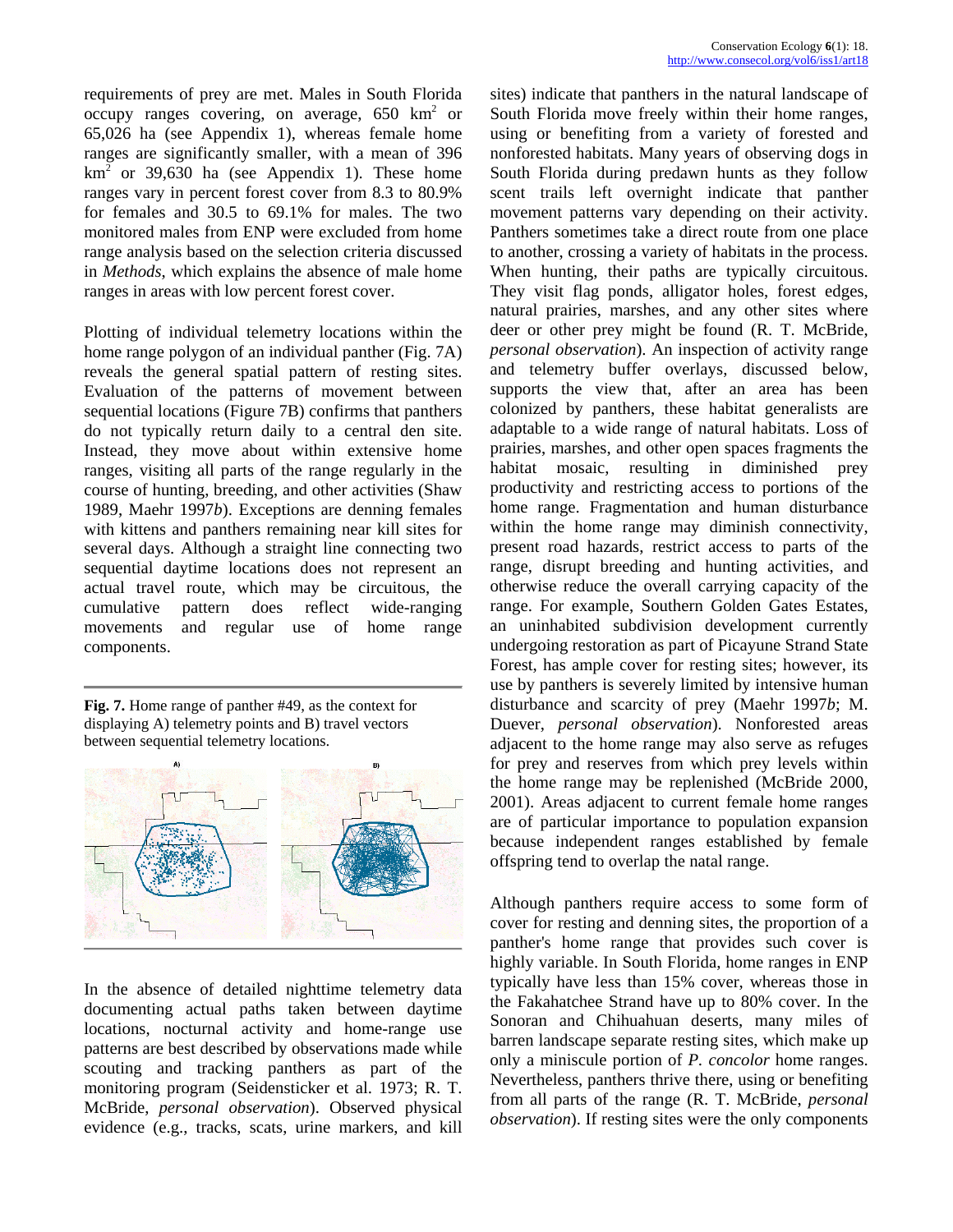requirements of prey are met. Males in South Florida occupy ranges covering, on average,  $650 \text{ km}^2$  or 65,026 ha (see Appendix 1), whereas female home ranges are significantly smaller, with a mean of 396  $km<sup>2</sup>$  or 39,630 ha (see Appendix 1). These home ranges vary in percent forest cover from 8.3 to 80.9% for females and 30.5 to 69.1% for males. The two monitored males from ENP were excluded from home range analysis based on the selection criteria discussed in *Methods*, which explains the absence of male home ranges in areas with low percent forest cover.

Plotting of individual telemetry locations within the home range polygon of an individual panther (Fig. 7A) reveals the general spatial pattern of resting sites. Evaluation of the patterns of movement between sequential locations (Figure 7B) confirms that panthers do not typically return daily to a central den site. Instead, they move about within extensive home ranges, visiting all parts of the range regularly in the course of hunting, breeding, and other activities (Shaw 1989, Maehr 1997*b*). Exceptions are denning females with kittens and panthers remaining near kill sites for several days. Although a straight line connecting two sequential daytime locations does not represent an actual travel route, which may be circuitous, the cumulative pattern does reflect wide-ranging movements and regular use of home range components.

**Fig. 7.** Home range of panther #49, as the context for displaying A) telemetry points and B) travel vectors between sequential telemetry locations.



In the absence of detailed nighttime telemetry data documenting actual paths taken between daytime locations, nocturnal activity and home-range use patterns are best described by observations made while scouting and tracking panthers as part of the monitoring program (Seidensticker et al. 1973; R. T. McBride, *personal observation*). Observed physical evidence (e.g., tracks, scats, urine markers, and kill sites) indicate that panthers in the natural landscape of South Florida move freely within their home ranges, using or benefiting from a variety of forested and nonforested habitats. Many years of observing dogs in South Florida during predawn hunts as they follow scent trails left overnight indicate that panther movement patterns vary depending on their activity. Panthers sometimes take a direct route from one place to another, crossing a variety of habitats in the process. When hunting, their paths are typically circuitous. They visit flag ponds, alligator holes, forest edges, natural prairies, marshes, and any other sites where deer or other prey might be found (R. T. McBride, *personal observation*). An inspection of activity range and telemetry buffer overlays, discussed below, supports the view that, after an area has been colonized by panthers, these habitat generalists are adaptable to a wide range of natural habitats. Loss of prairies, marshes, and other open spaces fragments the habitat mosaic, resulting in diminished prey productivity and restricting access to portions of the home range. Fragmentation and human disturbance within the home range may diminish connectivity, present road hazards, restrict access to parts of the range, disrupt breeding and hunting activities, and otherwise reduce the overall carrying capacity of the range. For example, Southern Golden Gates Estates, an uninhabited subdivision development currently undergoing restoration as part of Picayune Strand State Forest, has ample cover for resting sites; however, its use by panthers is severely limited by intensive human disturbance and scarcity of prey (Maehr 1997*b*; M. Duever, *personal observation*). Nonforested areas adjacent to the home range may also serve as refuges for prey and reserves from which prey levels within the home range may be replenished (McBride 2000, 2001). Areas adjacent to current female home ranges are of particular importance to population expansion because independent ranges established by female offspring tend to overlap the natal range.

Although panthers require access to some form of cover for resting and denning sites, the proportion of a panther's home range that provides such cover is highly variable. In South Florida, home ranges in ENP typically have less than 15% cover, whereas those in the Fakahatchee Strand have up to 80% cover. In the Sonoran and Chihuahuan deserts, many miles of barren landscape separate resting sites, which make up only a miniscule portion of *P. concolor* home ranges. Nevertheless, panthers thrive there, using or benefiting from all parts of the range (R. T. McBride, *personal observation*). If resting sites were the only components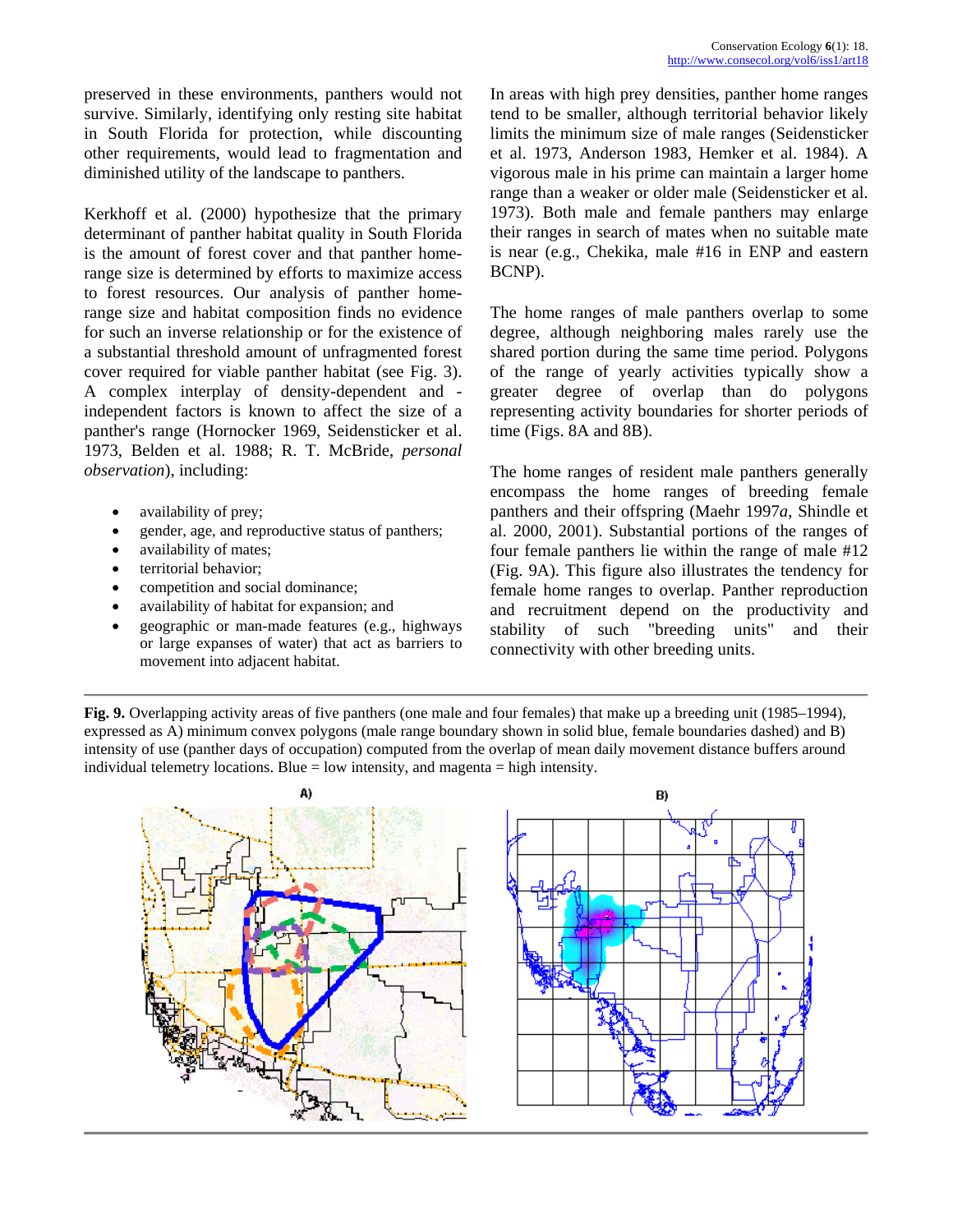Kerkhoff et al. (2000) hypothesize that the primary determinant of panther habitat quality in South Florida is the amount of forest cover and that panther homerange size is determined by efforts to maximize access to forest resources. Our analysis of panther homerange size and habitat composition finds no evidence for such an inverse relationship or for the existence of a substantial threshold amount of unfragmented forest cover required for viable panther habitat (see Fig. 3). A complex interplay of density-dependent and independent factors is known to affect the size of a panther's range (Hornocker 1969, Seidensticker et al. 1973, Belden et al. 1988; R. T. McBride, *personal observation*), including:

- availability of prey;
- gender, age, and reproductive status of panthers;
- availability of mates;
- territorial behavior:
- competition and social dominance;
- availability of habitat for expansion; and
- geographic or man-made features (e.g., highways or large expanses of water) that act as barriers to movement into adjacent habitat.

In areas with high prey densities, panther home ranges tend to be smaller, although territorial behavior likely limits the minimum size of male ranges (Seidensticker et al. 1973, Anderson 1983, Hemker et al. 1984). A vigorous male in his prime can maintain a larger home range than a weaker or older male (Seidensticker et al. 1973). Both male and female panthers may enlarge their ranges in search of mates when no suitable mate is near (e.g., Chekika, male #16 in ENP and eastern BCNP).

The home ranges of male panthers overlap to some degree, although neighboring males rarely use the shared portion during the same time period. Polygons of the range of yearly activities typically show a greater degree of overlap than do polygons representing activity boundaries for shorter periods of time (Figs. 8A and 8B).

The home ranges of resident male panthers generally encompass the home ranges of breeding female panthers and their offspring (Maehr 1997*a*, Shindle et al. 2000, 2001). Substantial portions of the ranges of four female panthers lie within the range of male #12 (Fig. 9A). This figure also illustrates the tendency for female home ranges to overlap. Panther reproduction and recruitment depend on the productivity and stability of such "breeding units" and their connectivity with other breeding units.

**Fig. 9.** Overlapping activity areas of five panthers (one male and four females) that make up a breeding unit (1985–1994), expressed as A) minimum convex polygons (male range boundary shown in solid blue, female boundaries dashed) and B) intensity of use (panther days of occupation) computed from the overlap of mean daily movement distance buffers around individual telemetry locations. Blue  $=$  low intensity, and magenta  $=$  high intensity.

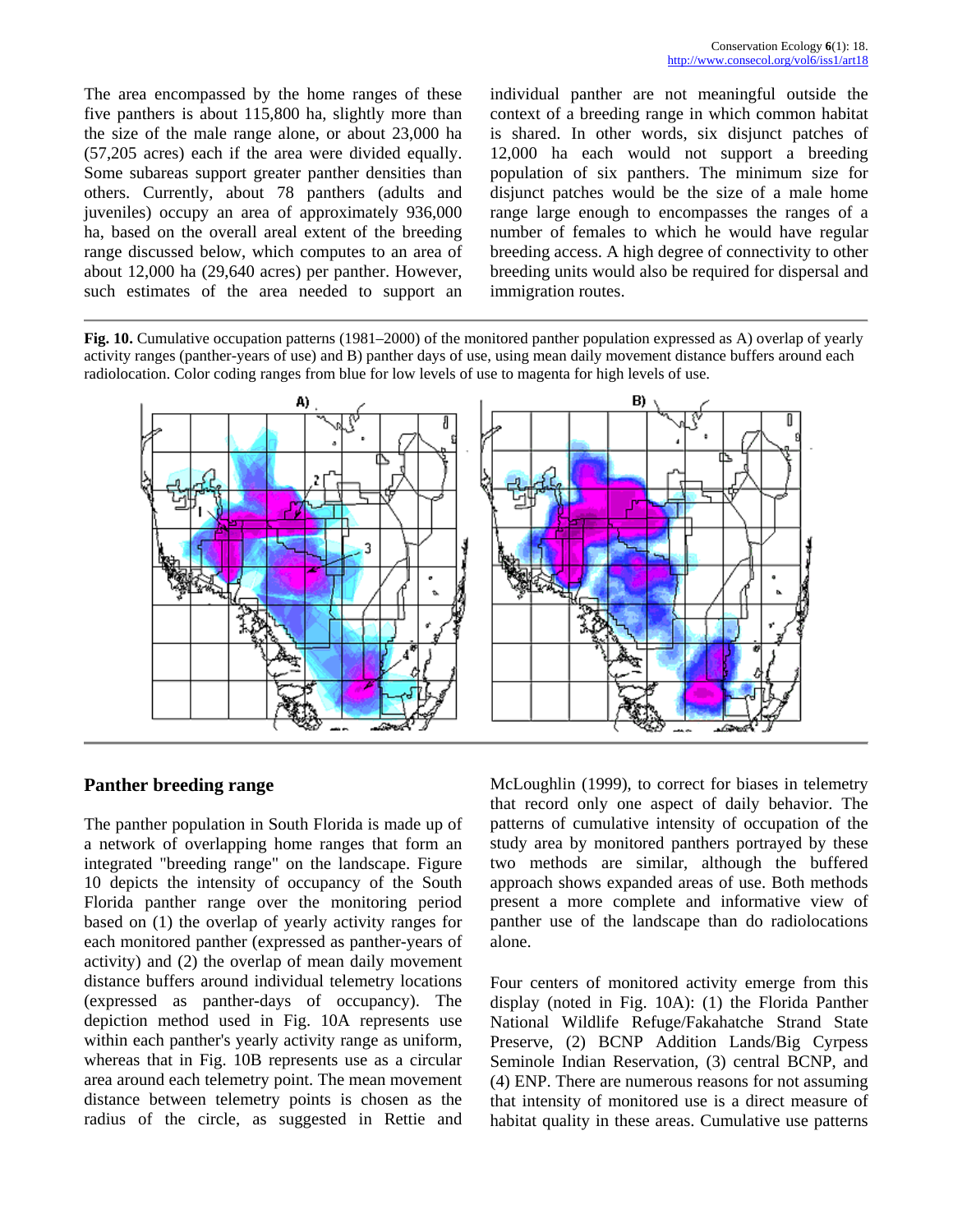The area encompassed by the home ranges of these five panthers is about 115,800 ha, slightly more than the size of the male range alone, or about 23,000 ha (57,205 acres) each if the area were divided equally. Some subareas support greater panther densities than others. Currently, about 78 panthers (adults and juveniles) occupy an area of approximately 936,000 ha, based on the overall areal extent of the breeding range discussed below, which computes to an area of about 12,000 ha (29,640 acres) per panther. However, such estimates of the area needed to support an

individual panther are not meaningful outside the context of a breeding range in which common habitat is shared. In other words, six disjunct patches of 12,000 ha each would not support a breeding population of six panthers. The minimum size for disjunct patches would be the size of a male home range large enough to encompasses the ranges of a number of females to which he would have regular breeding access. A high degree of connectivity to other breeding units would also be required for dispersal and immigration routes.

**Fig. 10.** Cumulative occupation patterns (1981–2000) of the monitored panther population expressed as A) overlap of yearly activity ranges (panther-years of use) and B) panther days of use, using mean daily movement distance buffers around each radiolocation. Color coding ranges from blue for low levels of use to magenta for high levels of use.



### **Panther breeding range**

The panther population in South Florida is made up of a network of overlapping home ranges that form an integrated "breeding range" on the landscape. Figure 10 depicts the intensity of occupancy of the South Florida panther range over the monitoring period based on (1) the overlap of yearly activity ranges for each monitored panther (expressed as panther-years of activity) and (2) the overlap of mean daily movement distance buffers around individual telemetry locations (expressed as panther-days of occupancy). The depiction method used in Fig. 10A represents use within each panther's yearly activity range as uniform, whereas that in Fig. 10B represents use as a circular area around each telemetry point. The mean movement distance between telemetry points is chosen as the radius of the circle, as suggested in Rettie and McLoughlin (1999), to correct for biases in telemetry that record only one aspect of daily behavior. The patterns of cumulative intensity of occupation of the study area by monitored panthers portrayed by these two methods are similar, although the buffered approach shows expanded areas of use. Both methods present a more complete and informative view of panther use of the landscape than do radiolocations alone.

Four centers of monitored activity emerge from this display (noted in Fig. 10A): (1) the Florida Panther National Wildlife Refuge/Fakahatche Strand State Preserve, (2) BCNP Addition Lands/Big Cyrpess Seminole Indian Reservation, (3) central BCNP, and (4) ENP. There are numerous reasons for not assuming that intensity of monitored use is a direct measure of habitat quality in these areas. Cumulative use patterns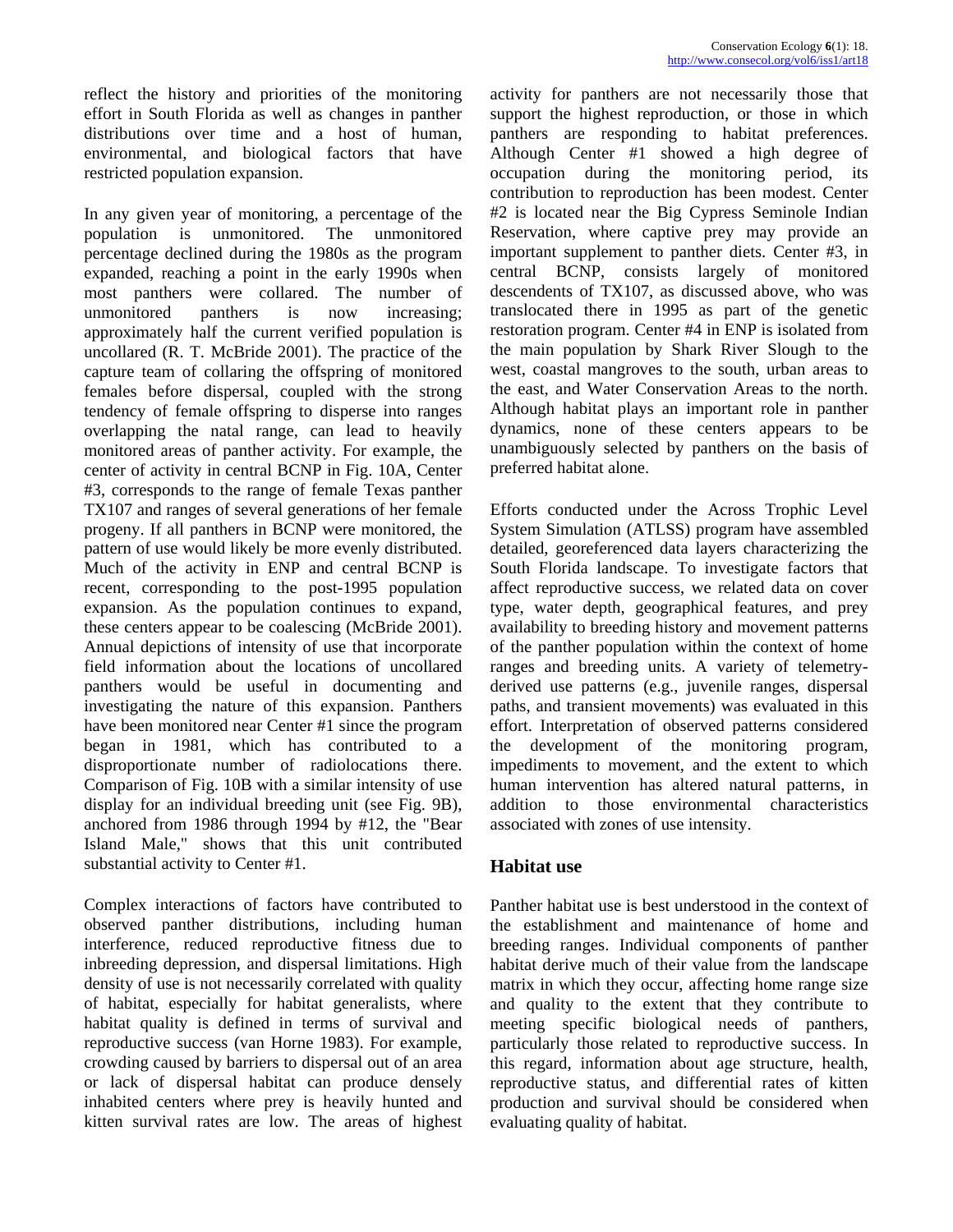reflect the history and priorities of the monitoring effort in South Florida as well as changes in panther distributions over time and a host of human, environmental, and biological factors that have restricted population expansion.

In any given year of monitoring, a percentage of the population is unmonitored. The unmonitored percentage declined during the 1980s as the program expanded, reaching a point in the early 1990s when most panthers were collared. The number of unmonitored panthers is now increasing; approximately half the current verified population is uncollared (R. T. McBride 2001). The practice of the capture team of collaring the offspring of monitored females before dispersal, coupled with the strong tendency of female offspring to disperse into ranges overlapping the natal range, can lead to heavily monitored areas of panther activity. For example, the center of activity in central BCNP in Fig. 10A, Center #3, corresponds to the range of female Texas panther TX107 and ranges of several generations of her female progeny. If all panthers in BCNP were monitored, the pattern of use would likely be more evenly distributed. Much of the activity in ENP and central BCNP is recent, corresponding to the post-1995 population expansion. As the population continues to expand, these centers appear to be coalescing (McBride 2001). Annual depictions of intensity of use that incorporate field information about the locations of uncollared panthers would be useful in documenting and investigating the nature of this expansion. Panthers have been monitored near Center #1 since the program began in 1981, which has contributed to a disproportionate number of radiolocations there. Comparison of Fig. 10B with a similar intensity of use display for an individual breeding unit (see Fig. 9B), anchored from 1986 through 1994 by #12, the "Bear Island Male," shows that this unit contributed substantial activity to Center #1.

Complex interactions of factors have contributed to observed panther distributions, including human interference, reduced reproductive fitness due to inbreeding depression, and dispersal limitations. High density of use is not necessarily correlated with quality of habitat, especially for habitat generalists, where habitat quality is defined in terms of survival and reproductive success (van Horne 1983). For example, crowding caused by barriers to dispersal out of an area or lack of dispersal habitat can produce densely inhabited centers where prey is heavily hunted and kitten survival rates are low. The areas of highest activity for panthers are not necessarily those that support the highest reproduction, or those in which panthers are responding to habitat preferences. Although Center #1 showed a high degree of occupation during the monitoring period, its contribution to reproduction has been modest. Center #2 is located near the Big Cypress Seminole Indian Reservation, where captive prey may provide an important supplement to panther diets. Center #3, in central BCNP, consists largely of monitored descendents of TX107, as discussed above, who was translocated there in 1995 as part of the genetic restoration program. Center #4 in ENP is isolated from the main population by Shark River Slough to the west, coastal mangroves to the south, urban areas to the east, and Water Conservation Areas to the north. Although habitat plays an important role in panther dynamics, none of these centers appears to be unambiguously selected by panthers on the basis of preferred habitat alone.

Efforts conducted under the Across Trophic Level System Simulation (ATLSS) program have assembled detailed, georeferenced data layers characterizing the South Florida landscape. To investigate factors that affect reproductive success, we related data on cover type, water depth, geographical features, and prey availability to breeding history and movement patterns of the panther population within the context of home ranges and breeding units. A variety of telemetryderived use patterns (e.g., juvenile ranges, dispersal paths, and transient movements) was evaluated in this effort. Interpretation of observed patterns considered the development of the monitoring program, impediments to movement, and the extent to which human intervention has altered natural patterns, in addition to those environmental characteristics associated with zones of use intensity.

# **Habitat use**

Panther habitat use is best understood in the context of the establishment and maintenance of home and breeding ranges. Individual components of panther habitat derive much of their value from the landscape matrix in which they occur, affecting home range size and quality to the extent that they contribute to meeting specific biological needs of panthers, particularly those related to reproductive success. In this regard, information about age structure, health, reproductive status, and differential rates of kitten production and survival should be considered when evaluating quality of habitat.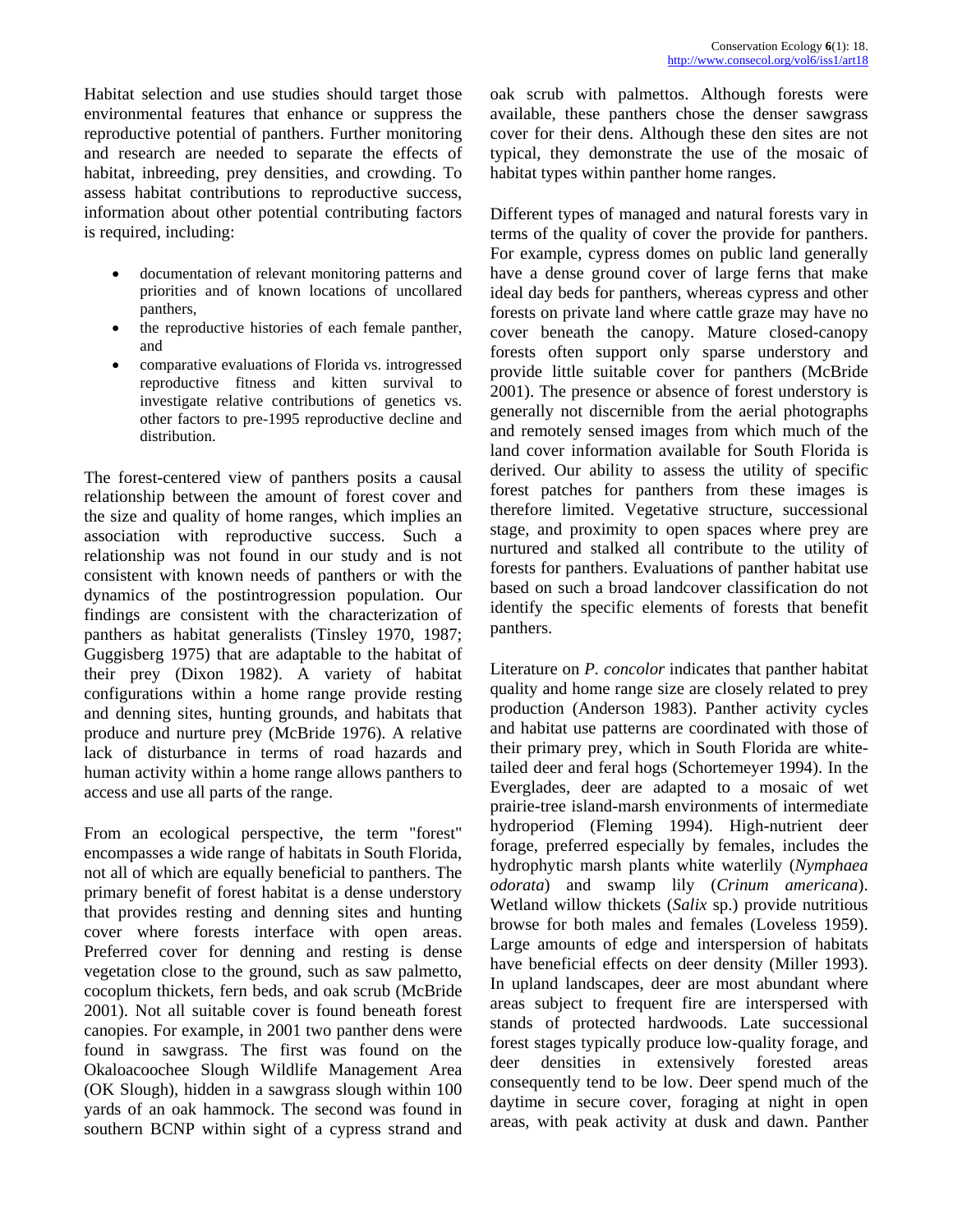Habitat selection and use studies should target those environmental features that enhance or suppress the reproductive potential of panthers. Further monitoring and research are needed to separate the effects of habitat, inbreeding, prey densities, and crowding. To assess habitat contributions to reproductive success, information about other potential contributing factors is required, including:

- documentation of relevant monitoring patterns and priorities and of known locations of uncollared panthers,
- the reproductive histories of each female panther, and
- comparative evaluations of Florida vs. introgressed reproductive fitness and kitten survival to investigate relative contributions of genetics vs. other factors to pre-1995 reproductive decline and distribution.

The forest-centered view of panthers posits a causal relationship between the amount of forest cover and the size and quality of home ranges, which implies an association with reproductive success. Such a relationship was not found in our study and is not consistent with known needs of panthers or with the dynamics of the postintrogression population. Our findings are consistent with the characterization of panthers as habitat generalists (Tinsley 1970, 1987; Guggisberg 1975) that are adaptable to the habitat of their prey (Dixon 1982). A variety of habitat configurations within a home range provide resting and denning sites, hunting grounds, and habitats that produce and nurture prey (McBride 1976). A relative lack of disturbance in terms of road hazards and human activity within a home range allows panthers to access and use all parts of the range.

From an ecological perspective, the term "forest" encompasses a wide range of habitats in South Florida, not all of which are equally beneficial to panthers. The primary benefit of forest habitat is a dense understory that provides resting and denning sites and hunting cover where forests interface with open areas. Preferred cover for denning and resting is dense vegetation close to the ground, such as saw palmetto, cocoplum thickets, fern beds, and oak scrub (McBride 2001). Not all suitable cover is found beneath forest canopies. For example, in 2001 two panther dens were found in sawgrass. The first was found on the Okaloacoochee Slough Wildlife Management Area (OK Slough), hidden in a sawgrass slough within 100 yards of an oak hammock. The second was found in southern BCNP within sight of a cypress strand and oak scrub with palmettos. Although forests were available, these panthers chose the denser sawgrass cover for their dens. Although these den sites are not typical, they demonstrate the use of the mosaic of habitat types within panther home ranges.

Different types of managed and natural forests vary in terms of the quality of cover the provide for panthers. For example, cypress domes on public land generally have a dense ground cover of large ferns that make ideal day beds for panthers, whereas cypress and other forests on private land where cattle graze may have no cover beneath the canopy. Mature closed-canopy forests often support only sparse understory and provide little suitable cover for panthers (McBride 2001). The presence or absence of forest understory is generally not discernible from the aerial photographs and remotely sensed images from which much of the land cover information available for South Florida is derived. Our ability to assess the utility of specific forest patches for panthers from these images is therefore limited. Vegetative structure, successional stage, and proximity to open spaces where prey are nurtured and stalked all contribute to the utility of forests for panthers. Evaluations of panther habitat use based on such a broad landcover classification do not identify the specific elements of forests that benefit panthers.

Literature on *P. concolor* indicates that panther habitat quality and home range size are closely related to prey production (Anderson 1983). Panther activity cycles and habitat use patterns are coordinated with those of their primary prey, which in South Florida are whitetailed deer and feral hogs (Schortemeyer 1994). In the Everglades, deer are adapted to a mosaic of wet prairie-tree island-marsh environments of intermediate hydroperiod (Fleming 1994). High-nutrient deer forage, preferred especially by females, includes the hydrophytic marsh plants white waterlily (*Nymphaea odorata*) and swamp lily (*Crinum americana*). Wetland willow thickets (*Salix* sp.) provide nutritious browse for both males and females (Loveless 1959). Large amounts of edge and interspersion of habitats have beneficial effects on deer density (Miller 1993). In upland landscapes, deer are most abundant where areas subject to frequent fire are interspersed with stands of protected hardwoods. Late successional forest stages typically produce low-quality forage, and deer densities in extensively forested areas consequently tend to be low. Deer spend much of the daytime in secure cover, foraging at night in open areas, with peak activity at dusk and dawn. Panther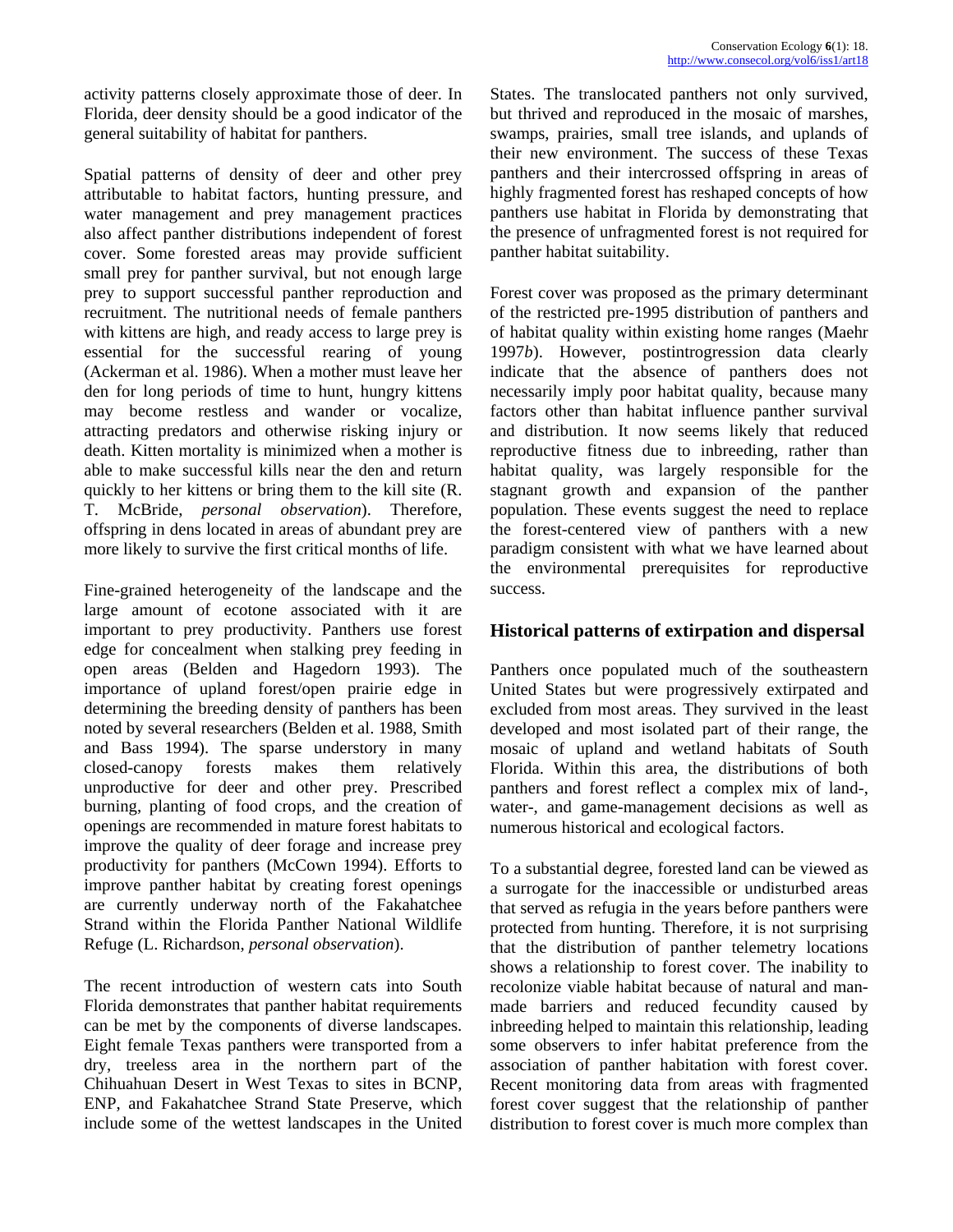activity patterns closely approximate those of deer. In Florida, deer density should be a good indicator of the general suitability of habitat for panthers.

Spatial patterns of density of deer and other prey attributable to habitat factors, hunting pressure, and water management and prey management practices also affect panther distributions independent of forest cover. Some forested areas may provide sufficient small prey for panther survival, but not enough large prey to support successful panther reproduction and recruitment. The nutritional needs of female panthers with kittens are high, and ready access to large prey is essential for the successful rearing of young (Ackerman et al. 1986). When a mother must leave her den for long periods of time to hunt, hungry kittens may become restless and wander or vocalize, attracting predators and otherwise risking injury or death. Kitten mortality is minimized when a mother is able to make successful kills near the den and return quickly to her kittens or bring them to the kill site (R. T. McBride, *personal observation*). Therefore, offspring in dens located in areas of abundant prey are more likely to survive the first critical months of life.

Fine-grained heterogeneity of the landscape and the large amount of ecotone associated with it are important to prey productivity. Panthers use forest edge for concealment when stalking prey feeding in open areas (Belden and Hagedorn 1993). The importance of upland forest/open prairie edge in determining the breeding density of panthers has been noted by several researchers (Belden et al. 1988, Smith and Bass 1994). The sparse understory in many closed-canopy forests makes them relatively unproductive for deer and other prey. Prescribed burning, planting of food crops, and the creation of openings are recommended in mature forest habitats to improve the quality of deer forage and increase prey productivity for panthers (McCown 1994). Efforts to improve panther habitat by creating forest openings are currently underway north of the Fakahatchee Strand within the Florida Panther National Wildlife Refuge (L. Richardson, *personal observation*).

The recent introduction of western cats into South Florida demonstrates that panther habitat requirements can be met by the components of diverse landscapes. Eight female Texas panthers were transported from a dry, treeless area in the northern part of the Chihuahuan Desert in West Texas to sites in BCNP, ENP, and Fakahatchee Strand State Preserve, which include some of the wettest landscapes in the United States. The translocated panthers not only survived, but thrived and reproduced in the mosaic of marshes, swamps, prairies, small tree islands, and uplands of their new environment. The success of these Texas panthers and their intercrossed offspring in areas of highly fragmented forest has reshaped concepts of how panthers use habitat in Florida by demonstrating that the presence of unfragmented forest is not required for panther habitat suitability.

Forest cover was proposed as the primary determinant of the restricted pre-1995 distribution of panthers and of habitat quality within existing home ranges (Maehr 1997*b*). However, postintrogression data clearly indicate that the absence of panthers does not necessarily imply poor habitat quality, because many factors other than habitat influence panther survival and distribution. It now seems likely that reduced reproductive fitness due to inbreeding, rather than habitat quality, was largely responsible for the stagnant growth and expansion of the panther population. These events suggest the need to replace the forest-centered view of panthers with a new paradigm consistent with what we have learned about the environmental prerequisites for reproductive success.

# **Historical patterns of extirpation and dispersal**

Panthers once populated much of the southeastern United States but were progressively extirpated and excluded from most areas. They survived in the least developed and most isolated part of their range, the mosaic of upland and wetland habitats of South Florida. Within this area, the distributions of both panthers and forest reflect a complex mix of land-, water-, and game-management decisions as well as numerous historical and ecological factors.

To a substantial degree, forested land can be viewed as a surrogate for the inaccessible or undisturbed areas that served as refugia in the years before panthers were protected from hunting. Therefore, it is not surprising that the distribution of panther telemetry locations shows a relationship to forest cover. The inability to recolonize viable habitat because of natural and manmade barriers and reduced fecundity caused by inbreeding helped to maintain this relationship, leading some observers to infer habitat preference from the association of panther habitation with forest cover. Recent monitoring data from areas with fragmented forest cover suggest that the relationship of panther distribution to forest cover is much more complex than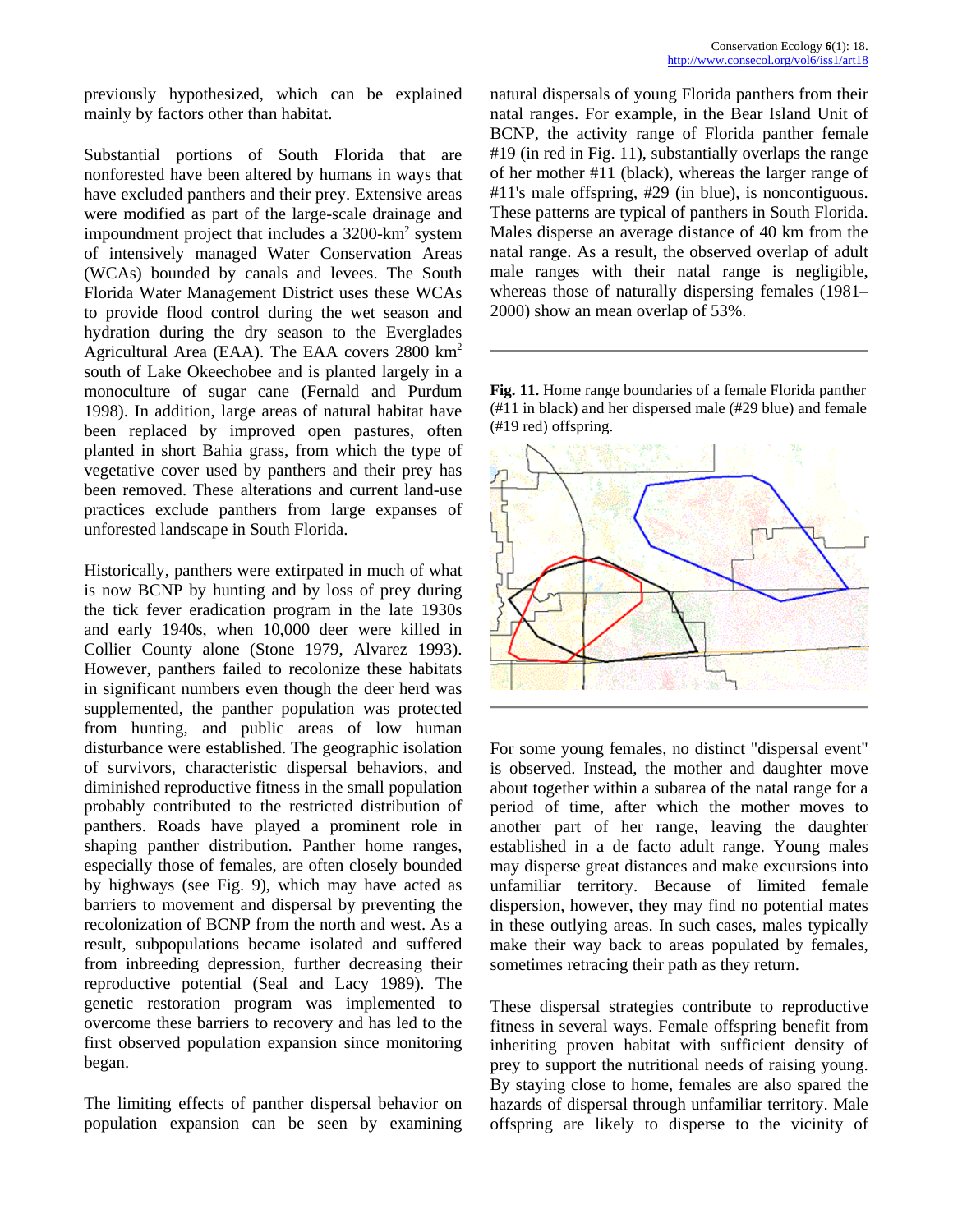previously hypothesized, which can be explained mainly by factors other than habitat.

Substantial portions of South Florida that are nonforested have been altered by humans in ways that have excluded panthers and their prey. Extensive areas were modified as part of the large-scale drainage and impoundment project that includes a  $3200$ -km<sup>2</sup> system of intensively managed Water Conservation Areas (WCAs) bounded by canals and levees. The South Florida Water Management District uses these WCAs to provide flood control during the wet season and hydration during the dry season to the Everglades Agricultural Area (EAA). The EAA covers 2800 km2 south of Lake Okeechobee and is planted largely in a monoculture of sugar cane (Fernald and Purdum 1998). In addition, large areas of natural habitat have been replaced by improved open pastures, often planted in short Bahia grass, from which the type of vegetative cover used by panthers and their prey has been removed. These alterations and current land-use practices exclude panthers from large expanses of unforested landscape in South Florida.

Historically, panthers were extirpated in much of what is now BCNP by hunting and by loss of prey during the tick fever eradication program in the late 1930s and early 1940s, when 10,000 deer were killed in Collier County alone (Stone 1979, Alvarez 1993). However, panthers failed to recolonize these habitats in significant numbers even though the deer herd was supplemented, the panther population was protected from hunting, and public areas of low human disturbance were established. The geographic isolation of survivors, characteristic dispersal behaviors, and diminished reproductive fitness in the small population probably contributed to the restricted distribution of panthers. Roads have played a prominent role in shaping panther distribution. Panther home ranges, especially those of females, are often closely bounded by highways (see Fig. 9), which may have acted as barriers to movement and dispersal by preventing the recolonization of BCNP from the north and west. As a result, subpopulations became isolated and suffered from inbreeding depression, further decreasing their reproductive potential (Seal and Lacy 1989). The genetic restoration program was implemented to overcome these barriers to recovery and has led to the first observed population expansion since monitoring began.

The limiting effects of panther dispersal behavior on population expansion can be seen by examining

natural dispersals of young Florida panthers from their natal ranges. For example, in the Bear Island Unit of BCNP, the activity range of Florida panther female #19 (in red in Fig. 11), substantially overlaps the range of her mother #11 (black), whereas the larger range of #11's male offspring, #29 (in blue), is noncontiguous. These patterns are typical of panthers in South Florida. Males disperse an average distance of 40 km from the natal range. As a result, the observed overlap of adult male ranges with their natal range is negligible, whereas those of naturally dispersing females (1981– 2000) show an mean overlap of 53%.

**Fig. 11.** Home range boundaries of a female Florida panther (#11 in black) and her dispersed male (#29 blue) and female (#19 red) offspring.



For some young females, no distinct "dispersal event" is observed. Instead, the mother and daughter move about together within a subarea of the natal range for a period of time, after which the mother moves to another part of her range, leaving the daughter established in a de facto adult range. Young males may disperse great distances and make excursions into unfamiliar territory. Because of limited female dispersion, however, they may find no potential mates in these outlying areas. In such cases, males typically make their way back to areas populated by females, sometimes retracing their path as they return.

These dispersal strategies contribute to reproductive fitness in several ways. Female offspring benefit from inheriting proven habitat with sufficient density of prey to support the nutritional needs of raising young. By staying close to home, females are also spared the hazards of dispersal through unfamiliar territory. Male offspring are likely to disperse to the vicinity of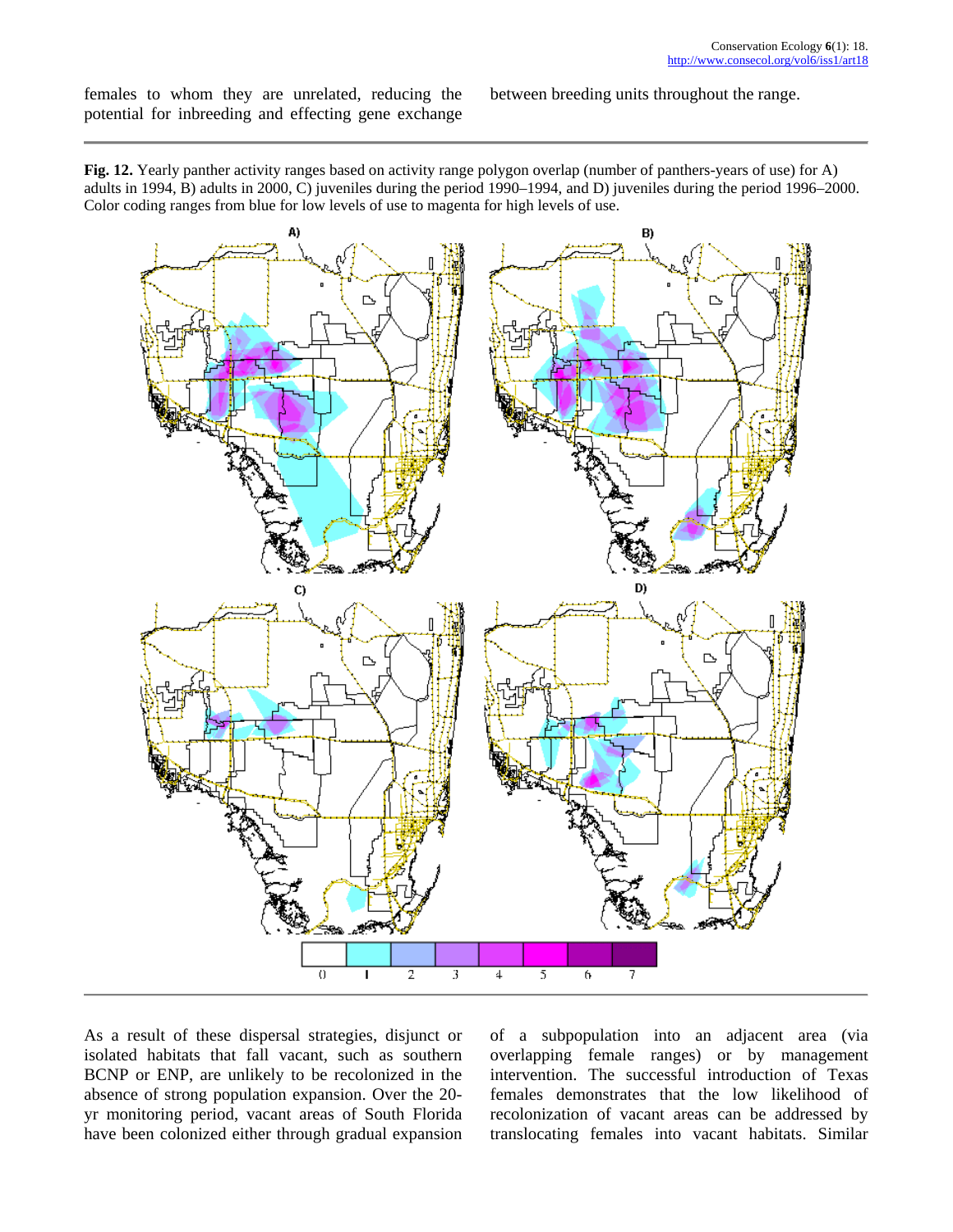females to whom they are unrelated, reducing the potential for inbreeding and effecting gene exchange between breeding units throughout the range.

**Fig. 12.** Yearly panther activity ranges based on activity range polygon overlap (number of panthers-years of use) for A) adults in 1994, B) adults in 2000, C) juveniles during the period 1990–1994, and D) juveniles during the period 1996–2000. Color coding ranges from blue for low levels of use to magenta for high levels of use.



As a result of these dispersal strategies, disjunct or isolated habitats that fall vacant, such as southern BCNP or ENP, are unlikely to be recolonized in the absence of strong population expansion. Over the 20 yr monitoring period, vacant areas of South Florida have been colonized either through gradual expansion

of a subpopulation into an adjacent area (via overlapping female ranges) or by management intervention. The successful introduction of Texas females demonstrates that the low likelihood of recolonization of vacant areas can be addressed by translocating females into vacant habitats. Similar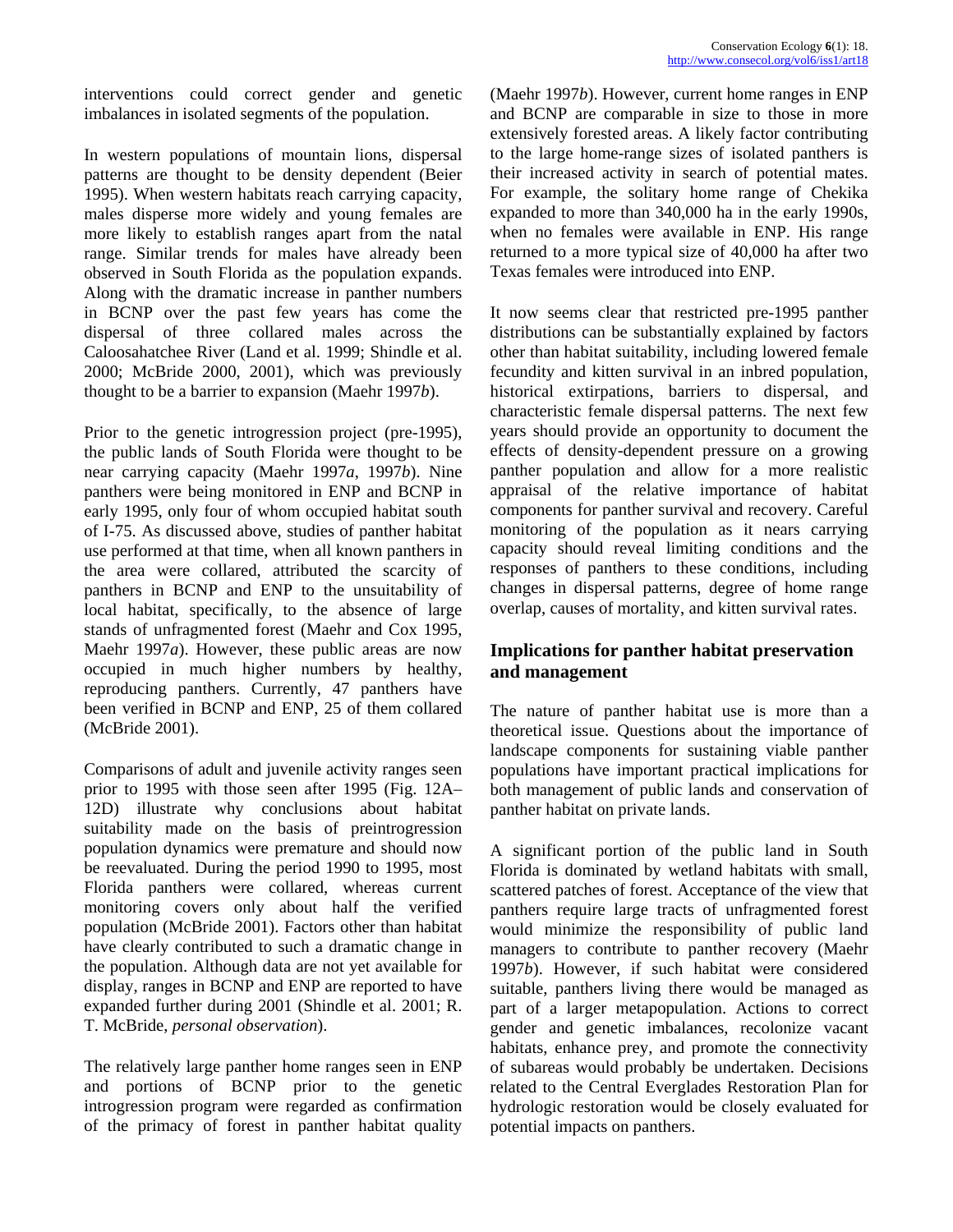interventions could correct gender and genetic imbalances in isolated segments of the population.

In western populations of mountain lions, dispersal patterns are thought to be density dependent (Beier 1995). When western habitats reach carrying capacity, males disperse more widely and young females are more likely to establish ranges apart from the natal range. Similar trends for males have already been observed in South Florida as the population expands. Along with the dramatic increase in panther numbers in BCNP over the past few years has come the dispersal of three collared males across the Caloosahatchee River (Land et al. 1999; Shindle et al. 2000; McBride 2000, 2001), which was previously thought to be a barrier to expansion (Maehr 1997*b*).

Prior to the genetic introgression project (pre-1995), the public lands of South Florida were thought to be near carrying capacity (Maehr 1997*a*, 1997*b*). Nine panthers were being monitored in ENP and BCNP in early 1995, only four of whom occupied habitat south of I-75. As discussed above, studies of panther habitat use performed at that time, when all known panthers in the area were collared, attributed the scarcity of panthers in BCNP and ENP to the unsuitability of local habitat, specifically, to the absence of large stands of unfragmented forest (Maehr and Cox 1995, Maehr 1997*a*). However, these public areas are now occupied in much higher numbers by healthy, reproducing panthers. Currently, 47 panthers have been verified in BCNP and ENP, 25 of them collared (McBride 2001).

Comparisons of adult and juvenile activity ranges seen prior to 1995 with those seen after 1995 (Fig. 12A– 12D) illustrate why conclusions about habitat suitability made on the basis of preintrogression population dynamics were premature and should now be reevaluated. During the period 1990 to 1995, most Florida panthers were collared, whereas current monitoring covers only about half the verified population (McBride 2001). Factors other than habitat have clearly contributed to such a dramatic change in the population. Although data are not yet available for display, ranges in BCNP and ENP are reported to have expanded further during 2001 (Shindle et al. 2001; R. T. McBride, *personal observation*).

The relatively large panther home ranges seen in ENP and portions of BCNP prior to the genetic introgression program were regarded as confirmation of the primacy of forest in panther habitat quality (Maehr 1997*b*). However, current home ranges in ENP and BCNP are comparable in size to those in more extensively forested areas. A likely factor contributing to the large home-range sizes of isolated panthers is their increased activity in search of potential mates. For example, the solitary home range of Chekika expanded to more than 340,000 ha in the early 1990s, when no females were available in ENP. His range returned to a more typical size of 40,000 ha after two Texas females were introduced into ENP.

It now seems clear that restricted pre-1995 panther distributions can be substantially explained by factors other than habitat suitability, including lowered female fecundity and kitten survival in an inbred population, historical extirpations, barriers to dispersal, and characteristic female dispersal patterns. The next few years should provide an opportunity to document the effects of density-dependent pressure on a growing panther population and allow for a more realistic appraisal of the relative importance of habitat components for panther survival and recovery. Careful monitoring of the population as it nears carrying capacity should reveal limiting conditions and the responses of panthers to these conditions, including changes in dispersal patterns, degree of home range overlap, causes of mortality, and kitten survival rates.

# **Implications for panther habitat preservation and management**

The nature of panther habitat use is more than a theoretical issue. Questions about the importance of landscape components for sustaining viable panther populations have important practical implications for both management of public lands and conservation of panther habitat on private lands.

A significant portion of the public land in South Florida is dominated by wetland habitats with small, scattered patches of forest. Acceptance of the view that panthers require large tracts of unfragmented forest would minimize the responsibility of public land managers to contribute to panther recovery (Maehr 1997*b*). However, if such habitat were considered suitable, panthers living there would be managed as part of a larger metapopulation. Actions to correct gender and genetic imbalances, recolonize vacant habitats, enhance prey, and promote the connectivity of subareas would probably be undertaken. Decisions related to the Central Everglades Restoration Plan for hydrologic restoration would be closely evaluated for potential impacts on panthers.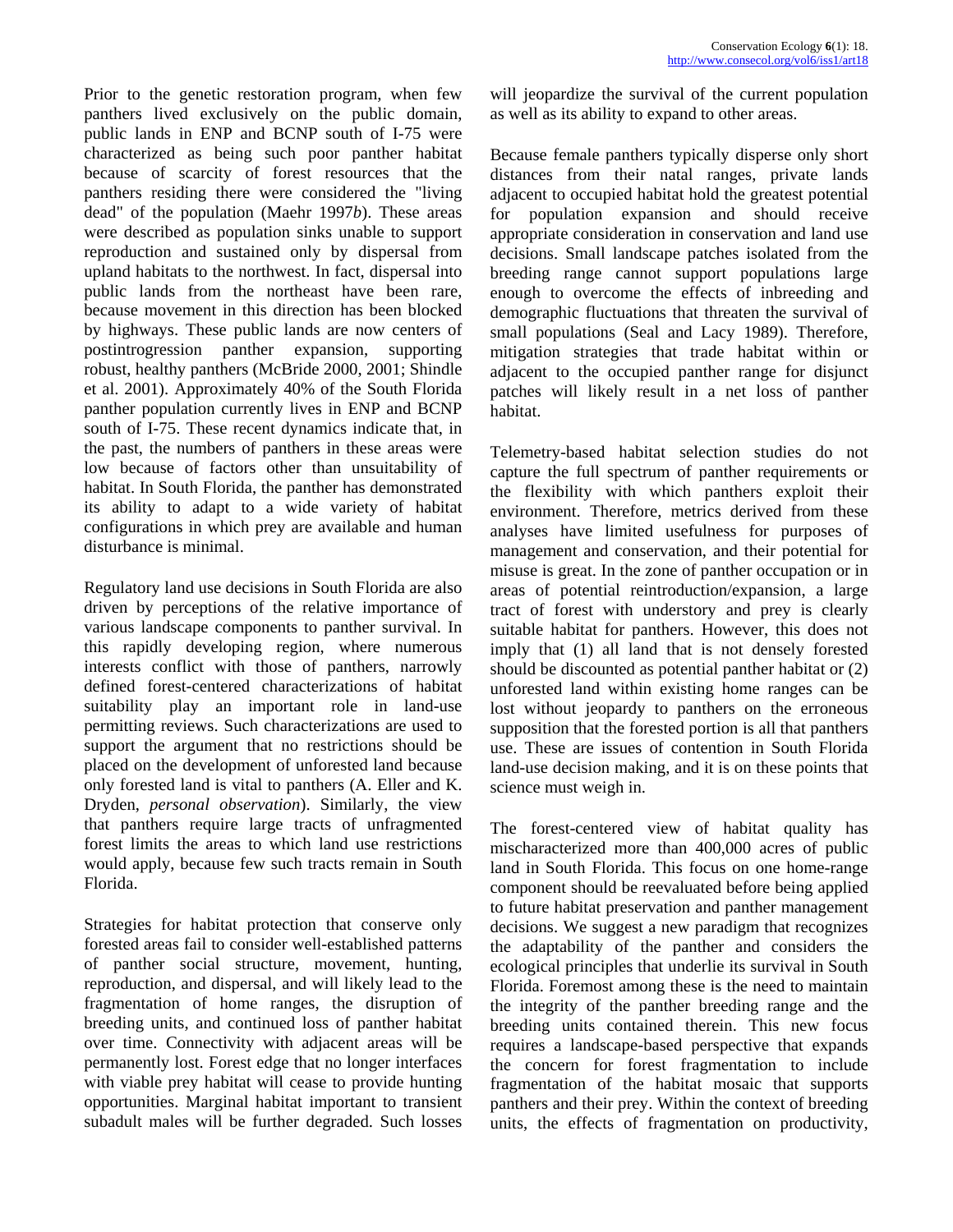Prior to the genetic restoration program, when few panthers lived exclusively on the public domain, public lands in ENP and BCNP south of I-75 were characterized as being such poor panther habitat because of scarcity of forest resources that the panthers residing there were considered the "living dead" of the population (Maehr 1997*b*). These areas were described as population sinks unable to support reproduction and sustained only by dispersal from upland habitats to the northwest. In fact, dispersal into public lands from the northeast have been rare, because movement in this direction has been blocked by highways. These public lands are now centers of postintrogression panther expansion, supporting robust, healthy panthers (McBride 2000, 2001; Shindle et al. 2001). Approximately 40% of the South Florida panther population currently lives in ENP and BCNP south of I-75. These recent dynamics indicate that, in the past, the numbers of panthers in these areas were low because of factors other than unsuitability of habitat. In South Florida, the panther has demonstrated its ability to adapt to a wide variety of habitat configurations in which prey are available and human disturbance is minimal.

Regulatory land use decisions in South Florida are also driven by perceptions of the relative importance of various landscape components to panther survival. In this rapidly developing region, where numerous interests conflict with those of panthers, narrowly defined forest-centered characterizations of habitat suitability play an important role in land-use permitting reviews. Such characterizations are used to support the argument that no restrictions should be placed on the development of unforested land because only forested land is vital to panthers (A. Eller and K. Dryden, *personal observation*). Similarly, the view that panthers require large tracts of unfragmented forest limits the areas to which land use restrictions would apply, because few such tracts remain in South Florida.

Strategies for habitat protection that conserve only forested areas fail to consider well-established patterns of panther social structure, movement, hunting, reproduction, and dispersal, and will likely lead to the fragmentation of home ranges, the disruption of breeding units, and continued loss of panther habitat over time. Connectivity with adjacent areas will be permanently lost. Forest edge that no longer interfaces with viable prey habitat will cease to provide hunting opportunities. Marginal habitat important to transient subadult males will be further degraded. Such losses

will jeopardize the survival of the current population as well as its ability to expand to other areas.

Because female panthers typically disperse only short distances from their natal ranges, private lands adjacent to occupied habitat hold the greatest potential for population expansion and should receive appropriate consideration in conservation and land use decisions. Small landscape patches isolated from the breeding range cannot support populations large enough to overcome the effects of inbreeding and demographic fluctuations that threaten the survival of small populations (Seal and Lacy 1989). Therefore, mitigation strategies that trade habitat within or adjacent to the occupied panther range for disjunct patches will likely result in a net loss of panther habitat.

Telemetry-based habitat selection studies do not capture the full spectrum of panther requirements or the flexibility with which panthers exploit their environment. Therefore, metrics derived from these analyses have limited usefulness for purposes of management and conservation, and their potential for misuse is great. In the zone of panther occupation or in areas of potential reintroduction/expansion, a large tract of forest with understory and prey is clearly suitable habitat for panthers. However, this does not imply that (1) all land that is not densely forested should be discounted as potential panther habitat or (2) unforested land within existing home ranges can be lost without jeopardy to panthers on the erroneous supposition that the forested portion is all that panthers use. These are issues of contention in South Florida land-use decision making, and it is on these points that science must weigh in.

The forest-centered view of habitat quality has mischaracterized more than 400,000 acres of public land in South Florida. This focus on one home-range component should be reevaluated before being applied to future habitat preservation and panther management decisions. We suggest a new paradigm that recognizes the adaptability of the panther and considers the ecological principles that underlie its survival in South Florida. Foremost among these is the need to maintain the integrity of the panther breeding range and the breeding units contained therein. This new focus requires a landscape-based perspective that expands the concern for forest fragmentation to include fragmentation of the habitat mosaic that supports panthers and their prey. Within the context of breeding units, the effects of fragmentation on productivity,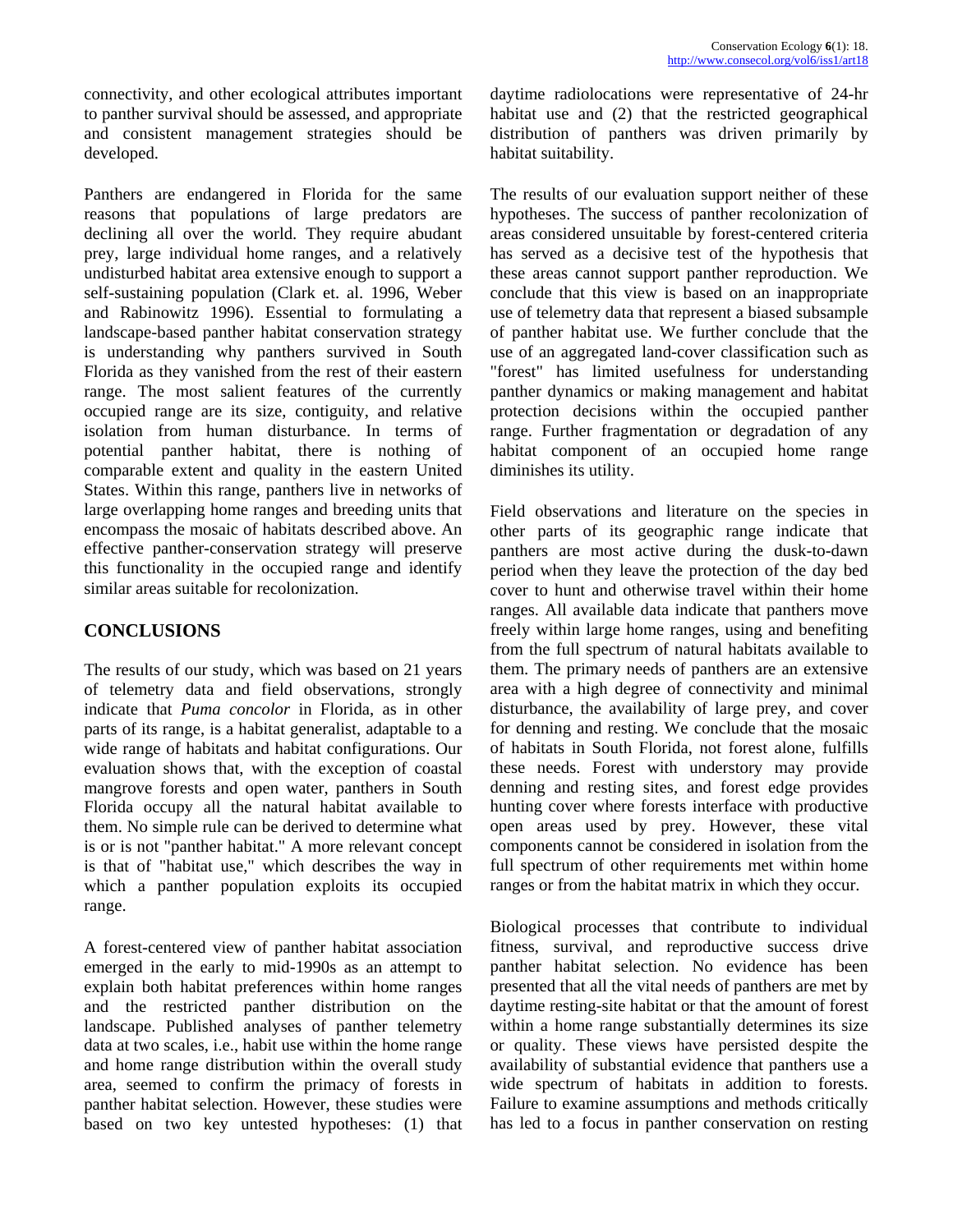connectivity, and other ecological attributes important to panther survival should be assessed, and appropriate and consistent management strategies should be developed.

Panthers are endangered in Florida for the same reasons that populations of large predators are declining all over the world. They require abudant prey, large individual home ranges, and a relatively undisturbed habitat area extensive enough to support a self-sustaining population (Clark et. al. 1996, Weber and Rabinowitz 1996). Essential to formulating a landscape-based panther habitat conservation strategy is understanding why panthers survived in South Florida as they vanished from the rest of their eastern range. The most salient features of the currently occupied range are its size, contiguity, and relative isolation from human disturbance. In terms of potential panther habitat, there is nothing of comparable extent and quality in the eastern United States. Within this range, panthers live in networks of large overlapping home ranges and breeding units that encompass the mosaic of habitats described above. An effective panther-conservation strategy will preserve this functionality in the occupied range and identify similar areas suitable for recolonization.

# **CONCLUSIONS**

The results of our study, which was based on 21 years of telemetry data and field observations, strongly indicate that *Puma concolor* in Florida, as in other parts of its range, is a habitat generalist, adaptable to a wide range of habitats and habitat configurations. Our evaluation shows that, with the exception of coastal mangrove forests and open water, panthers in South Florida occupy all the natural habitat available to them. No simple rule can be derived to determine what is or is not "panther habitat." A more relevant concept is that of "habitat use," which describes the way in which a panther population exploits its occupied range.

A forest-centered view of panther habitat association emerged in the early to mid-1990s as an attempt to explain both habitat preferences within home ranges and the restricted panther distribution on the landscape. Published analyses of panther telemetry data at two scales, i.e., habit use within the home range and home range distribution within the overall study area, seemed to confirm the primacy of forests in panther habitat selection. However, these studies were based on two key untested hypotheses: (1) that daytime radiolocations were representative of 24-hr habitat use and (2) that the restricted geographical distribution of panthers was driven primarily by habitat suitability.

The results of our evaluation support neither of these hypotheses. The success of panther recolonization of areas considered unsuitable by forest-centered criteria has served as a decisive test of the hypothesis that these areas cannot support panther reproduction. We conclude that this view is based on an inappropriate use of telemetry data that represent a biased subsample of panther habitat use. We further conclude that the use of an aggregated land-cover classification such as "forest" has limited usefulness for understanding panther dynamics or making management and habitat protection decisions within the occupied panther range. Further fragmentation or degradation of any habitat component of an occupied home range diminishes its utility.

Field observations and literature on the species in other parts of its geographic range indicate that panthers are most active during the dusk-to-dawn period when they leave the protection of the day bed cover to hunt and otherwise travel within their home ranges. All available data indicate that panthers move freely within large home ranges, using and benefiting from the full spectrum of natural habitats available to them. The primary needs of panthers are an extensive area with a high degree of connectivity and minimal disturbance, the availability of large prey, and cover for denning and resting. We conclude that the mosaic of habitats in South Florida, not forest alone, fulfills these needs. Forest with understory may provide denning and resting sites, and forest edge provides hunting cover where forests interface with productive open areas used by prey. However, these vital components cannot be considered in isolation from the full spectrum of other requirements met within home ranges or from the habitat matrix in which they occur.

Biological processes that contribute to individual fitness, survival, and reproductive success drive panther habitat selection. No evidence has been presented that all the vital needs of panthers are met by daytime resting-site habitat or that the amount of forest within a home range substantially determines its size or quality. These views have persisted despite the availability of substantial evidence that panthers use a wide spectrum of habitats in addition to forests. Failure to examine assumptions and methods critically has led to a focus in panther conservation on resting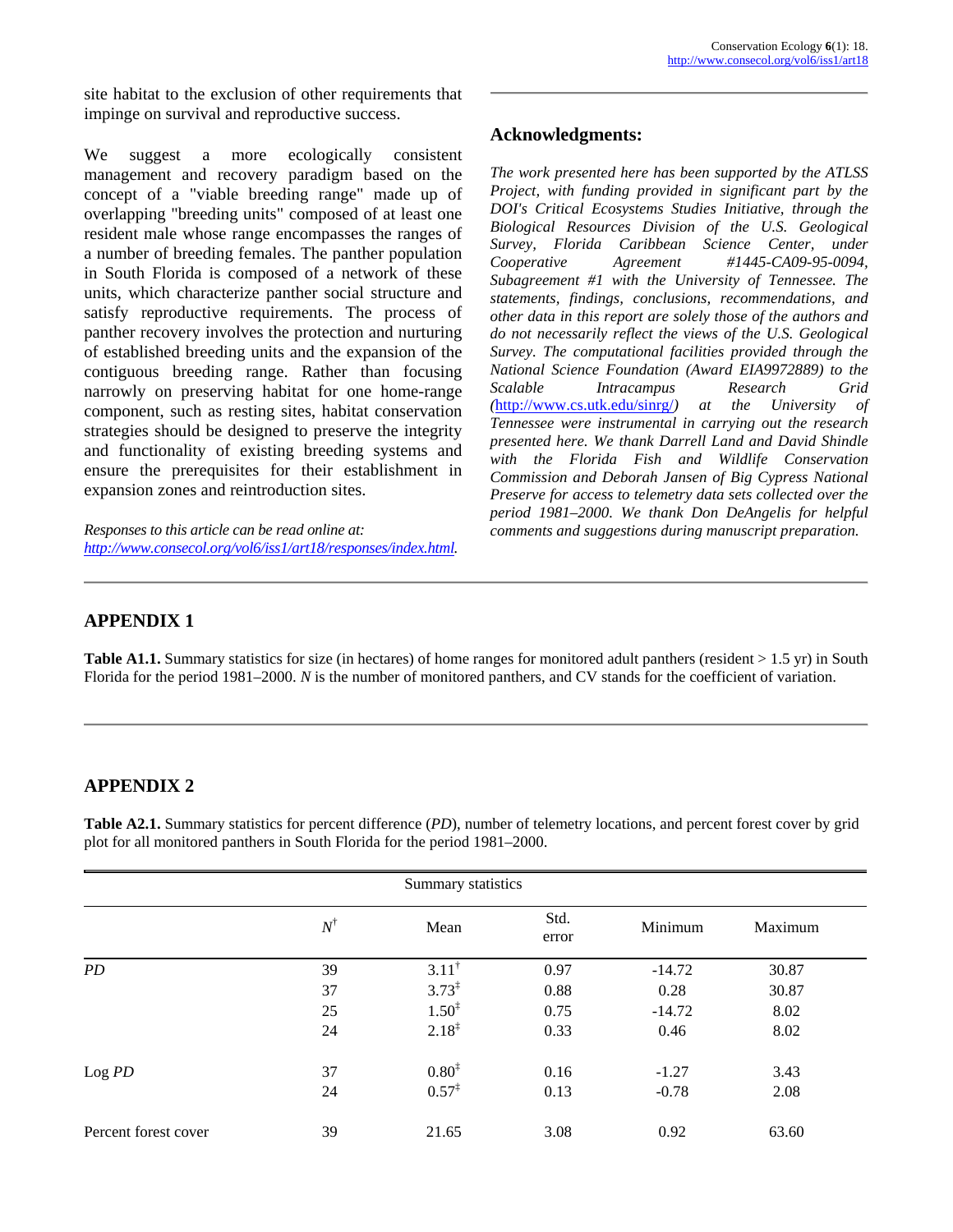site habitat to the exclusion of other requirements that impinge on survival and reproductive success.

We suggest a more ecologically consistent management and recovery paradigm based on the concept of a "viable breeding range" made up of overlapping "breeding units" composed of at least one resident male whose range encompasses the ranges of a number of breeding females. The panther population in South Florida is composed of a network of these units, which characterize panther social structure and satisfy reproductive requirements. The process of panther recovery involves the protection and nurturing of established breeding units and the expansion of the contiguous breeding range. Rather than focusing narrowly on preserving habitat for one home-range component, such as resting sites, habitat conservation strategies should be designed to preserve the integrity and functionality of existing breeding systems and ensure the prerequisites for their establishment in expansion zones and reintroduction sites.

*Responses to this article can be read online at: comments and suggestions during manuscript preparation. [http://www.consecol.org/vol6/iss1/art18/responses/index.html.](http://www.consecol.org/vol6/iss1/art18/responses/index.html)* 

#### **Acknowledgments:**

*The work presented here has been supported by the ATLSS Project, with funding provided in significant part by the DOI's Critical Ecosystems Studies Initiative, through the Biological Resources Division of the U.S. Geological Survey, Florida Caribbean Science Center, under Cooperative Agreement #1445-CA09-95-0094, Subagreement #1 with the University of Tennessee. The statements, findings, conclusions, recommendations, and other data in this report are solely those of the authors and do not necessarily reflect the views of the U.S. Geological Survey. The computational facilities provided through the National Science Foundation (Award EIA9972889) to the Scalable Intracampus Research Grid (*<http://www.cs.utk.edu/sinrg/>*) at the University of Tennessee were instrumental in carrying out the research presented here. We thank Darrell Land and David Shindle with the Florida Fish and Wildlife Conservation Commission and Deborah Jansen of Big Cypress National Preserve for access to telemetry data sets collected over the period 1981–2000. We thank Don DeAngelis for helpful* 

# **APPENDIX 1**

**Table A1.1.** Summary statistics for size (in hectares) of home ranges for monitored adult panthers (resident > 1.5 yr) in South Florida for the period 1981–2000. *N* is the number of monitored panthers, and CV stands for the coefficient of variation.

# **APPENDIX 2**

**Table A2.1.** Summary statistics for percent difference (*PD*), number of telemetry locations, and percent forest cover by grid plot for all monitored panthers in South Florida for the period 1981–2000.

| Summary statistics   |             |                   |               |          |         |  |  |  |
|----------------------|-------------|-------------------|---------------|----------|---------|--|--|--|
|                      | $N^\dagger$ | Mean              | Std.<br>error | Minimum  | Maximum |  |  |  |
| PD                   | 39          | $3.11^{\dagger}$  | 0.97          | $-14.72$ | 30.87   |  |  |  |
|                      | 37          | $3.73^{\ddagger}$ | 0.88          | 0.28     | 30.87   |  |  |  |
|                      | 25          | $1.50^{\ddagger}$ | 0.75          | $-14.72$ | 8.02    |  |  |  |
|                      | 24          | $2.18^{\ddagger}$ | 0.33          | 0.46     | 8.02    |  |  |  |
| Log PD               | 37          | $0.80^{1}$        | 0.16          | $-1.27$  | 3.43    |  |  |  |
|                      | 24          | $0.57^{\ddagger}$ | 0.13          | $-0.78$  | 2.08    |  |  |  |
| Percent forest cover | 39          | 21.65             | 3.08          | 0.92     | 63.60   |  |  |  |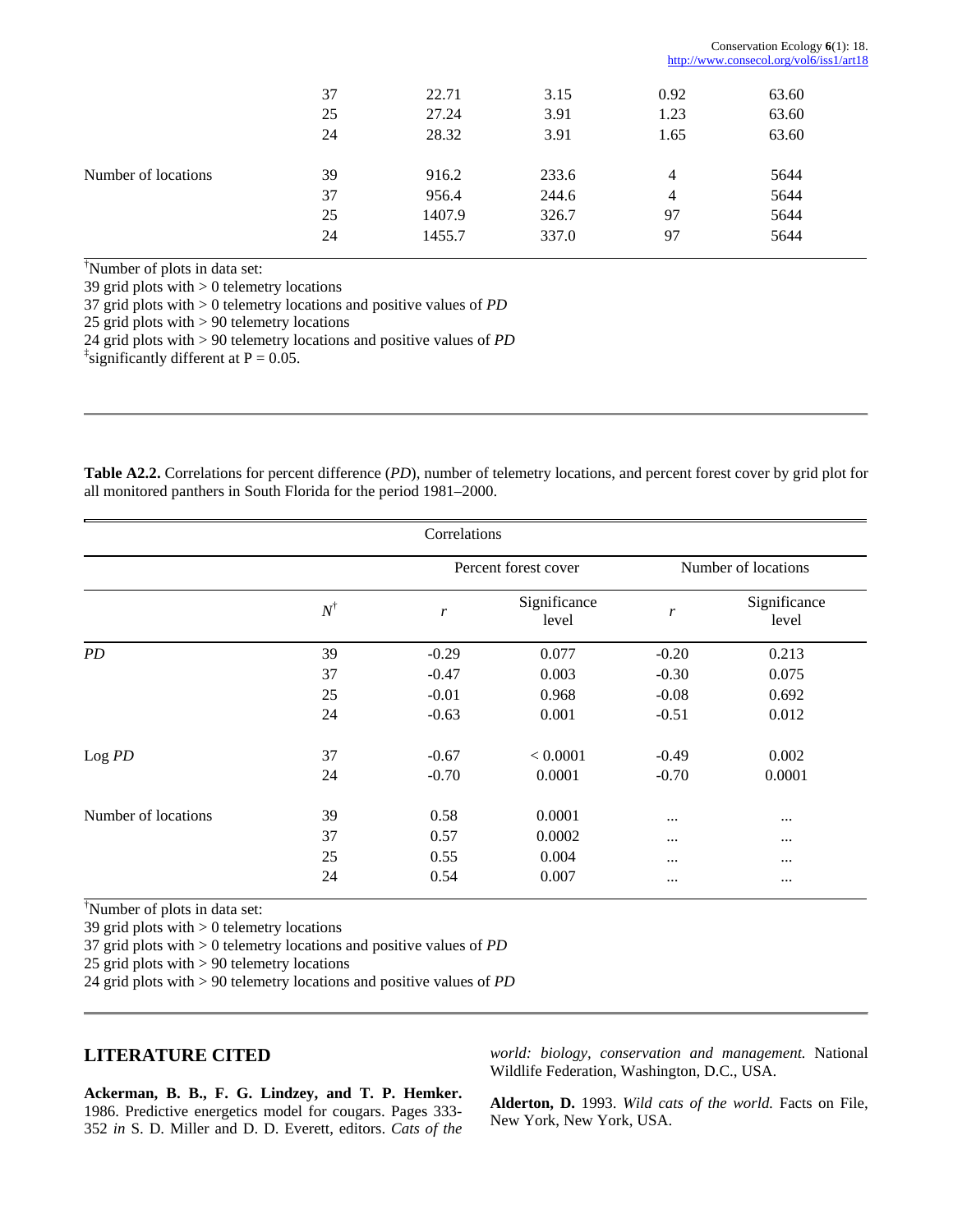|                     |    |        |       | http://www.consecol.org/vol6/iss1/art18 |       |  |
|---------------------|----|--------|-------|-----------------------------------------|-------|--|
|                     | 37 | 22.71  | 3.15  | 0.92                                    | 63.60 |  |
|                     | 25 | 27.24  | 3.91  | 1.23                                    | 63.60 |  |
|                     | 24 | 28.32  | 3.91  | 1.65                                    | 63.60 |  |
| Number of locations | 39 | 916.2  | 233.6 | 4                                       | 5644  |  |
|                     | 37 | 956.4  | 244.6 | 4                                       | 5644  |  |
|                     | 25 | 1407.9 | 326.7 | 97                                      | 5644  |  |
|                     | 24 | 1455.7 | 337.0 | 97                                      | 5644  |  |

† Number of plots in data set:

39 grid plots with > 0 telemetry locations

37 grid plots with > 0 telemetry locations and positive values of *PD*

25 grid plots with > 90 telemetry locations

24 grid plots with > 90 telemetry locations and positive values of *PD*

 $\frac{1}{4}$  significantly different at P = 0.05.

**Table A2.2.** Correlations for percent difference (*PD*), number of telemetry locations, and percent forest cover by grid plot for all monitored panthers in South Florida for the period 1981–2000.

| Correlations        |             |                      |                       |                     |                       |  |  |
|---------------------|-------------|----------------------|-----------------------|---------------------|-----------------------|--|--|
|                     |             | Percent forest cover |                       | Number of locations |                       |  |  |
|                     | $N^\dagger$ | $\boldsymbol{r}$     | Significance<br>level | r                   | Significance<br>level |  |  |
| PD                  | 39          | $-0.29$              | 0.077                 | $-0.20$             | 0.213                 |  |  |
|                     | 37          | $-0.47$              | 0.003                 | $-0.30$             | 0.075                 |  |  |
|                     | 25          | $-0.01$              | 0.968                 | $-0.08$             | 0.692                 |  |  |
|                     | 24          | $-0.63$              | 0.001                 | $-0.51$             | 0.012                 |  |  |
| Log PD              | 37          | $-0.67$              | < 0.0001              | $-0.49$             | 0.002                 |  |  |
|                     | 24          | $-0.70$              | 0.0001                | $-0.70$             | 0.0001                |  |  |
| Number of locations | 39          | 0.58                 | 0.0001                | $\cdots$            | $\cdots$              |  |  |
|                     | 37          | 0.57                 | 0.0002                | $\cdots$            | $\cdots$              |  |  |
|                     | 25          | 0.55                 | 0.004                 | $\cdots$            | $\cdots$              |  |  |
|                     | 24          | 0.54                 | 0.007                 | $\cdots$            | $\cdots$              |  |  |

† Number of plots in data set:

39 grid plots with > 0 telemetry locations

37 grid plots with > 0 telemetry locations and positive values of *PD*

25 grid plots with > 90 telemetry locations

24 grid plots with > 90 telemetry locations and positive values of *PD*

#### **LITERATURE CITED**

*world: biology, conservation and management.* National Wildlife Federation, Washington, D.C., USA.

Conservation Ecology **6**(1): 18.

**Ackerman, B. B., F. G. Lindzey, and T. P. Hemker.** 1986. Predictive energetics model for cougars. Pages 333- 352 *in* S. D. Miller and D. D. Everett, editors. *Cats of the* 

**Alderton, D.** 1993. *Wild cats of the world.* Facts on File, New York, New York, USA.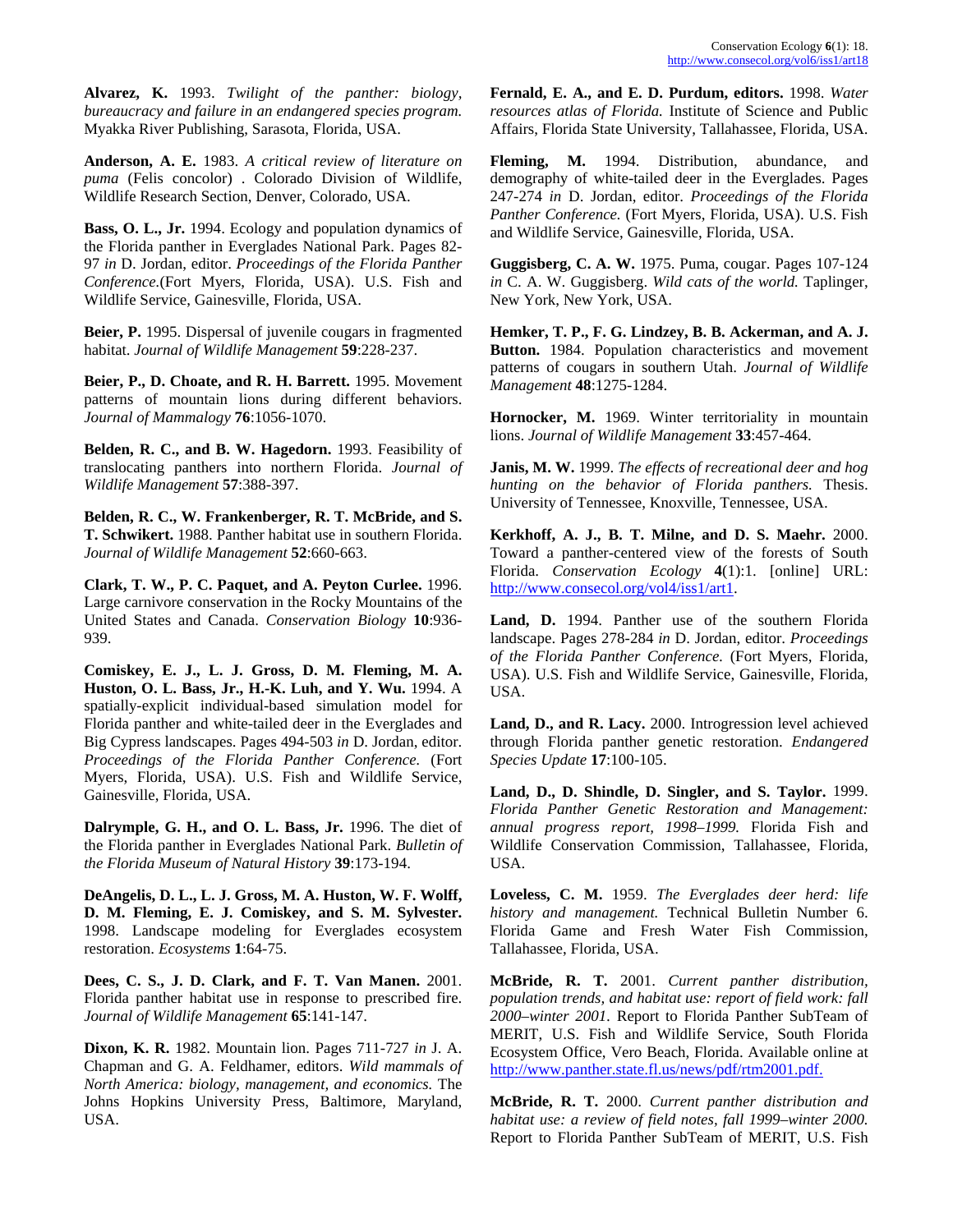**Alvarez, K.** 1993. *Twilight of the panther: biology, bureaucracy and failure in an endangered species program.* Myakka River Publishing, Sarasota, Florida, USA.

**Anderson, A. E.** 1983. *A critical review of literature on puma* (Felis concolor) . Colorado Division of Wildlife, Wildlife Research Section, Denver, Colorado, USA.

Bass, O. L., Jr. 1994. Ecology and population dynamics of and Wildlife Service, Gainesville, Florida, USA. the Florida panther in Everglades National Park. Pages 82- 97 *in* D. Jordan, editor. *Proceedings of the Florida Panther Conference.*(Fort Myers, Florida, USA). U.S. Fish and Wildlife Service, Gainesville, Florida, USA.

**Beier, P.** 1995. Dispersal of juvenile cougars in fragmented habitat. *Journal of Wildlife Management* **59**:228-237.

**Beier, P., D. Choate, and R. H. Barrett.** 1995. Movement Management 48:1275-1284. patterns of mountain lions during different behaviors. *Journal of Mammalogy* **76**:1056-1070. **Hornocker, M.** 1969. Winter territoriality in mountain

**Belden, R. C., and B. W. Hagedorn.** 1993. Feasibility of translocating panthers into northern Florida. *Journal of Wildlife Management* **57**:388-397.

**Belden, R. C., W. Frankenberger, R. T. McBride, and S. T. Schwikert.** 1988. Panther habitat use in southern Florida. *Journal of Wildlife Management* **52**:660-663.

**Clark, T. W., P. C. Paquet, and A. Peyton Curlee.** 1996. [http://www.consecol.org/vol4/iss1/art1.](http://www.consecol.org/vol4/iss1/art1) Large carnivore conservation in the Rocky Mountains of the United States and Canada. *Conservation Biology* **10**:936- 939.

**Comiskey, E. J., L. J. Gross, D. M. Fleming, M. A. Huston, O. L. Bass, Jr., H.-K. Luh, and Y. Wu.** 1994. A spatially-explicit individual-based simulation model for Florida panther and white-tailed deer in the Everglades and Big Cypress landscapes. Pages 494-503 *in* D. Jordan, editor. *Proceedings of the Florida Panther Conference.* (Fort Myers, Florida, USA). U.S. Fish and Wildlife Service, Gainesville, Florida, USA.

**Dalrymple, G. H., and O. L. Bass, Jr.** 1996. The diet of the Florida panther in Everglades National Park. *Bulletin of the Florida Museum of Natural History* **39**:173-194.

**DeAngelis, D. L., L. J. Gross, M. A. Huston, W. F. Wolff, D. M. Fleming, E. J. Comiskey, and S. M. Sylvester.** 1998. Landscape modeling for Everglades ecosystem restoration. *Ecosystems* **1**:64-75.

**Dees, C. S., J. D. Clark, and F. T. Van Manen.** 2001. Florida panther habitat use in response to prescribed fire. *Journal of Wildlife Management* **65**:141-147.

**Dixon, K. R.** 1982. Mountain lion. Pages 711-727 *in* J. A. Chapman and G. A. Feldhamer, editors. *Wild mammals of North America: biology, management, and economics.* The Johns Hopkins University Press, Baltimore, Maryland, USA.

**Fernald, E. A., and E. D. Purdum, editors.** 1998. *Water resources atlas of Florida.* Institute of Science and Public Affairs, Florida State University, Tallahassee, Florida, USA.

**Fleming, M.** 1994. Distribution, abundance, and demography of white-tailed deer in the Everglades. Pages 247-274 *in* D. Jordan, editor. *Proceedings of the Florida Panther Conference.* (Fort Myers, Florida, USA). U.S. Fish

**Guggisberg, C. A. W.** 1975. Puma, cougar. Pages 107-124 *in* C. A. W. Guggisberg. *Wild cats of the world.* Taplinger, New York, New York, USA.

**Hemker, T. P., F. G. Lindzey, B. B. Ackerman, and A. J. Button.** 1984. Population characteristics and movement patterns of cougars in southern Utah. *Journal of Wildlife* 

lions. *Journal of Wildlife Management* **33**:457-464.

**Janis, M. W.** 1999. *The effects of recreational deer and hog hunting on the behavior of Florida panthers.* Thesis. University of Tennessee, Knoxville, Tennessee, USA.

**Kerkhoff, A. J., B. T. Milne, and D. S. Maehr.** 2000. Toward a panther-centered view of the forests of South Florida. *Conservation Ecology* **4**(1):1. [online] URL:

**Land, D.** 1994. Panther use of the southern Florida landscape. Pages 278-284 *in* D. Jordan, editor. *Proceedings of the Florida Panther Conference.* (Fort Myers, Florida, USA). U.S. Fish and Wildlife Service, Gainesville, Florida, USA.

**Land, D., and R. Lacy.** 2000. Introgression level achieved through Florida panther genetic restoration. *Endangered Species Update* **17**:100-105.

**Land, D., D. Shindle, D. Singler, and S. Taylor.** 1999. *Florida Panther Genetic Restoration and Management: annual progress report, 1998–1999.* Florida Fish and Wildlife Conservation Commission, Tallahassee, Florida, USA.

**Loveless, C. M.** 1959. *The Everglades deer herd: life history and management.* Technical Bulletin Number 6. Florida Game and Fresh Water Fish Commission, Tallahassee, Florida, USA.

**McBride, R. T.** 2001. *Current panther distribution, population trends, and habitat use: report of field work: fall 2000–winter 2001.* Report to Florida Panther SubTeam of MERIT, U.S. Fish and Wildlife Service, South Florida Ecosystem Office, Vero Beach, Florida. Available online at [http://www.panther.state.fl.us/news/pdf/rtm2001.pdf.](http://www.panther.state.fl.us/news/pdf/rtm2001.pdf)

**McBride, R. T.** 2000. *Current panther distribution and habitat use: a review of field notes, fall 1999–winter 2000.* Report to Florida Panther SubTeam of MERIT, U.S. Fish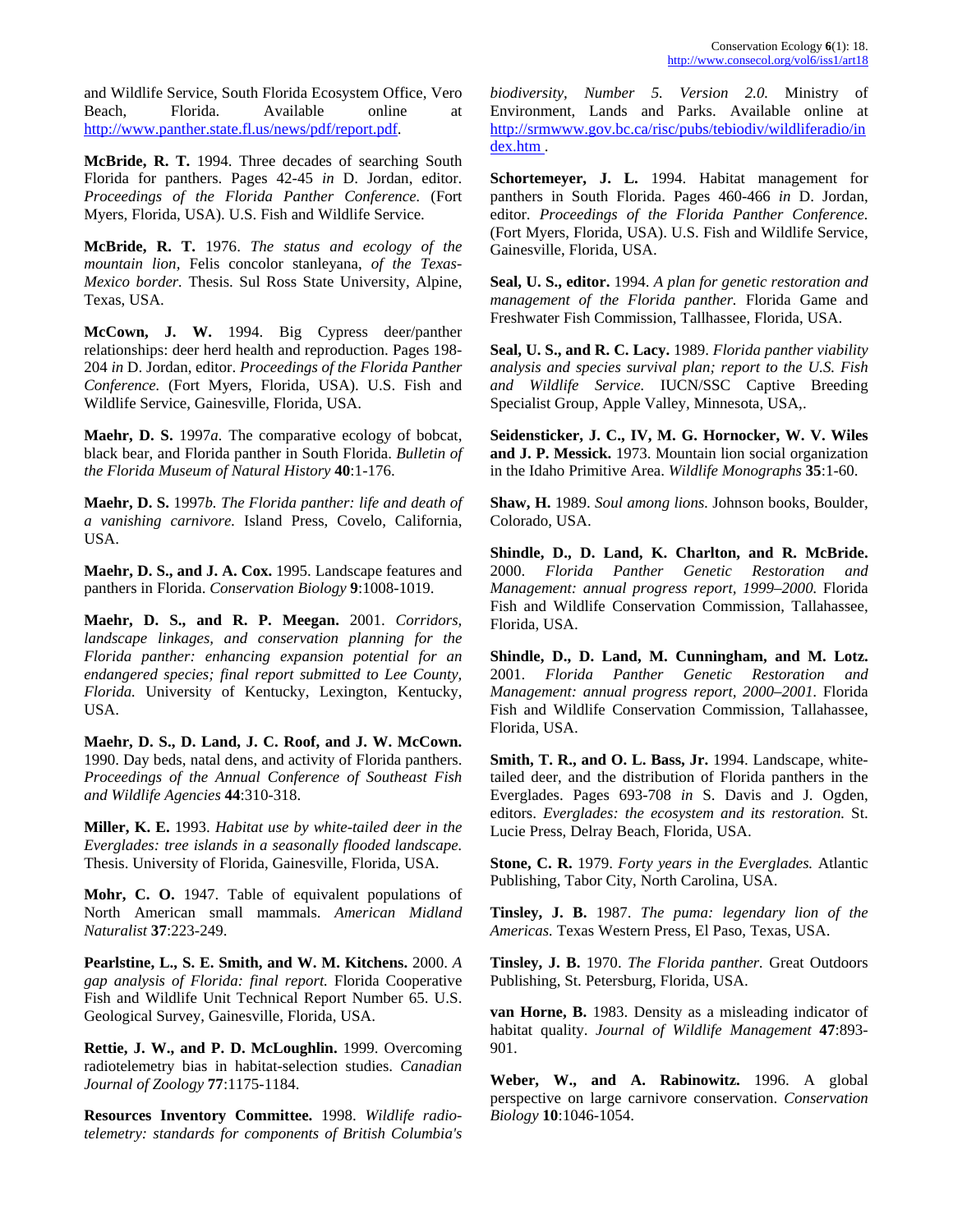and Wildlife Service, South Florida Ecosystem Office, Vero Beach, Florida. Available online at [http://www.panther.state.fl.us/news/pdf/report.pdf.](http://www.panther.state.fl.us/news/pdf/report.pdf)

**McBride, R. T.** 1994. Three decades of searching South Florida for panthers. Pages 42-45 *in* D. Jordan, editor. *Proceedings of the Florida Panther Conference.* (Fort Myers, Florida, USA). U.S. Fish and Wildlife Service.

**McBride, R. T.** 1976. *The status and ecology of the mountain lion,* Felis concolor stanleyana, *of the Texas-Mexico border.* Thesis. Sul Ross State University, Alpine, Texas, USA.

**McCown, J. W.** 1994. Big Cypress deer/panther relationships: deer herd health and reproduction. Pages 198- 204 *in* D. Jordan, editor. *Proceedings of the Florida Panther Conference.* (Fort Myers, Florida, USA). U.S. Fish and Wildlife Service, Gainesville, Florida, USA.

**Maehr, D. S.** 1997*a.* The comparative ecology of bobcat, black bear, and Florida panther in South Florida. *Bulletin of the Florida Museum of Natural History* **40**:1-176.

**Maehr, D. S.** 1997*b. The Florida panther: life and death of a vanishing carnivore.* Island Press, Covelo, California, USA.

**Maehr, D. S., and J. A. Cox.** 1995. Landscape features and panthers in Florida. *Conservation Biology* **9**:1008-1019.

**Maehr, D. S., and R. P. Meegan.** 2001. *Corridors, landscape linkages, and conservation planning for the Florida panther: enhancing expansion potential for an endangered species; final report submitted to Lee County, Florida.* University of Kentucky, Lexington, Kentucky, USA.

**Maehr, D. S., D. Land, J. C. Roof, and J. W. McCown.** 1990. Day beds, natal dens, and activity of Florida panthers. *Proceedings of the Annual Conference of Southeast Fish and Wildlife Agencies* **44**:310-318.

**Miller, K. E.** 1993. *Habitat use by white-tailed deer in the Everglades: tree islands in a seasonally flooded landscape.* Thesis. University of Florida, Gainesville, Florida, USA.

**Mohr, C. O.** 1947. Table of equivalent populations of North American small mammals. *American Midland Naturalist* **37**:223-249.

**Pearlstine, L., S. E. Smith, and W. M. Kitchens.** 2000. *A gap analysis of Florida: final report.* Florida Cooperative Fish and Wildlife Unit Technical Report Number 65. U.S. Geological Survey, Gainesville, Florida, USA.

**Rettie, J. W., and P. D. McLoughlin.** 1999. Overcoming radiotelemetry bias in habitat-selection studies. *Canadian Journal of Zoology* **77**:1175-1184.

**Resources Inventory Committee.** 1998. *Wildlife radiotelemetry: standards for components of British Columbia's* *biodiversity, Number 5. Version 2.0.* Ministry of Environment, Lands and Parks. Available online at [http://srmwww.gov.bc.ca/risc/pubs/tebiodiv/wildliferadio/in](http://www.gov.bc.ca/risc/pubs/tebiodiv/wildliferadio/index.htm) [dex.htm](http://www.gov.bc.ca/risc/pubs/tebiodiv/wildliferadio/index.htm) .

**Schortemeyer, J. L.** 1994. Habitat management for panthers in South Florida. Pages 460-466 *in* D. Jordan, editor. *Proceedings of the Florida Panther Conference.* (Fort Myers, Florida, USA). U.S. Fish and Wildlife Service, Gainesville, Florida, USA.

**Seal, U. S., editor.** 1994. *A plan for genetic restoration and management of the Florida panther.* Florida Game and Freshwater Fish Commission, Tallhassee, Florida, USA.

**Seal, U. S., and R. C. Lacy.** 1989. *Florida panther viability analysis and species survival plan; report to the U.S. Fish and Wildlife Service.* IUCN/SSC Captive Breeding Specialist Group, Apple Valley, Minnesota, USA,.

**Seidensticker, J. C., IV, M. G. Hornocker, W. V. Wiles and J. P. Messick.** 1973. Mountain lion social organization in the Idaho Primitive Area. *Wildlife Monographs* **35**:1-60.

**Shaw, H.** 1989. *Soul among lions.* Johnson books, Boulder, Colorado, USA.

**Shindle, D., D. Land, K. Charlton, and R. McBride.** 2000. *Florida Panther Genetic Restoration and Management: annual progress report, 1999–2000.* Florida Fish and Wildlife Conservation Commission, Tallahassee, Florida, USA.

**Shindle, D., D. Land, M. Cunningham, and M. Lotz.** 2001. *Florida Panther Genetic Restoration and Management: annual progress report, 2000–2001.* Florida Fish and Wildlife Conservation Commission, Tallahassee, Florida, USA.

**Smith, T. R., and O. L. Bass, Jr.** 1994. Landscape, whitetailed deer, and the distribution of Florida panthers in the Everglades. Pages 693-708 *in* S. Davis and J. Ogden, editors. *Everglades: the ecosystem and its restoration.* St. Lucie Press, Delray Beach, Florida, USA.

**Stone, C. R.** 1979. *Forty years in the Everglades.* Atlantic Publishing, Tabor City, North Carolina, USA.

**Tinsley, J. B.** 1987. *The puma: legendary lion of the Americas.* Texas Western Press, El Paso, Texas, USA.

**Tinsley, J. B.** 1970. *The Florida panther.* Great Outdoors Publishing, St. Petersburg, Florida, USA.

**van Horne, B.** 1983. Density as a misleading indicator of habitat quality. *Journal of Wildlife Management* **47**:893- 901.

**Weber, W., and A. Rabinowitz.** 1996. A global perspective on large carnivore conservation. *Conservation Biology* **10**:1046-1054.